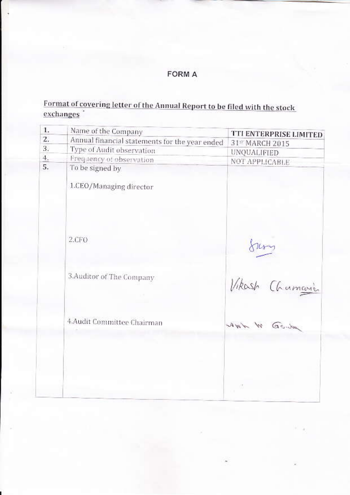# **FORM A**

# Format of covering letter of the Annual Report to be filed with the stock  $\frac{exchanges}{exchanges}$

| 1.            | Name of the Company                            | TTI ENTERPRISE LIMITED |
|---------------|------------------------------------------------|------------------------|
| $\mathbf{Z}$  | Annual financial statements for the year ended | 31st MARCH 2015        |
| 3.            | Type of Audit observation                      | UNQUALIFIED            |
| $\frac{4}{1}$ | Frequency of observation                       | <b>NOT APPLICABLE</b>  |
| 5.            | To be signed by                                |                        |
|               | 1.CEO/Managing director                        |                        |
|               | 2.CFO                                          |                        |
|               | 3. Auditor of The Company                      | Vikash Chamani         |
|               | 4.Audit Committee Chairman                     | ANY W GOW              |
|               |                                                |                        |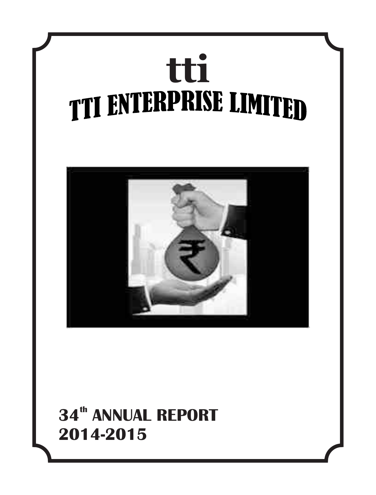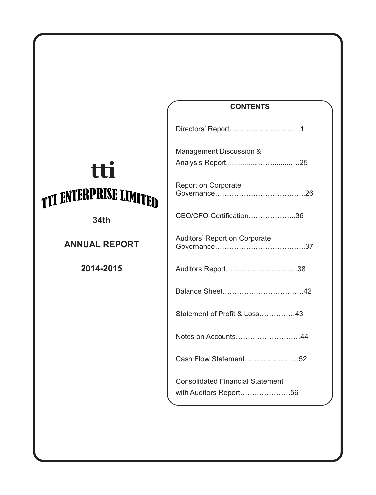**34th**

**ANNUAL REPORT**

**2014-2015**

# **CONTENTS**

| Directors' Report1                                                |
|-------------------------------------------------------------------|
| Management Discussion &                                           |
| <b>Report on Corporate</b>                                        |
| CEO/CFO Certification36                                           |
| Auditors' Report on Corporate                                     |
| Auditors Report38                                                 |
|                                                                   |
| Statement of Profit & Loss43                                      |
| Notes on Accounts44                                               |
| Cash Flow Statement52                                             |
| <b>Consolidated Financial Statement</b><br>with Auditors Report56 |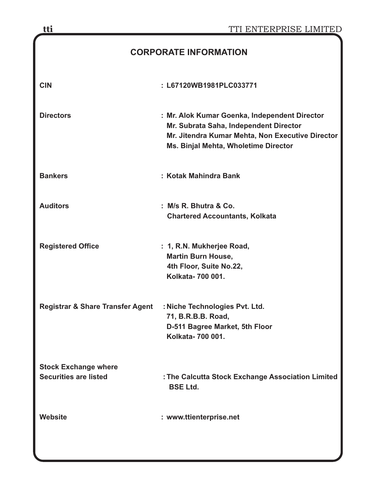| tti                                         | TTI ENTERPRISE LIMITED                                                                                                                                                              |
|---------------------------------------------|-------------------------------------------------------------------------------------------------------------------------------------------------------------------------------------|
|                                             | <b>CORPORATE INFORMATION</b>                                                                                                                                                        |
| <b>CIN</b>                                  | : L67120WB1981PLC033771                                                                                                                                                             |
| <b>Directors</b>                            | : Mr. Alok Kumar Goenka, Independent Director<br>Mr. Subrata Saha, Independent Director<br>Mr. Jitendra Kumar Mehta, Non Executive Director<br>Ms. Binjal Mehta, Wholetime Director |
| <b>Bankers</b>                              | : Kotak Mahindra Bank                                                                                                                                                               |
| <b>Auditors</b>                             | : M/s R. Bhutra & Co.<br><b>Chartered Accountants, Kolkata</b>                                                                                                                      |
| <b>Registered Office</b>                    | : 1, R.N. Mukherjee Road,<br><b>Martin Burn House,</b><br>4th Floor, Suite No.22,<br>Kolkata- 700 001.                                                                              |
| <b>Registrar &amp; Share Transfer Agent</b> | : Niche Technologies Pvt. Ltd.<br>71, B.R.B.B. Road,<br>D-511 Bagree Market, 5th Floor<br>Kolkata- 700 001.                                                                         |
| <b>Stock Exchange where</b>                 |                                                                                                                                                                                     |
| <b>Securities are listed</b>                | : The Calcutta Stock Exchange Association Limited<br><b>BSE Ltd.</b>                                                                                                                |
| Website                                     | : www.ttienterprise.net                                                                                                                                                             |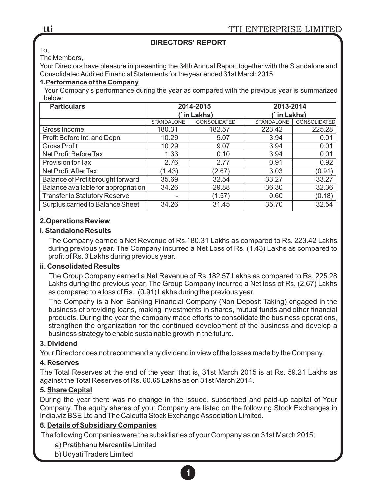# **DIRECTORS' REPORT**

To, The Members,

Your Directors have pleasure in presenting the 34th Annual Report together with the Standalone and Consolidated Audited Financial Statements for the year ended 31st March 2015.

#### **1.Performance of the Company**

Your Company's performance during the year as compared with the previous year is summarized below:

| <b>Particulars</b>                   |                   | 2014-2015    | 2013-2014         |              |  |
|--------------------------------------|-------------------|--------------|-------------------|--------------|--|
|                                      |                   | in Lakhs)    | `in Lakhs)        |              |  |
|                                      | <b>STANDALONE</b> | CONSOLIDATED | <b>STANDALONE</b> | CONSOLIDATED |  |
| Gross Income                         | 180.31            | 182.57       | 223.42            | 225.28       |  |
| Profit Before Int. and Depn.         | 10.29             | 9.07         | 3.94              | 0.01         |  |
| <b>Gross Profit</b>                  | 10.29             | 9.07         | 3.94              | 0.01         |  |
| Net Profit Before Tax                | 1.33              | 0.10         | 3.94              | 0.01         |  |
| Provision for Tax                    | 2.76              | 2.77         | 0.91              | 0.92         |  |
| Net Profit After Tax                 | (1.43)            | (2.67)       | 3.03              | (0.91)       |  |
| Balance of Profit brought forward    | 35.69             | 32.54        | 33.27             | 33.27        |  |
| Balance available for appropriation  | 34.26             | 29.88        | 36.30             | 32.36        |  |
| <b>Transfer to Statutory Reserve</b> | ٠                 | (1.57)       | 0.60              | (0.18)       |  |
| Surplus carried to Balance Sheet     | 34.26             | 31.45        | 35.70             | 32.54        |  |

#### **2.Operations Review**

#### **i. Standalone Results**

The Company earned a Net Revenue of Rs.180.31 Lakhs as compared to Rs. 223.42 Lakhs during previous year. The Company incurred a Net Loss of Rs. (1.43) Lakhs as compared to profit of Rs. 3 Lakhs during previous year.

#### **ii. Consolidated Results**

The Group Company earned a Net Revenue of Rs.182.57 Lakhs as compared to Rs. 225.28 Lakhs during the previous year. The Group Company incurred a Net loss of Rs. (2.67) Lakhs as compared to a loss of Rs. (0.91) Lakhs during the previous year.

The Company is a Non Banking Financial Company (Non Deposit Taking) engaged in the business of providing loans, making investments in shares, mutual funds and other financial products. During the year the company made efforts to consolidate the business operations, strengthen the organization for the continued development of the business and develop a business strategy to enable sustainable growth in the future.

#### **3. Dividend**

Your Director does not recommend any dividend in view of the losses made by the Company.

#### **4. Reserves**

The Total Reserves at the end of the year, that is, 31st March 2015 is at Rs. 59.21 Lakhs as against the Total Reserves of Rs. 60.65 Lakhs as on 31st March 2014.

#### **5. Share Capital**

During the year there was no change in the issued, subscribed and paid-up capital of Your Company. The equity shares of your Company are listed on the following Stock Exchanges in India.viz BSE Ltd and The Calcutta Stock Exchange Association Limited.

# **6. Details of Subsidiary Companies**

The following Companies were the subsidiaries of your Company as on 31st March 2015;

- a) Pratibhanu Mercantile Limited
- b) Udyati Traders Limited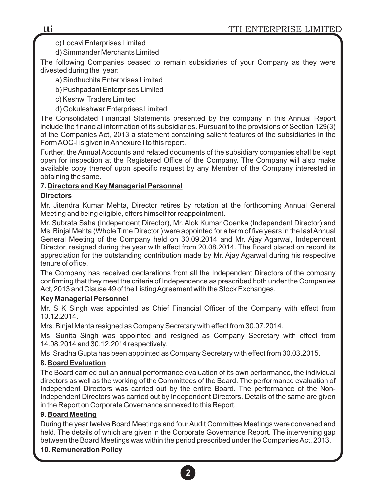#### c) Locavi Enterprises Limited

d) Simmander Merchants Limited

The following Companies ceased to remain subsidiaries of your Company as they were divested during the year:

a) Sindhuchita Enterprises Limited

b) Pushpadant Enterprises Limited

c) Keshwi Traders Limited

d) Gokuleshwar Enterprises Limited

The Consolidated Financial Statements presented by the company in this Annual Report include the financial information of its subsidiaries. Pursuant to the provisions of Section 129(3) of the Companies Act, 2013 a statement containing salient features of the subsidiaries in the Form AOC-I is given in Annexure I to this report.

Further, the Annual Accounts and related documents of the subsidiary companies shall be kept open for inspection at the Registered Office of the Company. The Company will also make available copy thereof upon specific request by any Member of the Company interested in obtaining the same.

#### **7. Directors and Key Managerial Personnel**

#### **Directors**

Mr. Jitendra Kumar Mehta, Director retires by rotation at the forthcoming Annual General Meeting and being eligible, offers himself for reappointment.

Mr. Subrata Saha (Independent Director), Mr. Alok Kumar Goenka (Independent Director) and Ms. Binjal Mehta (Whole Time Director ) were appointed for a term of five years in the last Annual General Meeting of the Company held on 30.09.2014 and Mr. Ajay Agarwal, Independent Director, resigned during the year with effect from 20.08.2014. The Board placed on record its appreciation for the outstanding contribution made by Mr. Ajay Agarwal during his respective tenure of office.

The Company has received declarations from all the Independent Directors of the company confirming that they meet the criteria of Independence as prescribed both under the Companies Act, 2013 and Clause 49 of the Listing Agreement with the Stock Exchanges.

#### **Key Managerial Personnel**

Mr. S K Singh was appointed as Chief Financial Officer of the Company with effect from 10.12.2014.

Mrs. Binjal Mehta resigned as Company Secretary with effect from 30.07.2014.

Ms. Sunita Singh was appointed and resigned as Company Secretary with effect from 14.08.2014 and 30.12.2014 respectively.

Ms. Sradha Gupta has been appointed as Company Secretary with effect from 30.03.2015.

# **8. Board Evaluation**

The Board carried out an annual performance evaluation of its own performance, the individual directors as well as the working of the Committees of the Board. The performance evaluation of Independent Directors was carried out by the entire Board. The performance of the Non-Independent Directors was carried out by Independent Directors. Details of the same are given in the Report on Corporate Governance annexed to this Report.

#### **9. Board Meeting**

During the year twelve Board Meetings and four Audit Committee Meetings were convened and held. The details of which are given in the Corporate Governance Report. The intervening gap between the Board Meetings was within the period prescribed under the Companies Act, 2013.

# **10. Remuneration Policy**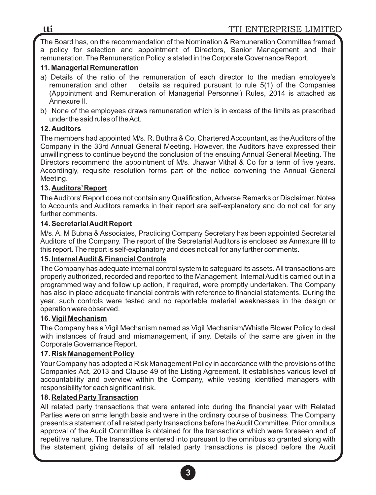The Board has, on the recommendation of the Nomination & Remuneration Committee framed a policy for selection and appointment of Directors, Senior Management and their remuneration. The Remuneration Policy is stated in the Corporate Governance Report.

## **11. Managerial Remuneration**

- a) Details of the ratio of the remuneration of each director to the median employee's remuneration and other details as required pursuant to rule 5(1) of the Companies (Appointment and Remuneration of Managerial Personnel) Rules, 2014 is attached as Annexure II.
- b) None of the employees draws remuneration which is in excess of the limits as prescribed under the said rules of the Act.

# **12. Auditors**

The members had appointed M/s. R. Buthra & Co, Chartered Accountant, as the Auditors of the Company in the 33rd Annual General Meeting. However, the Auditors have expressed their unwillingness to continue beyond the conclusion of the ensuing Annual General Meeting. The Directors recommend the appointment of M/s. Jhawar Vithal & Co for a term of five years. Accordingly, requisite resolution forms part of the notice convening the Annual General Meeting.

#### **13. Auditors'Report**

The Auditors' Report does not contain any Qualification, Adverse Remarks or Disclaimer. Notes to Accounts and Auditors remarks in their report are self-explanatory and do not call for any further comments.

#### **14. Secretarial Audit Report**

M/s. A. M Bubna & Associates, Practicing Company Secretary has been appointed Secretarial Auditors of the Company. The report of the Secretarial Auditors is enclosed as Annexure III to this report. The report is self-explanatory and does not call for any further comments.

#### **15. Internal Audit & Financial Controls**

The Company has adequate internal control system to safeguard its assets. All transactions are properly authorized, recorded and reported to the Management. Internal Audit is carried out in a programmed way and follow up action, if required, were promptly undertaken. The Company has also in place adequate financial controls with reference to financial statements. During the year, such controls were tested and no reportable material weaknesses in the design or operation were observed.

#### **16. Vigil Mechanism**

The Company has a Vigil Mechanism named as Vigil Mechanism/Whistle Blower Policy to deal with instances of fraud and mismanagement, if any. Details of the same are given in the Corporate Governance Report.

#### **17. Risk Management Policy**

Your Company has adopted a Risk Management Policy in accordance with the provisions of the Companies Act, 2013 and Clause 49 of the Listing Agreement. It establishes various level of accountability and overview within the Company, while vesting identified managers with responsibility for each significant risk.

#### **18. Related Party Transaction**

All related party transactions that were entered into during the financial year with Related Parties were on arms length basis and were in the ordinary course of business. The Company presents a statement of all related party transactions before the Audit Committee. Prior omnibus approval of the Audit Committee is obtained for the transactions which were foreseen and of repetitive nature. The transactions entered into pursuant to the omnibus so granted along with the statement giving details of all related party transactions is placed before the Audit

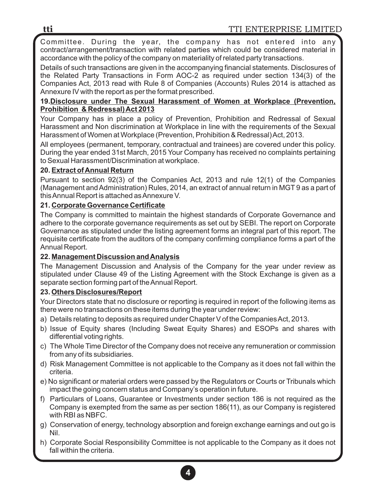Committee. During the year, the company has not entered into any contract/arrangement/transaction with related parties which could be considered material in accordance with the policy of the company on materiality of related party transactions.

Details of such transactions are given in the accompanying financial statements. Disclosures of the Related Party Transactions in Form AOC-2 as required under section 134(3) of the Companies Act, 2013 read with Rule 8 of Companies (Accounts) Rules 2014 is attached as Annexure IV with the report as per the format prescribed.

#### **19.Disclosure under The Sexual Harassment of Women at Workplace (Prevention, Prohibition & Redressal) Act 2013**

Your Company has in place a policy of Prevention, Prohibition and Redressal of Sexual Harassment and Non discrimination at Workplace in line with the requirements of the Sexual Harassment of Women at Workplace (Prevention, Prohibition & Redressal) Act, 2013.

All employees (permanent, temporary, contractual and trainees) are covered under this policy. During the year ended 31st March, 2015 Your Company has received no complaints pertaining to Sexual Harassment/Discrimination at workplace.

# **20. Extract of Annual Return**

Pursuant to section 92(3) of the Companies Act, 2013 and rule 12(1) of the Companies (Management and Administration) Rules, 2014, an extract of annual return in MGT 9 as a part of this Annual Report is attached as Annexure V.

# **21. Corporate Governance Certificate**

The Company is committed to maintain the highest standards of Corporate Governance and adhere to the corporate governance requirements as set out by SEBI. The report on Corporate Governance as stipulated under the listing agreement forms an integral part of this report. The requisite certificate from the auditors of the company confirming compliance forms a part of the Annual Report.

# **22. Management Discussion and Analysis**

The Management Discussion and Analysis of the Company for the year under review as stipulated under Clause 49 of the Listing Agreement with the Stock Exchange is given as a separate section forming part of the Annual Report.

# **23. Others Disclosures/Report**

Your Directors state that no disclosure or reporting is required in report of the following items as there were no transactions on these items during the year under review:

- a) Details relating to deposits as required under Chapter V of the Companies Act, 2013.
- b) Issue of Equity shares (Including Sweat Equity Shares) and ESOPs and shares with differential voting rights.
- c) The Whole Time Director of the Company does not receive any remuneration or commission from any of its subsidiaries.
- d) Risk Management Committee is not applicable to the Company as it does not fall within the criteria.
- e) No significant or material orders were passed by the Regulators or Courts or Tribunals which impact the going concern status and Company's operation in future.
- f) Particulars of Loans, Guarantee or Investments under section 186 is not required as the Company is exempted from the same as per section 186(11), as our Company is registered with RBI as NBFC.
- g) Conservation of energy, technology absorption and foreign exchange earnings and out go is Nil.
- h) Corporate Social Responsibility Committee is not applicable to the Company as it does not fall within the criteria.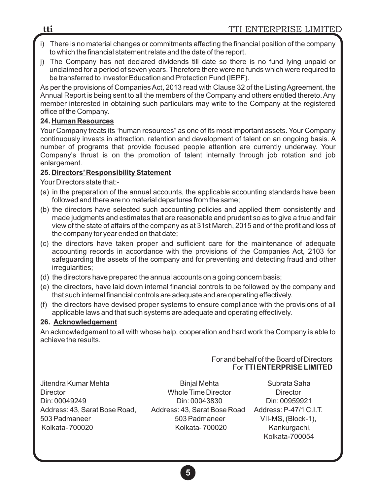- i) There is no material changes or commitments affecting the financial position of the company to which the financial statement relate and the date of the report.
- j) The Company has not declared dividends till date so there is no fund lying unpaid or unclaimed for a period of seven years. Therefore there were no funds which were required to be transferred to Investor Education and Protection Fund (IEPF).

As per the provisions of Companies Act, 2013 read with Clause 32 of the Listing Agreement, the Annual Report is being sent to all the members of the Company and others entitled thereto. Any member interested in obtaining such particulars may write to the Company at the registered office of the Company.

## **24. Human Resources**

Your Company treats its "human resources" as one of its most important assets. Your Company continuously invests in attraction, retention and development of talent on an ongoing basis. A number of programs that provide focused people attention are currently underway. Your Company's thrust is on the promotion of talent internally through job rotation and job enlargement.

#### **25. Directors'Responsibility Statement**

Your Directors state that:-

- (a) in the preparation of the annual accounts, the applicable accounting standards have been followed and there are no material departures from the same;
- (b) the directors have selected such accounting policies and applied them consistently and made judgments and estimates that are reasonable and prudent so as to give a true and fair view of the state of affairs of the company as at 31st March, 2015 and of the profit and loss of the company for year ended on that date;
- (c) the directors have taken proper and sufficient care for the maintenance of adequate accounting records in accordance with the provisions of the Companies Act, 2103 for safeguarding the assets of the company and for preventing and detecting fraud and other irregularities;
- (d) the directors have prepared the annual accounts on a going concern basis;
- (e) the directors, have laid down internal financial controls to be followed by the company and that such internal financial controls are adequate and are operating effectively.
- (f) the directors have devised proper systems to ensure compliance with the provisions of all applicable laws and that such systems are adequate and operating effectively.

# **26. Acknowledgement**

An acknowledgement to all with whose help, cooperation and hard work the Company is able to achieve the results.

#### For and behalf of the Board of Directors For **TTI ENTERPRISE LIMITED**

Jitendra Kumar Mehta **Binjal Mehta** Binjal Mehta Subrata Saha Director Whole Time Director Director Din: 00049249 Din: 00043830 Din: 00959921 Address: 43, Sarat Bose Road, Address: 43, Sarat Bose Road Address: P-47/1 C.I.T. 503 Padmaneer 503 Padmaneer VII-MS, (Block-1), Kolkata- 700020 Kolkata- 700020 Kankurgachi,

Kolkata-700054

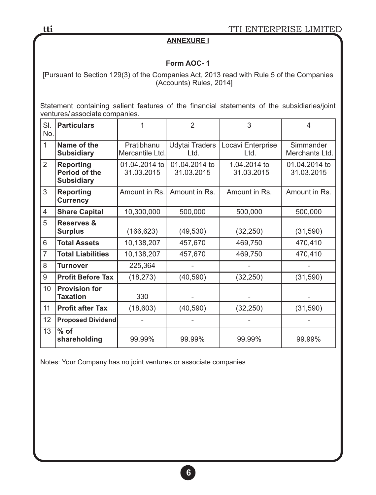## **ANNEXURE I**

# **Form AOC- 1**

[Pursuant to Section 129(3) of the Companies Act, 2013 read with Rule 5 of the Companies (Accounts) Rules, 2014]

Statement containing salient features of the financial statements of the subsidiaries/joint ventures/ associate companies.

| SI.<br>No.     | <b>Particulars</b>                                            |                               | $\overline{2}$              | 3                          | 4                           |  |
|----------------|---------------------------------------------------------------|-------------------------------|-----------------------------|----------------------------|-----------------------------|--|
| $\mathbf{1}$   | Name of the<br><b>Subsidiary</b>                              | Pratibhanu<br>Mercantile Ltd. | Udytai Traders<br>Ltd.      | Locavi Enterprise<br>Ltd.  | Simmander<br>Merchants Ltd. |  |
| $\overline{2}$ | <b>Reporting</b><br><b>Period of the</b><br><b>Subsidiary</b> | 01.04.2014 to<br>31.03.2015   | 01.04.2014 to<br>31.03.2015 | 1.04.2014 to<br>31.03.2015 | 01.04.2014 to<br>31.03.2015 |  |
| 3              | <b>Reporting</b><br><b>Currency</b>                           | Amount in Rs.                 | Amount in Rs.               | Amount in Rs.              | Amount in Rs.               |  |
| 4              | <b>Share Capital</b>                                          | 10,300,000                    | 500,000                     | 500,000                    | 500,000                     |  |
| 5              | <b>Reserves &amp;</b><br><b>Surplus</b>                       | (166, 623)                    | (49, 530)<br>(32, 250)      |                            | (31, 590)                   |  |
| 6              | <b>Total Assets</b>                                           | 10,138,207                    | 457,670                     | 469,750                    | 470,410                     |  |
| $\overline{7}$ | <b>Total Liabilities</b>                                      | 10,138,207                    | 457,670<br>469,750          |                            | 470,410                     |  |
| 8              | <b>Turnover</b>                                               | 225,364                       |                             |                            |                             |  |
| 9              | <b>Profit Before Tax</b>                                      | (18, 273)                     | (40, 590)                   | (32, 250)                  | (31, 590)                   |  |
| 10             | <b>Provision for</b><br>Taxation                              | 330                           |                             |                            |                             |  |
| 11             | <b>Profit after Tax</b>                                       | (18, 603)                     | (40, 590)                   | (32, 250)                  | (31, 590)                   |  |
| 12             | <b>Proposed Dividend</b>                                      |                               |                             |                            |                             |  |
| 13             | $%$ of<br>shareholding                                        | 99.99%                        | 99.99%                      | 99.99%                     | 99.99%                      |  |

Notes: Your Company has no joint ventures or associate companies

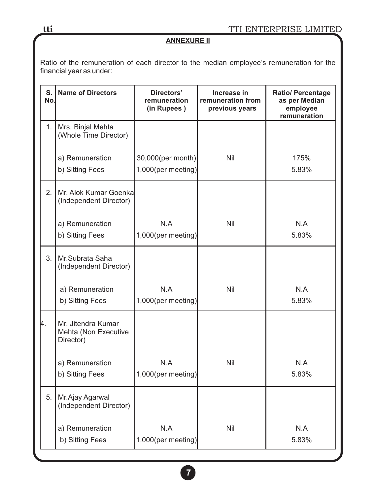# **ANNEXURE II**

Ratio of the remuneration of each director to the median employee's remuneration for the financial year as under:

| S.<br>No.      | <b>Name of Directors</b>                                | Directors'<br>remuneration<br>(in Rupees) | Increase in<br>remuneration from<br>previous years | <b>Ratio/ Percentage</b><br>as per Median<br>employee<br>remuneration |
|----------------|---------------------------------------------------------|-------------------------------------------|----------------------------------------------------|-----------------------------------------------------------------------|
| 1.             | Mrs. Binjal Mehta<br>(Whole Time Director)              |                                           |                                                    |                                                                       |
|                | a) Remuneration                                         | 30,000(per month)                         | Nil                                                | 175%                                                                  |
|                | b) Sitting Fees                                         | 1,000(per meeting)                        |                                                    | 5.83%                                                                 |
| 2 <sub>1</sub> | Mr. Alok Kumar Goenka<br>(Independent Director)         |                                           |                                                    |                                                                       |
|                | a) Remuneration<br>b) Sitting Fees                      | N.A<br>$1,000$ (per meeting)              | Nil                                                | N.A<br>5.83%                                                          |
| 3.             | Mr.Subrata Saha<br>(Independent Director)               |                                           |                                                    |                                                                       |
|                | a) Remuneration                                         | N.A                                       | Nil                                                | N.A                                                                   |
|                | b) Sitting Fees                                         | $1,000$ (per meeting)                     |                                                    | 5.83%                                                                 |
| 4.             | Mr. Jitendra Kumar<br>Mehta (Non Executive<br>Director) |                                           |                                                    |                                                                       |
|                | a) Remuneration                                         | N.A                                       | Nil                                                | N.A                                                                   |
|                | b) Sitting Fees                                         | $1,000$ (per meeting)                     |                                                    | 5.83%                                                                 |
| 5.             | Mr.Ajay Agarwal<br>(Independent Director)               |                                           |                                                    |                                                                       |
|                | a) Remuneration                                         | N.A                                       | Nil                                                | N.A                                                                   |
|                | b) Sitting Fees                                         | $1,000$ (per meeting)                     |                                                    | 5.83%                                                                 |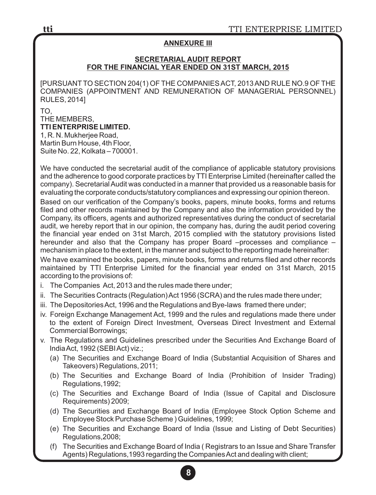#### **ANNEXURE III**

#### **SECRETARIAL AUDIT REPORT FOR THE FINANCIAL YEAR ENDED ON 31ST MARCH, 2015**

[PURSUANT TO SECTION 204(1) OF THE COMPANIES ACT, 2013 AND RULE NO.9 OF THE COMPANIES (APPOINTMENT AND REMUNERATION OF MANAGERIAL PERSONNEL) RULES, 2014]

TO, THE MEMBERS, **TTI ENTERPRISE LIMITED.** 1, R. N. Mukherjee Road,

Martin Burn House, 4th Floor, Suite No. 22, Kolkata – 700001.

We have conducted the secretarial audit of the compliance of applicable statutory provisions and the adherence to good corporate practices by TTI Enterprise Limited (hereinafter called the company). Secretarial Audit was conducted in a manner that provided us a reasonable basis for evaluating the corporate conducts/statutory compliances and expressing our opinion thereon.

Based on our verification of the Company's books, papers, minute books, forms and returns filed and other records maintained by the Company and also the information provided by the Company, its officers, agents and authorized representatives during the conduct of secretarial audit, we hereby report that in our opinion, the company has, during the audit period covering the financial year ended on 31st March, 2015 complied with the statutory provisions listed hereunder and also that the Company has proper Board –processes and compliance – mechanism in place to the extent, in the manner and subject to the reporting made hereinafter:

We have examined the books, papers, minute books, forms and returns filed and other records maintained by TTI Enterprise Limited for the financial year ended on 31st March, 2015 according to the provisions of:

- i. The Companies Act, 2013 and the rules made there under;
- ii. The Securities Contracts (Regulation) Act 1956 (SCRA) and the rules made there under;
- iii. The Depositories Act, 1996 and the Regulations and Bye-laws framed there under;
- iv. Foreign Exchange Management Act, 1999 and the rules and regulations made there under to the extent of Foreign Direct Investment, Overseas Direct Investment and External Commercial Borrowings;
- v. The Regulations and Guidelines prescribed under the Securities And Exchange Board of India Act, 1992 (SEBI Act) viz.;
	- (a) The Securities and Exchange Board of India (Substantial Acquisition of Shares and Takeovers) Regulations, 2011;
	- (b) The Securities and Exchange Board of India (Prohibition of Insider Trading) Regulations,1992;
	- (c) The Securities and Exchange Board of India (Issue of Capital and Disclosure Requirements) 2009;
	- (d) The Securities and Exchange Board of India (Employee Stock Option Scheme and Employee Stock Purchase Scheme ) Guidelines, 1999;
	- (e) The Securities and Exchange Board of India (Issue and Listing of Debt Securities) Regulations,2008;
	- (f) The Securities and Exchange Board of India ( Registrars to an Issue and Share Transfer Agents) Regulations,1993 regarding the Companies Act and dealing with client;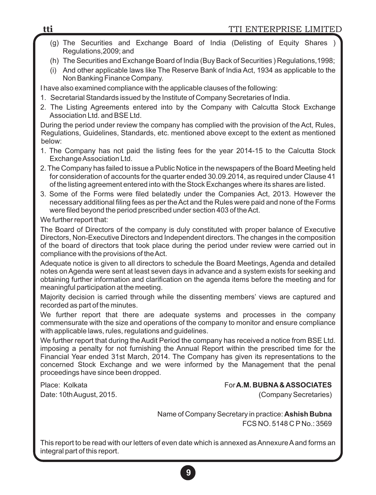- (g) The Securities and Exchange Board of India (Delisting of Equity Shares ) Regulations,2009; and
- (h) The Securities and Exchange Board of India (Buy Back of Securities ) Regulations,1998;
- (i) And other applicable laws like The Reserve Bank of India Act, 1934 as applicable to the Non Banking Finance Company.

I have also examined compliance with the applicable clauses of the following:

- 1. Secretarial Standards issued by the Institute of Company Secretaries of India.
- 2. The Listing Agreements entered into by the Company with Calcutta Stock Exchange Association Ltd. and BSE Ltd.

During the period under review the company has complied with the provision of the Act, Rules, Regulations, Guidelines, Standards, etc. mentioned above except to the extent as mentioned below:

- 1. The Company has not paid the listing fees for the year 2014-15 to the Calcutta Stock Exchange Association Ltd.
- 2. The Company has failed to issue a Public Notice in the newspapers of the Board Meeting held for consideration of accounts for the quarter ended 30.09.2014, as required under Clause 41 of the listing agreement entered into with the Stock Exchanges where its shares are listed.
- 3. Some of the Forms were filed belatedly under the Companies Act, 2013. However the necessary additional filing fees as per the Act and the Rules were paid and none of the Forms were filed beyond the period prescribed under section 403 of the Act.

We further report that:

The Board of Directors of the company is duly constituted with proper balance of Executive Directors, Non-Executive Directors and Independent directors. The changes in the composition of the board of directors that took place during the period under review were carried out in compliance with the provisions of the Act.

Adequate notice is given to all directors to schedule the Board Meetings, Agenda and detailed notes on Agenda were sent at least seven days in advance and a system exists for seeking and obtaining further information and clarification on the agenda items before the meeting and for meaningful participation at the meeting.

Majority decision is carried through while the dissenting members' views are captured and recorded as part of the minutes.

We further report that there are adequate systems and processes in the company commensurate with the size and operations of the company to monitor and ensure compliance with applicable laws, rules, regulations and guidelines.

We further report that during the Audit Period the company has received a notice from BSE Ltd. imposing a penalty for not furnishing the Annual Report within the prescribed time for the Financial Year ended 31st March, 2014. The Company has given its representations to the concerned Stock Exchange and we were informed by the Management that the penal proceedings have since been dropped.

Date: 10th August, 2015. (Company Secretaries)

#### Place: Kolkata For**A.M. BUBNA& ASSOCIATES**

 Name of Company Secretary in practice: **Ashish Bubna** FCS NO. 5148 C P No.: 3569

This report to be read with our letters of even date which is annexed as Annexure Aand forms an integral part of this report.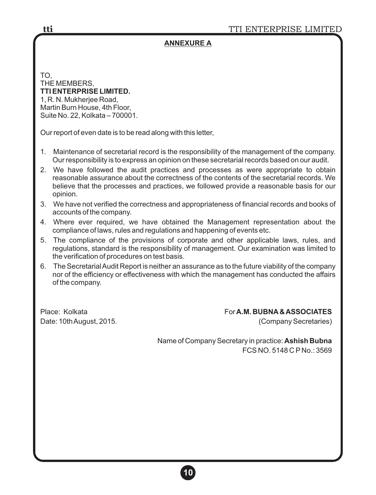# **ANNEXURE A**

TO, THE MEMBERS, **TTI ENTERPRISE LIMITED.** 1, R. N. Mukherjee Road, Martin Burn House, 4th Floor, Suite No. 22, Kolkata – 700001.

Our report of even date is to be read along with this letter,

- 1. Maintenance of secretarial record is the responsibility of the management of the company. Our responsibility is to express an opinion on these secretarial records based on our audit.
- 2. We have followed the audit practices and processes as were appropriate to obtain reasonable assurance about the correctness of the contents of the secretarial records. We believe that the processes and practices, we followed provide a reasonable basis for our opinion.
- 3. We have not verified the correctness and appropriateness of financial records and books of accounts of the company.
- 4. Where ever required, we have obtained the Management representation about the compliance of laws, rules and regulations and happening of events etc.
- 5. The compliance of the provisions of corporate and other applicable laws, rules, and regulations, standard is the responsibility of management. Our examination was limited to the verification of procedures on test basis.
- 6. The Secretarial Audit Report is neither an assurance as to the future viability of the company nor of the efficiency or effectiveness with which the management has conducted the affairs of the company.

Date: 10th August, 2015. (Company Secretaries)

Place: Kolkata For**A.M. BUBNA& ASSOCIATES**

 Name of Company Secretary in practice: **Ashish Bubna** FCS NO. 5148 C P No.: 3569

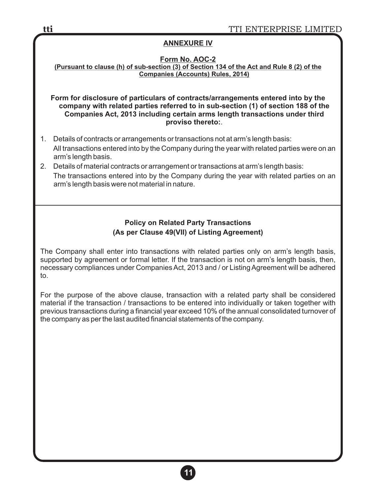## **ANNEXURE IV**

#### **Form No. AOC-2**

**(Pursuant to clause (h) of sub-section (3) of Section 134 of the Act and Rule 8 (2) of the Companies (Accounts) Rules, 2014)**

**Form for disclosure of particulars of contracts/arrangements entered into by the company with related parties referred to in sub-section (1) of section 188 of the Companies Act, 2013 including certain arms length transactions under third proviso thereto:**.

- 1. Details of contracts or arrangements or transactions not at arm's length basis: All transactions entered into by the Company during the year with related parties were on an arm's length basis.
- 2. Details of material contracts or arrangement or transactions at arm's length basis: The transactions entered into by the Company during the year with related parties on an arm's length basis were not material in nature.

# **Policy on Related Party Transactions (As per Clause 49(VII) of Listing Agreement)**

The Company shall enter into transactions with related parties only on arm's length basis, supported by agreement or formal letter. If the transaction is not on arm's length basis, then, necessary compliances under Companies Act, 2013 and / or Listing Agreement will be adhered to.

For the purpose of the above clause, transaction with a related party shall be considered material if the transaction / transactions to be entered into individually or taken together with previous transactions during a financial year exceed 10% of the annual consolidated turnover of the company as per the last audited financial statements of the company.

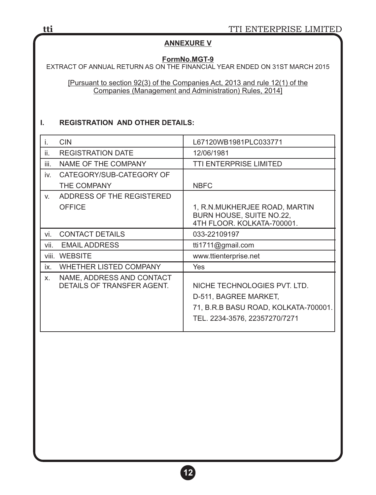## **ANNEXURE V**

#### **FormNo.MGT-9**

EXTRACT OF ANNUAL RETURN AS ON THE FINANCIAL YEAR ENDED ON 31ST MARCH 2015

[Pursuant to section 92(3) of the Companies Act, 2013 and rule 12(1) of the Companies (Management and Administration) Rules, 2014]

#### **I. REGISTRATION AND OTHER DETAILS:**

| İ.   | <b>CIN</b>                                              | L67120WB1981PLC033771                                                                                                          |
|------|---------------------------------------------------------|--------------------------------------------------------------------------------------------------------------------------------|
| ii.  | <b>REGISTRATION DATE</b>                                | 12/06/1981                                                                                                                     |
| iii. | NAME OF THE COMPANY                                     | <b>TTI ENTERPRISE LIMITED</b>                                                                                                  |
| İV.  | CATEGORY/SUB-CATEGORY OF                                |                                                                                                                                |
|      | THE COMPANY                                             | <b>NBFC</b>                                                                                                                    |
| V.   | ADDRESS OF THE REGISTERED                               |                                                                                                                                |
|      | OFFICE                                                  | 1, R.N.MUKHERJEE ROAD, MARTIN<br>BURN HOUSE, SUITE NO.22,<br>4TH FLOOR, KOLKATA-700001.                                        |
| vi.  | <b>CONTACT DETAILS</b>                                  | 033-22109197                                                                                                                   |
| vii. | <b>EMAIL ADDRESS</b>                                    | tti1711@gmail.com                                                                                                              |
|      | viii. WEBSITE                                           | www.ttienterprise.net                                                                                                          |
| ix.  | <b>WHETHER LISTED COMPANY</b>                           | Yes                                                                                                                            |
| Χ.   | NAME, ADDRESS AND CONTACT<br>DETAILS OF TRANSFER AGENT. | NICHE TECHNOLOGIES PVT. LTD.<br>D-511, BAGREE MARKET,<br>71, B.R.B BASU ROAD, KOLKATA-700001.<br>TEL. 2234-3576, 22357270/7271 |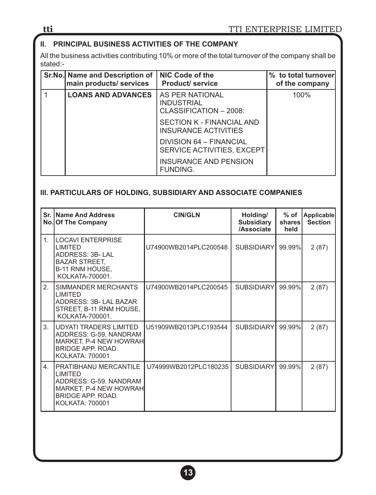# **II. PRINCIPAL BUSINESS ACTIVITIES OF THE COMPANY**

All the business activities contributing 10% or more of the total turnover of the company shall be stated:-

| Sr.No. Name and Description of  <br>main products/ services | NIC Code of the<br><b>Product/service</b>                      | % to total turnover<br>of the company |
|-------------------------------------------------------------|----------------------------------------------------------------|---------------------------------------|
| <b>LOANS AND ADVANCES</b>                                   | AS PER NATIONAL<br><b>INDUSTRIAL</b><br>CLASSIFICATION - 2008: | 100%                                  |
|                                                             | SECTION K - FINANCIAL AND<br>INSURANCE ACTIVITIES              |                                       |
|                                                             | DIVISION 64 - FINANCIAL<br>SERVICE ACTIVITIES, EXCEPT          |                                       |
|                                                             | <b>INSURANCE AND PENSION</b><br><b>FUNDING.</b>                |                                       |

# **III. PARTICULARS OF HOLDING, SUBSIDIARY AND ASSOCIATE COMPANIES**

|                | <b>Sr. IName And Address</b><br>No. Of The Company                                                                                                 | <b>CIN/GLN</b>        | Holding/<br><b>Subsidiary</b><br>/Associate | $%$ of<br>shares<br>held | Applicable<br><b>Section</b> |
|----------------|----------------------------------------------------------------------------------------------------------------------------------------------------|-----------------------|---------------------------------------------|--------------------------|------------------------------|
| 1 <sup>1</sup> | <b>ILOCAVI ENTERPRISE</b><br>I IMITED<br>ADDRESS: 3B-LAL<br><b>BAZAR STREET,</b><br>B-11 RNM HOUSE.<br>KOLKATA-700001.                             | U74900WB2014PLC200548 | <b>SUBSIDIARY</b>                           | $99.99\%$                | 2(87)                        |
| 2 <sub>1</sub> | ISIMMANDER MERCHANTS<br>I IMITED<br>ADDRESS: 3B- LAL BAZAR<br>STREET, B-11 RNM HOUSE,<br>KOLKATA-700001.                                           | U74900WB2014PLC200545 | <b>SUBSIDIARY</b>                           | 99.99%                   | 2(87)                        |
| 3.             | IUDYATI TRADERS LIMITED<br>ADDRESS: G-59, NANDRAM<br>MARKET, P-4 NEW HOWRAH<br>BRIDGE APP, ROAD.<br><b>KOLKATA: 700001</b>                         | U51909WB2013PLC193544 | <b>SUBSIDIARY</b>                           | 99.99%                   | 2(87)                        |
| 4 <sup>1</sup> | <b>IPRATIBHANU MERCANTILE</b><br><b>LIMITED</b><br>ADDRESS: G-59, NANDRAM<br>MARKET, P-4 NEW HOWRAH<br><b>BRIDGE APP, ROAD.</b><br>KOLKATA: 700001 | U74999WB2012PLC180235 | SUBSIDIARY                                  | 99.99%                   | 2(87)                        |

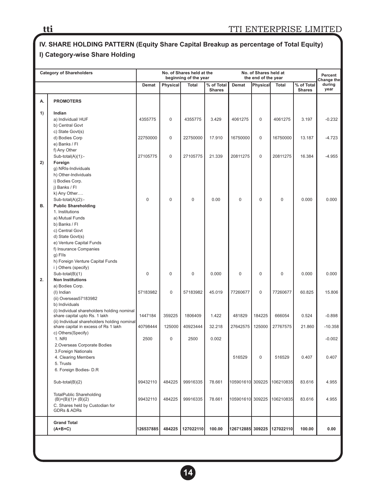# **IV. SHARE HOLDING PATTERN (Equity Share Capital Breakup as percentage of Total Equity) I) Category-wise Share Holding**

|    | <b>Category of Shareholders</b>                                                      | No. of Shares held at the<br>beginning of the year                                             |             | No. of Shares held at<br>the end of the year |                |                  |        | Percent<br>Change the      |        |           |
|----|--------------------------------------------------------------------------------------|------------------------------------------------------------------------------------------------|-------------|----------------------------------------------|----------------|------------------|--------|----------------------------|--------|-----------|
|    |                                                                                      | Physical<br><b>Total</b><br>% of Total<br>Physical<br>Demat<br>Demat<br>Total<br><b>Shares</b> |             | % of Total<br><b>Shares</b>                  | during<br>year |                  |        |                            |        |           |
| А. | <b>PROMOTERS</b>                                                                     |                                                                                                |             |                                              |                |                  |        |                            |        |           |
| 1) | Indian                                                                               |                                                                                                |             |                                              |                |                  |        |                            |        |           |
|    | a) Individual/ HUF<br>b) Central Govt                                                | 4355775                                                                                        | 0           | 4355775                                      | 3.429          | 4061275          | 0      | 4061275                    | 3.197  | $-0.232$  |
|    | c) State Govt(s)                                                                     |                                                                                                |             |                                              |                |                  |        |                            |        |           |
|    | d) Bodies Corp<br>e) Banks / Fl                                                      | 22750000                                                                                       | 0           | 22750000                                     | 17.910         | 16750000         | 0      | 16750000                   | 13.187 | $-4.723$  |
|    | f) Any Other                                                                         |                                                                                                |             |                                              |                |                  |        |                            |        |           |
|    | $Sub-total(A)(1)$ :-                                                                 | 27105775                                                                                       | 0           | 27105775                                     | 21.339         | 20811275         | 0      | 20811275                   | 16.384 | $-4.955$  |
| 2) | Foreign<br>g) NRIs-Individuals                                                       |                                                                                                |             |                                              |                |                  |        |                            |        |           |
|    | h) Other-Individuals                                                                 |                                                                                                |             |                                              |                |                  |        |                            |        |           |
|    | i) Bodies Corp.                                                                      |                                                                                                |             |                                              |                |                  |        |                            |        |           |
|    | j) Banks / Fl<br>k) Any Other                                                        |                                                                                                |             |                                              |                |                  |        |                            |        |           |
|    | Sub-total(A)(2):-                                                                    | $\mathbf 0$                                                                                    | 0           | 0                                            | 0.00           | 0                | 0      | 0                          | 0.000  | 0.000     |
| В. | <b>Public Shareholding</b>                                                           |                                                                                                |             |                                              |                |                  |        |                            |        |           |
|    | 1. Institutions<br>a) Mutual Funds                                                   |                                                                                                |             |                                              |                |                  |        |                            |        |           |
|    | b) Banks / Fl                                                                        |                                                                                                |             |                                              |                |                  |        |                            |        |           |
|    | c) Central Govt                                                                      |                                                                                                |             |                                              |                |                  |        |                            |        |           |
|    | d) State Govt(s)                                                                     |                                                                                                |             |                                              |                |                  |        |                            |        |           |
|    | e) Venture Capital Funds<br>f) Insurance Companies                                   |                                                                                                |             |                                              |                |                  |        |                            |        |           |
|    | g) Flls                                                                              |                                                                                                |             |                                              |                |                  |        |                            |        |           |
|    | h) Foreign Venture Capital Funds                                                     |                                                                                                |             |                                              |                |                  |        |                            |        |           |
|    | i) Others (specify)                                                                  |                                                                                                |             |                                              |                |                  |        |                            |        |           |
| 2. | Sub-total(B)(1)<br><b>Non Institutions</b>                                           | $\mathbf 0$                                                                                    | 0           | 0                                            | 0.000          | 0                | 0      | 0                          | 0.000  | 0.000     |
|    | a) Bodies Corp.                                                                      |                                                                                                |             |                                              |                |                  |        |                            |        |           |
|    | (I) Indian                                                                           | 57183982                                                                                       | $\mathbf 0$ | 57183982                                     | 45.019         | 77260677         | 0      | 77260677                   | 60.825 | 15.806    |
|    | (ii) Overseas57183982                                                                |                                                                                                |             |                                              |                |                  |        |                            |        |           |
|    | b) Individuals<br>(i) Individual shareholders holding nominal                        |                                                                                                |             |                                              |                |                  |        |                            |        |           |
|    | share capital upto Rs. 1 lakh                                                        | 1447184                                                                                        | 359225      | 1806409                                      | 1.422          | 481829           | 184225 | 666054                     | 0.524  | $-0.898$  |
|    | (ii) Individual shareholders holding nominal<br>share capital in excess of Rs 1 lakh | 40798444                                                                                       | 125000      | 40923444                                     | 32.218         | 27642575         | 125000 | 27767575                   | 21.860 | $-10.358$ |
|    | c) Others(Specify)                                                                   |                                                                                                |             |                                              |                |                  |        |                            |        |           |
|    | 1. NRI                                                                               | 2500                                                                                           | $\mathbf 0$ | 2500                                         | 0.002          |                  |        |                            |        | $-0.002$  |
|    | 2. Overseas Corporate Bodies                                                         |                                                                                                |             |                                              |                |                  |        |                            |        |           |
|    | 3. Foreign Nationals<br>4. Clearing Members                                          |                                                                                                |             |                                              |                | 516529           | 0      | 516529                     | 0.407  | 0.407     |
|    | 5. Trusts                                                                            |                                                                                                |             |                                              |                |                  |        |                            |        |           |
|    | 6. Foreign Bodies- D.R                                                               |                                                                                                |             |                                              |                |                  |        |                            |        |           |
|    | $Sub-total(B)(2)$                                                                    | 99432110                                                                                       | 484225      | 99916335                                     | 78.661         | 105901610 309225 |        | 106210835                  | 83.616 | 4.955     |
|    | <b>TotalPublic Shareholding</b>                                                      |                                                                                                |             |                                              |                |                  |        |                            |        |           |
|    | $(B)=(B)(1)+(B)(2)$                                                                  | 99432110                                                                                       | 484225      | 99916335                                     | 78.661         | 105901610 309225 |        | 106210835                  | 83.616 | 4.955     |
|    | C. Shares held by Custodian for<br><b>GDRs &amp; ADRs</b>                            |                                                                                                |             |                                              |                |                  |        |                            |        |           |
|    | <b>Grand Total</b>                                                                   |                                                                                                |             |                                              |                |                  |        |                            |        |           |
|    | $(A+B+C)$                                                                            | 126537885                                                                                      | 484225      | 127022110                                    | 100.00         |                  |        | 126712885 309225 127022110 | 100.00 | 0.00      |
|    |                                                                                      |                                                                                                |             |                                              |                |                  |        |                            |        |           |

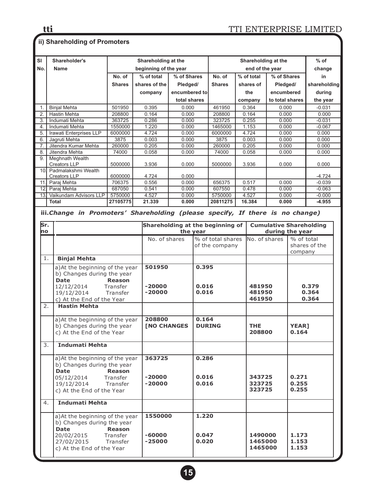# **ii) Shareholding of Promoters**

| SI               | Shareholder's                                                                 | Shareholding at the |  |                       |                |                | Shareholding at the              |            |                  |                 |                       | $%$ of                         |
|------------------|-------------------------------------------------------------------------------|---------------------|--|-----------------------|----------------|----------------|----------------------------------|------------|------------------|-----------------|-----------------------|--------------------------------|
| No.              | Name                                                                          |                     |  | beginning of the year |                |                | end of the year                  |            |                  |                 |                       | change                         |
|                  |                                                                               | No. of              |  | % of total            | % of Shares    |                | No. of                           | % of total |                  | % of Shares     |                       | in                             |
|                  |                                                                               | <b>Shares</b>       |  | shares of the         | Pledged/       |                | <b>Shares</b>                    | shares of  |                  | Pledged/        |                       | shareholding                   |
|                  |                                                                               |                     |  | company               | encumbered to  |                |                                  | the        |                  | encumbered      |                       | during                         |
|                  |                                                                               |                     |  |                       | total shares   |                |                                  |            | company          | to total shares |                       | the year                       |
| 1.               | <b>Binjal Mehta</b>                                                           | 501950              |  | 0.395                 |                |                | 461950                           |            | 0.364            | 0.000           |                       | $-0.031$                       |
| 2.               | Hastin Mehta                                                                  | 208800              |  | 0.164                 | 0.000<br>0.000 |                | 208800                           |            | 0.164            | 0.000           |                       | 0.000                          |
| $\overline{3}$ . | Indumati Mehta                                                                | 363725              |  | 0.286                 | 0.000          |                | 323725                           |            | 0.255            | 0.000           |                       | $-0.031$                       |
| 4.               | Indumati Mehta                                                                | 1550000             |  | 1.220                 | 0.000          |                | 1465000                          |            | 1.153            | 0.000           |                       | $-0.067$                       |
| 5.               | Irawati Enterprises LLP                                                       | 6000000             |  | 4.724                 | 0.000          |                | 6000000                          |            | 4.724            | 0.000           |                       | 0.000                          |
| 6.               | Jagruti Mehta                                                                 | 3875                |  | 0.003                 | 0.000          |                | 3875                             |            | 0.003            | 0.000           |                       | 0.000                          |
| 7.1              | Jitendra Kumar Mehta                                                          | 260000              |  | 0.205                 | 0.000          |                | 260000                           |            | 0.205            | 0.000           |                       | 0.000                          |
| 8.               | Jitendra Mehta                                                                | 74000               |  | 0.058                 | 0.000          |                | 74000                            |            | 0.058            | 0.000           |                       | 0.000                          |
| 9.               | Meghnath Wealth<br>Creators LLP                                               | 5000000             |  | 3.936                 | 0.000          |                | 5000000                          |            | 3.936            | 0.000           |                       | 0.000                          |
| 10 <sub>l</sub>  | Padmalakshmi Wealth<br><b>Creators LLP</b>                                    | 6000000             |  | 4.724                 | 0.000          |                |                                  |            |                  |                 |                       | $-4.724$                       |
|                  | 11. Paraj Mehta                                                               | 706375              |  | 0.556                 | 0.000          |                | 656375                           |            | 0.517            | 0.000           |                       | $-0.039$                       |
|                  | 12. Paraj Mehta                                                               | 687050              |  | 0.541                 | 0.000          |                | 607550                           |            | 0.478            | 0.000           |                       | $-0.063$                       |
|                  | 13. Vaikundam Advisors LLP                                                    | 5750000             |  | 4.527                 | 0.000          |                | 5750000                          |            | 4.527            | 0.000           |                       | $-0.000$                       |
|                  | <b>Total</b>                                                                  | 27105775            |  | 21.339                | 0.000          |                | 20811275                         |            | 16.384           | 0.000           |                       | $-4.955$                       |
|                  | iii.Change in Promoters' Shareholding (please specify, If there is no change) |                     |  |                       |                |                |                                  |            |                  |                 |                       |                                |
| Sr.<br>no        |                                                                               |                     |  |                       |                | the year       | Shareholding at the beginning of |            |                  | during the year |                       | <b>Cumulative Shareholding</b> |
|                  |                                                                               |                     |  | No. of shares         |                |                | % of total shares                |            | No. of shares    |                 | % of total            |                                |
|                  |                                                                               |                     |  |                       |                |                | of the company                   |            |                  |                 |                       | shares of the                  |
|                  |                                                                               |                     |  |                       |                |                |                                  |            |                  |                 | company               |                                |
| $1$ .            | <b>Binjal Mehta</b>                                                           |                     |  |                       |                |                |                                  |            |                  |                 |                       |                                |
|                  | a) At the beginning of the year                                               |                     |  | 501950<br>0.395       |                |                |                                  |            |                  |                 |                       |                                |
|                  | b) Changes during the year                                                    |                     |  |                       |                |                |                                  |            |                  |                 |                       |                                |
|                  | <b>Date</b>                                                                   | <b>Reason</b>       |  |                       |                |                |                                  |            |                  |                 |                       |                                |
|                  | 12/12/2014                                                                    | Transfer            |  | $-20000$              |                |                | 0.016                            |            | 481950           |                 |                       | 0.379                          |
|                  | 19/12/2014                                                                    | Transfer            |  | $-20000$              |                | 0.016          |                                  | 481950     |                  |                 | 0.364                 |                                |
|                  | c) At the End of the Year                                                     |                     |  |                       |                |                |                                  |            | 461950           |                 |                       | 0.364                          |
| 2.               | <b>Hastin Mehta</b>                                                           |                     |  |                       |                |                |                                  |            |                  |                 |                       |                                |
|                  |                                                                               |                     |  |                       |                |                |                                  |            |                  |                 |                       |                                |
|                  | a) At the beginning of the year                                               |                     |  | 208800                |                | 0.164          |                                  |            |                  |                 |                       |                                |
|                  | b) Changes during the year                                                    |                     |  | <b>[NO CHANGES</b>    |                |                | <b>DURING</b><br><b>THE</b>      |            | 208800           |                 | <b>YEAR1</b><br>0.164 |                                |
|                  | c) At the End of the Year                                                     |                     |  |                       |                |                |                                  |            |                  |                 |                       |                                |
| 3.               | <b>Indumati Mehta</b>                                                         |                     |  |                       |                |                |                                  |            |                  |                 |                       |                                |
|                  |                                                                               |                     |  |                       |                |                |                                  |            |                  |                 |                       |                                |
|                  | a) At the beginning of the year                                               |                     |  | 363725                |                | 0.286          |                                  |            |                  |                 |                       |                                |
|                  | b) Changes during the year                                                    |                     |  |                       |                |                |                                  |            |                  |                 |                       |                                |
|                  | <b>Date Example 2</b>                                                         | Reason              |  |                       |                |                |                                  |            |                  |                 |                       |                                |
|                  | 05/12/2014<br>19/12/2014                                                      | Transfer            |  | $-20000$<br>$-20000$  |                | 0.016<br>0.016 |                                  |            | 343725<br>323725 |                 | 0.271<br>0.255        |                                |
|                  | c) At the End of the Year                                                     | Transfer            |  |                       |                |                |                                  |            | 323725           |                 | 0.255                 |                                |
|                  |                                                                               |                     |  |                       |                |                |                                  |            |                  |                 |                       |                                |
| 4.               | Indumati Mehta                                                                |                     |  |                       |                |                |                                  |            |                  |                 |                       |                                |
|                  | a) At the beginning of the year                                               |                     |  | 1550000               |                | 1.220          |                                  |            |                  |                 |                       |                                |
|                  | b) Changes during the year                                                    |                     |  |                       |                |                |                                  |            |                  |                 |                       |                                |
|                  | Date                                                                          | <b>Reason</b>       |  |                       |                |                |                                  |            |                  |                 |                       |                                |
|                  | 20/02/2015                                                                    | Transfer            |  | $-60000$              |                | 0.047          |                                  |            | 1490000          |                 | 1.173                 |                                |
|                  | 27/02/2015                                                                    | Transfer            |  | $-25000$              |                | 0.020          |                                  |            | 1465000          |                 | 1.153                 |                                |
|                  | c) At the End of the Year                                                     |                     |  |                       |                |                |                                  |            | 1465000          |                 | 1.153                 |                                |
|                  |                                                                               |                     |  |                       |                |                |                                  |            |                  |                 |                       |                                |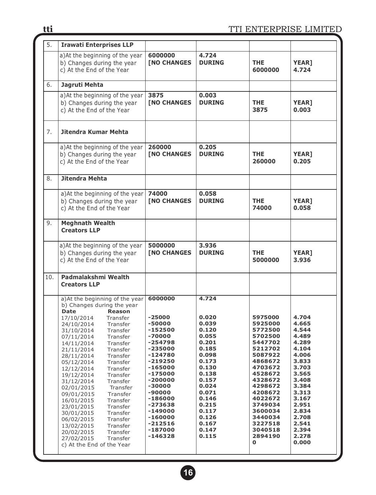| 5.  | <b>Irawati Enterprises LLP</b>                                                                                                                                                                                                                                                                                                                                                                                                                                                                                                                                                                                                                                     |                                                                                                                                                                                                                                          |                                                                                                                                                                                           |                                                                                                                                                                                                                               |                                                                                                                                                                                           |
|-----|--------------------------------------------------------------------------------------------------------------------------------------------------------------------------------------------------------------------------------------------------------------------------------------------------------------------------------------------------------------------------------------------------------------------------------------------------------------------------------------------------------------------------------------------------------------------------------------------------------------------------------------------------------------------|------------------------------------------------------------------------------------------------------------------------------------------------------------------------------------------------------------------------------------------|-------------------------------------------------------------------------------------------------------------------------------------------------------------------------------------------|-------------------------------------------------------------------------------------------------------------------------------------------------------------------------------------------------------------------------------|-------------------------------------------------------------------------------------------------------------------------------------------------------------------------------------------|
|     | a) At the beginning of the year<br>b) Changes during the year<br>c) At the End of the Year                                                                                                                                                                                                                                                                                                                                                                                                                                                                                                                                                                         | 6000000<br><b>[NO CHANGES</b>                                                                                                                                                                                                            | 4.724<br><b>DURING</b>                                                                                                                                                                    | <b>THE</b><br>6000000                                                                                                                                                                                                         | <b>YEAR]</b><br>4.724                                                                                                                                                                     |
| 6.  | Jagruti Mehta                                                                                                                                                                                                                                                                                                                                                                                                                                                                                                                                                                                                                                                      |                                                                                                                                                                                                                                          |                                                                                                                                                                                           |                                                                                                                                                                                                                               |                                                                                                                                                                                           |
|     | a) At the beginning of the year<br>b) Changes during the year<br>c) At the End of the Year                                                                                                                                                                                                                                                                                                                                                                                                                                                                                                                                                                         | 3875<br><b>[NO CHANGES</b>                                                                                                                                                                                                               | 0.003<br><b>DURING</b>                                                                                                                                                                    | <b>THE</b><br>3875                                                                                                                                                                                                            | <b>YEAR1</b><br>0.003                                                                                                                                                                     |
| 7.  | Jitendra Kumar Mehta                                                                                                                                                                                                                                                                                                                                                                                                                                                                                                                                                                                                                                               |                                                                                                                                                                                                                                          |                                                                                                                                                                                           |                                                                                                                                                                                                                               |                                                                                                                                                                                           |
|     | a) At the beginning of the year<br>b) Changes during the year<br>c) At the End of the Year                                                                                                                                                                                                                                                                                                                                                                                                                                                                                                                                                                         | 260000<br><b>[NO CHANGES</b>                                                                                                                                                                                                             | 0.205<br><b>DURING</b>                                                                                                                                                                    | <b>THE</b><br>260000                                                                                                                                                                                                          | <b>YEAR]</b><br>0.205                                                                                                                                                                     |
| 8.  | Jitendra Mehta                                                                                                                                                                                                                                                                                                                                                                                                                                                                                                                                                                                                                                                     |                                                                                                                                                                                                                                          |                                                                                                                                                                                           |                                                                                                                                                                                                                               |                                                                                                                                                                                           |
|     | a) At the beginning of the year<br>b) Changes during the year<br>c) At the End of the Year                                                                                                                                                                                                                                                                                                                                                                                                                                                                                                                                                                         | 74000<br><b>[NO CHANGES</b>                                                                                                                                                                                                              | 0.058<br><b>DURING</b>                                                                                                                                                                    | <b>THE</b><br>74000                                                                                                                                                                                                           | <b>YEAR]</b><br>0.058                                                                                                                                                                     |
| 9.  | <b>Meghnath Wealth</b><br><b>Creators LLP</b>                                                                                                                                                                                                                                                                                                                                                                                                                                                                                                                                                                                                                      |                                                                                                                                                                                                                                          |                                                                                                                                                                                           |                                                                                                                                                                                                                               |                                                                                                                                                                                           |
|     | a) At the beginning of the year<br>b) Changes during the year<br>c) At the End of the Year                                                                                                                                                                                                                                                                                                                                                                                                                                                                                                                                                                         | 5000000<br><b>[NO CHANGES</b>                                                                                                                                                                                                            | 3.936<br><b>DURING</b>                                                                                                                                                                    | <b>THE</b><br>5000000                                                                                                                                                                                                         | <b>YEAR]</b><br>3.936                                                                                                                                                                     |
| 10. | Padmalakshmi Wealth<br><b>Creators LLP</b>                                                                                                                                                                                                                                                                                                                                                                                                                                                                                                                                                                                                                         |                                                                                                                                                                                                                                          |                                                                                                                                                                                           |                                                                                                                                                                                                                               |                                                                                                                                                                                           |
|     | a) At the beginning of the year<br>b) Changes during the year<br><b>Date</b><br><b>Reason</b><br>17/10/2014<br>Transfer<br>24/10/2014<br>Transfer<br>Transfer<br>31/10/2014<br>Transfer<br>07/11/2014<br>Transfer<br>14/11/2014<br>Transfer<br>21/11/2014<br>28/11/2014<br>Transfer<br>05/12/2014<br>Transfer<br>12/12/2014<br>Transfer<br>19/12/2014<br>Transfer<br>31/12/2014<br>Transfer<br>02/01/2015<br>Transfer<br>09/01/2015<br>Transfer<br>16/01/2015<br>Transfer<br>23/01/2015<br>Transfer<br>Transfer<br>30/01/2015<br>06/02/2015<br>Transfer<br>Transfer<br>13/02/2015<br>20/02/2015<br>Transfer<br>27/02/2015<br>Transfer<br>c) At the End of the Year | 6000000<br>$-25000$<br>-50000<br>-152500<br>-70000<br>-254798<br>$-235000$<br>-124780<br>-219250<br>-165000<br>$-175000$<br>$-200000$<br>-30000<br>-90000<br>-186000<br>-273638<br>-149000<br>-160000<br>$-212516$<br>-187000<br>-146328 | 4.724<br>0.020<br>0.039<br>0.120<br>0.055<br>0.201<br>0.185<br>0.098<br>0.173<br>0.130<br>0.138<br>0.157<br>0.024<br>0.071<br>0.146<br>0.215<br>0.117<br>0.126<br>0.167<br>0.147<br>0.115 | 5975000<br>5925000<br>5772500<br>5702500<br>5447702<br>5212702<br>5087922<br>4868672<br>4703672<br>4528672<br>4328672<br>4298672<br>4208672<br>4022672<br>3749034<br>3600034<br>3440034<br>3227518<br>3040518<br>2894190<br>0 | 4.704<br>4.665<br>4.544<br>4.489<br>4.289<br>4.104<br>4.006<br>3.833<br>3.703<br>3.565<br>3.408<br>3.384<br>3.313<br>3.167<br>2.951<br>2.834<br>2.708<br>2.541<br>2.394<br>2.278<br>0.000 |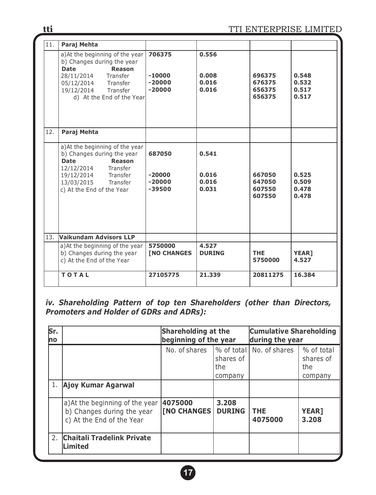| 11. | Paraj Mehta                                                                                                                                                                                        |                                            |                                  |                                      |                                  |
|-----|----------------------------------------------------------------------------------------------------------------------------------------------------------------------------------------------------|--------------------------------------------|----------------------------------|--------------------------------------|----------------------------------|
|     | a) At the beginning of the year<br>b) Changes during the year<br><b>Date</b><br><b>Reason</b><br>28/11/2014 Transfer<br>05/12/2014 Transfer<br>19/12/2014 Transfer<br>d) At the End of the Year    | 706375<br>$-10000$<br>$-20000$<br>$-20000$ | 0.556<br>0.008<br>0.016<br>0.016 | 696375<br>676375<br>656375<br>656375 | 0.548<br>0.532<br>0.517<br>0.517 |
| 12. | Paraj Mehta                                                                                                                                                                                        |                                            |                                  |                                      |                                  |
|     | a) At the beginning of the year<br>b) Changes during the year<br><b>Reason</b><br><b>Date</b><br>12/12/2014 Transfer<br>19/12/2014 Transfer<br>13/03/2015<br>Transfer<br>c) At the End of the Year | 687050<br>$-20000$<br>$-20000$<br>$-39500$ | 0.541<br>0.016<br>0.016<br>0.031 | 667050<br>647050<br>607550<br>607550 | 0.525<br>0.509<br>0.478<br>0.478 |
| 13. | Vaikundam Advisors LLP                                                                                                                                                                             |                                            |                                  |                                      |                                  |
|     | a) At the beginning of the year<br>b) Changes during the year<br>c) At the End of the Year                                                                                                         | 5750000<br><b>[NO CHANGES</b>              | 4.527<br><b>DURING</b>           | <b>THE</b><br>5750000                | <b>YEAR]</b><br>4.527            |
|     | <b>TOTAL</b>                                                                                                                                                                                       | 27105775                                   | 21.339                           | 20811275                             | 16.384                           |

*iv. Shareholding Pattern of top ten Shareholders (other than Directors, Promoters and Holder of GDRs and ADRs):* 

| Sr.<br>no |                                                                                            | <b>Shareholding at the</b><br>beginning of the year |                                           | <b>Cumulative Shareholding</b><br>during the year |                                           |  |
|-----------|--------------------------------------------------------------------------------------------|-----------------------------------------------------|-------------------------------------------|---------------------------------------------------|-------------------------------------------|--|
|           |                                                                                            | No. of shares                                       | % of total<br>shares of<br>the<br>company | No. of shares                                     | % of total<br>shares of<br>the<br>company |  |
|           | 1. Ajoy Kumar Agarwal                                                                      |                                                     |                                           |                                                   |                                           |  |
|           | a) At the beginning of the year<br>b) Changes during the year<br>c) At the End of the Year | 4075000<br><b>[NO CHANGES]</b>                      | 3.208<br><b>DURING</b>                    | <b>THE</b><br>4075000                             | <b>YEAR]</b><br>3.208                     |  |
|           | 2. Chaitali Tradelink Private<br><b>Limited</b>                                            |                                                     |                                           |                                                   |                                           |  |

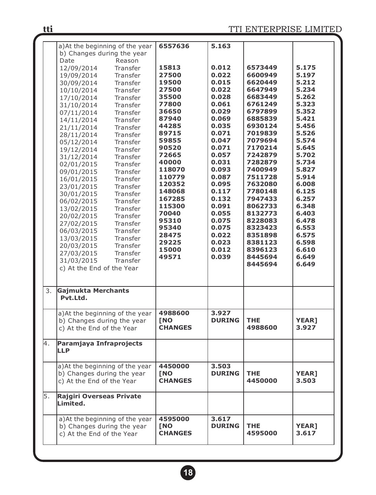|    | a) At the beginning of the year | 6557636        | 5.163         |            |              |
|----|---------------------------------|----------------|---------------|------------|--------------|
|    | b) Changes during the year      |                |               |            |              |
|    | Date<br>Reason                  |                |               |            |              |
|    | 12/09/2014<br>Transfer          | 15813          | 0.012         | 6573449    | 5.175        |
|    | 19/09/2014<br>Transfer          | 27500          | 0.022         | 6600949    | 5.197        |
|    | 30/09/2014<br>Transfer          | 19500          | 0.015         | 6620449    | 5.212        |
|    | 10/10/2014<br>Transfer          | 27500          | 0.022         | 6647949    | 5.234        |
|    | 17/10/2014<br>Transfer          | 35500          | 0.028         | 6683449    | 5.262        |
|    | 31/10/2014<br>Transfer          | 77800          | 0.061         | 6761249    | 5.323        |
|    | Transfer                        | 36650          | 0.029         | 6797899    | 5.352        |
|    | 07/11/2014                      | 87940          | 0.069         | 6885839    | 5.421        |
|    | 14/11/2014<br>Transfer          | 44285          | 0.035         | 6930124    | 5.456        |
|    | 21/11/2014<br>Transfer          | 89715          | 0.071         | 7019839    | 5.526        |
|    | 28/11/2014<br>Transfer          | 59855          | 0.047         | 7079694    | 5.574        |
|    | 05/12/2014<br>Transfer          | 90520          | 0.071         | 7170214    | 5.645        |
|    | 19/12/2014<br>Transfer          |                |               |            |              |
|    | 31/12/2014<br>Transfer          | 72665          | 0.057         | 7242879    | 5.702        |
|    | 02/01/2015<br>Transfer          | 40000          | 0.031         | 7282879    | 5.734        |
|    | 09/01/2015<br>Transfer          | 118070         | 0.093         | 7400949    | 5.827        |
|    | 16/01/2015<br>Transfer          | 110779         | 0.087         | 7511728    | 5.914        |
|    | 23/01/2015<br>Transfer          | 120352         | 0.095         | 7632080    | 6.008        |
|    | 30/01/2015<br>Transfer          | 148068         | 0.117         | 7780148    | 6.125        |
|    | 06/02/2015<br>Transfer          | 167285         | 0.132         | 7947433    | 6.257        |
|    | Transfer<br>13/02/2015          | 115300         | 0.091         | 8062733    | 6.348        |
|    | 20/02/2015<br>Transfer          | 70040          | 0.055         | 8132773    | 6.403        |
|    | 27/02/2015<br>Transfer          | 95310          | 0.075         | 8228083    | 6.478        |
|    | 06/03/2015<br>Transfer          | 95340          | 0.075         | 8323423    | 6.553        |
|    | Transfer                        | 28475          | 0.022         | 8351898    | 6.575        |
|    | 13/03/2015                      | 29225          | 0.023         | 8381123    | 6.598        |
|    | 20/03/2015<br>Transfer          | 15000          | 0.012         | 8396123    | 6.610        |
|    | 27/03/2015<br>Transfer          | 49571          | 0.039         | 8445694    | 6.649        |
|    | 31/03/2015<br>Transfer          |                |               | 8445694    | 6.649        |
|    | c) At the End of the Year       |                |               |            |              |
|    |                                 |                |               |            |              |
|    |                                 |                |               |            |              |
| 3. | Gajmukta Merchants              |                |               |            |              |
|    | Pvt.Ltd.                        |                |               |            |              |
|    |                                 |                |               |            |              |
|    | a) At the beginning of the year | 4988600        | 3.927         |            |              |
|    | b) Changes during the year      | <b>TNO</b>     | <b>DURING</b> | <b>THE</b> | <b>YEAR]</b> |
|    | c) At the End of the Year       | <b>CHANGES</b> |               | 4988600    | 3.927        |
|    |                                 |                |               |            |              |
| 4. | Paramjaya Infraprojects         |                |               |            |              |
|    | LLP                             |                |               |            |              |
|    |                                 |                |               |            |              |
|    | a) At the beginning of the year | 4450000        | 3.503         |            |              |
|    | b) Changes during the year      | <b>TNO</b>     | <b>DURING</b> | <b>THE</b> | <b>YEAR]</b> |
|    | c) At the End of the Year       | <b>CHANGES</b> |               | 4450000    | 3.503        |
|    |                                 |                |               |            |              |
| 5. | Rajgiri Overseas Private        |                |               |            |              |
|    | Limited.                        |                |               |            |              |
|    |                                 |                |               |            |              |
|    | a) At the beginning of the year | 4595000        | 3.617         |            |              |
|    | b) Changes during the year      | <b>TNO</b>     | <b>DURING</b> | <b>THE</b> | <b>YEAR]</b> |
|    | c) At the End of the Year       | <b>CHANGES</b> |               | 4595000    | 3.617        |
|    |                                 |                |               |            |              |
|    |                                 |                |               |            |              |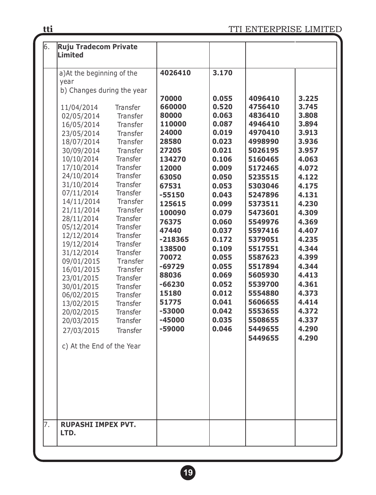| 6. | Ruju Tradecom Private                                                                                                                                                                                                                                                                                                                                                                                                                                                                                                                                                                                                                                                                                                                                                                                                       |                                                                                                                                                                                                                                                                                    |                                                                                                                                                                                                                                                          |                                                                                                                                                                                                                                                                                                                  |                                                                                                                                                                                                                                                          |
|----|-----------------------------------------------------------------------------------------------------------------------------------------------------------------------------------------------------------------------------------------------------------------------------------------------------------------------------------------------------------------------------------------------------------------------------------------------------------------------------------------------------------------------------------------------------------------------------------------------------------------------------------------------------------------------------------------------------------------------------------------------------------------------------------------------------------------------------|------------------------------------------------------------------------------------------------------------------------------------------------------------------------------------------------------------------------------------------------------------------------------------|----------------------------------------------------------------------------------------------------------------------------------------------------------------------------------------------------------------------------------------------------------|------------------------------------------------------------------------------------------------------------------------------------------------------------------------------------------------------------------------------------------------------------------------------------------------------------------|----------------------------------------------------------------------------------------------------------------------------------------------------------------------------------------------------------------------------------------------------------|
|    | Limited                                                                                                                                                                                                                                                                                                                                                                                                                                                                                                                                                                                                                                                                                                                                                                                                                     |                                                                                                                                                                                                                                                                                    |                                                                                                                                                                                                                                                          |                                                                                                                                                                                                                                                                                                                  |                                                                                                                                                                                                                                                          |
|    |                                                                                                                                                                                                                                                                                                                                                                                                                                                                                                                                                                                                                                                                                                                                                                                                                             |                                                                                                                                                                                                                                                                                    |                                                                                                                                                                                                                                                          |                                                                                                                                                                                                                                                                                                                  |                                                                                                                                                                                                                                                          |
|    | a) At the beginning of the<br>year<br>b) Changes during the year<br>11/04/2014<br>Transfer<br>02/05/2014<br>Transfer<br>16/05/2014<br>Transfer<br>23/05/2014<br>Transfer<br>18/07/2014<br>Transfer<br>30/09/2014<br>Transfer<br>10/10/2014<br>Transfer<br>17/10/2014<br>Transfer<br>24/10/2014<br>Transfer<br>31/10/2014<br>Transfer<br>07/11/2014<br>Transfer<br>14/11/2014<br>Transfer<br>21/11/2014<br>Transfer<br>28/11/2014<br>Transfer<br>05/12/2014<br>Transfer<br>12/12/2014<br>Transfer<br>19/12/2014<br>Transfer<br>31/12/2014<br>Transfer<br>09/01/2015<br>Transfer<br>16/01/2015<br>Transfer<br>23/01/2015<br>Transfer<br>30/01/2015<br>Transfer<br>06/02/2015<br>Transfer<br>13/02/2015<br>Transfer<br>20/02/2015<br>Transfer<br>20/03/2015<br>Transfer<br>27/03/2015<br>Transfer<br>c) At the End of the Year | 4026410<br>70000<br>660000<br>80000<br>110000<br>24000<br>28580<br>27205<br>134270<br>12000<br>63050<br>67531<br>$-55150$<br>125615<br>100090<br>76375<br>47440<br>$-218365$<br>138500<br>70072<br>$-69729$<br>88036<br>$-66230$<br>15180<br>51775<br>-53000<br>$-45000$<br>-59000 | 3.170<br>0.055<br>0.520<br>0.063<br>0.087<br>0.019<br>0.023<br>0.021<br>0.106<br>0.009<br>0.050<br>0.053<br>0.043<br>0.099<br>0.079<br>0.060<br>0.037<br>0.172<br>0.109<br>0.055<br>0.055<br>0.069<br>0.052<br>0.012<br>0.041<br>0.042<br>0.035<br>0.046 | 4096410<br>4756410<br>4836410<br>4946410<br>4970410<br>4998990<br>5026195<br>5160465<br>5172465<br>5235515<br>5303046<br>5247896<br>5373511<br>5473601<br>5549976<br>5597416<br>5379051<br>5517551<br>5587623<br>5517894<br>5605930<br>5539700<br>5554880<br>5606655<br>5553655<br>5508655<br>5449655<br>5449655 | 3.225<br>3.745<br>3.808<br>3.894<br>3.913<br>3.936<br>3.957<br>4.063<br>4.072<br>4.122<br>4.175<br>4.131<br>4.230<br>4.309<br>4.369<br>4.407<br>4.235<br>4.344<br>4.399<br>4.344<br>4.413<br>4.361<br>4.373<br>4.414<br>4.372<br>4.337<br>4.290<br>4.290 |
| 7. | <b>RUPASHI IMPEX PVT.</b>                                                                                                                                                                                                                                                                                                                                                                                                                                                                                                                                                                                                                                                                                                                                                                                                   |                                                                                                                                                                                                                                                                                    |                                                                                                                                                                                                                                                          |                                                                                                                                                                                                                                                                                                                  |                                                                                                                                                                                                                                                          |
|    | LTD.                                                                                                                                                                                                                                                                                                                                                                                                                                                                                                                                                                                                                                                                                                                                                                                                                        |                                                                                                                                                                                                                                                                                    |                                                                                                                                                                                                                                                          |                                                                                                                                                                                                                                                                                                                  |                                                                                                                                                                                                                                                          |
|    |                                                                                                                                                                                                                                                                                                                                                                                                                                                                                                                                                                                                                                                                                                                                                                                                                             |                                                                                                                                                                                                                                                                                    |                                                                                                                                                                                                                                                          |                                                                                                                                                                                                                                                                                                                  |                                                                                                                                                                                                                                                          |

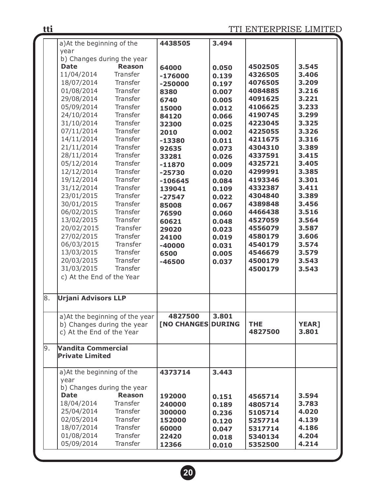|    | a) At the beginning of the                                    |               | 4438505                   | 3.494 |            |              |
|----|---------------------------------------------------------------|---------------|---------------------------|-------|------------|--------------|
|    | year                                                          |               |                           |       |            |              |
|    | b) Changes during the year                                    |               |                           |       |            |              |
|    | <b>Date</b>                                                   | <b>Reason</b> | 64000                     | 0.050 | 4502505    | 3.545        |
|    | 11/04/2014                                                    | Transfer      | $-176000$                 | 0.139 | 4326505    | 3,406        |
|    | 18/07/2014                                                    | Transfer      | $-250000$                 | 0.197 | 4076505    | 3.209        |
|    | 01/08/2014                                                    | Transfer      | 8380                      | 0.007 | 4084885    | 3.216        |
|    | 29/08/2014                                                    | Transfer      | 6740                      | 0.005 | 4091625    | 3.221        |
|    | 05/09/2014                                                    | Transfer      | 15000                     | 0.012 | 4106625    | 3.233        |
|    | 24/10/2014                                                    | Transfer      | 84120                     | 0.066 | 4190745    | 3.299        |
|    | 31/10/2014                                                    | Transfer      | 32300                     | 0.025 | 4223045    | 3.325        |
|    | 07/11/2014                                                    | Transfer      | 2010                      | 0.002 | 4225055    | 3.326        |
|    | 14/11/2014                                                    | Transfer      | $-13380$                  | 0.011 | 4211675    | 3.316        |
|    | 21/11/2014                                                    | Transfer      | 92635                     | 0.073 | 4304310    | 3.389        |
|    | 28/11/2014                                                    | Transfer      | 33281                     | 0.026 | 4337591    | 3.415        |
|    | 05/12/2014                                                    | Transfer      | $-11870$                  | 0.009 | 4325721    | 3.405        |
|    | 12/12/2014                                                    | Transfer      | $-25730$                  | 0.020 | 4299991    | 3.385        |
|    | 19/12/2014                                                    | Transfer      | $-106645$                 | 0.084 | 4193346    | 3.301        |
|    | 31/12/2014                                                    | Transfer      | 139041                    | 0.109 | 4332387    | 3,411        |
|    | 23/01/2015                                                    | Transfer      | $-27547$                  | 0.022 | 4304840    | 3.389        |
|    | 30/01/2015                                                    | Transfer      | 85008                     | 0.067 | 4389848    | 3.456        |
|    | 06/02/2015                                                    | Transfer      | 76590                     | 0.060 | 4466438    | 3.516        |
|    | 13/02/2015                                                    | Transfer      | 60621                     | 0.048 | 4527059    | 3.564        |
|    | 20/02/2015                                                    | Transfer      | 29020                     | 0.023 | 4556079    | 3.587        |
|    | 27/02/2015                                                    | Transfer      | 24100                     | 0.019 | 4580179    | 3.606        |
|    | 06/03/2015                                                    | Transfer      | $-40000$                  | 0.031 | 4540179    | 3.574        |
|    | 13/03/2015                                                    | Transfer      | 6500                      | 0.005 | 4546679    | 3.579        |
|    | 20/03/2015                                                    | Transfer      | $-46500$                  | 0.037 | 4500179    | 3.543        |
|    | 31/03/2015                                                    | Transfer      |                           |       | 4500179    | 3.543        |
|    | c) At the End of the Year                                     |               |                           |       |            |              |
|    |                                                               |               |                           |       |            |              |
| 8. | <b>Urjani Advisors LLP</b>                                    |               |                           |       |            |              |
|    |                                                               |               | 4827500                   | 3.801 |            |              |
|    | a) At the beginning of the year<br>b) Changes during the year |               | <b>[NO CHANGES DURING</b> |       | <b>THE</b> | <b>YEAR]</b> |
|    | c) At the End of the Year                                     |               |                           |       | 4827500    | 3.801        |
|    |                                                               |               |                           |       |            |              |
| 9. | <b>Vandita Commercial</b>                                     |               |                           |       |            |              |
|    | Private Limited                                               |               |                           |       |            |              |
|    | a) At the beginning of the                                    |               | 4373714                   | 3.443 |            |              |
|    | vear                                                          |               |                           |       |            |              |
|    | b) Changes during the year                                    |               |                           |       |            |              |
|    | <b>Date</b>                                                   | <b>Reason</b> | 192000                    | 0.151 | 4565714    | 3.594        |
|    | 18/04/2014                                                    | Transfer      | 240000                    | 0.189 | 4805714    | 3.783        |
|    | 25/04/2014                                                    | Transfer      | 300000                    | 0.236 | 5105714    | 4.020        |
|    | 02/05/2014                                                    | Transfer      | 152000                    | 0.120 | 5257714    | 4.139        |
|    | 18/07/2014                                                    | Transfer      | 60000                     | 0.047 | 5317714    | 4.186        |
|    | 01/08/2014                                                    | Transfer      | 22420                     | 0.018 | 5340134    | 4.204        |
|    | 05/09/2014                                                    | Transfer      | 12366                     | 0.010 | 5352500    | 4.214        |
|    |                                                               |               |                           |       |            |              |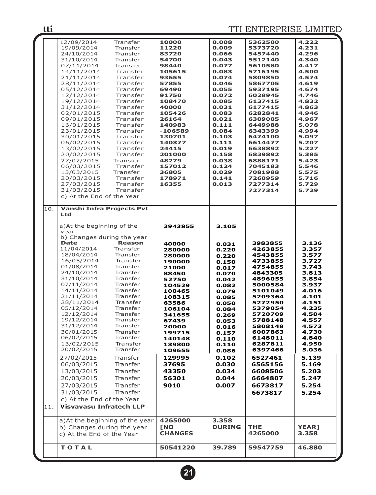|     | 12/09/2014                       | Transfer      | 10000          | 0.008         | 5362500  | 4.222        |
|-----|----------------------------------|---------------|----------------|---------------|----------|--------------|
|     | 19/09/2014                       | Transfer      | 11220          | 0.009         | 5373720  | 4.231        |
|     | 24/10/2014                       | Transfer      | 83720          | 0.066         | 5457440  | 4.296        |
|     | 31/10/2014                       | Transfer      | 54700          | 0.043         | 5512140  | 4.340        |
|     | 07/11/2014                       | Transfer      | 98440          | 0.077         | 5610580  | 4.417        |
|     | 14/11/2014                       | Transfer      | 105615         | 0.083         | 5716195  | 4.500        |
|     | 21/11/2014                       | Transfer      | 93655          | 0.074         | 5809850  | 4.574        |
|     |                                  |               |                |               |          |              |
|     | 28/11/2014                       | Transfer      | 57855          | 0.046         | 5867705  | 4.619        |
|     | 05/12/2014                       | Transfer      | 69490          | 0.055         | 5937195  | 4.674        |
|     | 12/12/2014                       | Transfer      | 91750          | 0.072         | 6028945  | 4.746        |
|     | 19/12/2014                       | Transfer      | 108470         | 0.085         | 6137415  | 4.832        |
|     | 31/12/2014                       | Transfer      | 40000          | 0.031         | 6177415  | 4.863        |
|     |                                  | Transfer      | 105426         | 0.083         | 6282841  | 4.946        |
|     | 02/01/2015                       |               |                |               |          |              |
|     | 09/01/2015                       | Transfer      | 26164          | 0.021         | 6309005  | 4.967        |
|     | 16/01/2015                       | Transfer      | 140983         | 0.111         | 6449988  | 5.078        |
|     | 23/01/2015                       | Transfer      | $-106589$      | 0.084         | 6343399  | 4.994        |
|     | 30/01/2015                       | Transfer      | 130701         | 0.103         | 6474100  | 5.097        |
|     | 06/02/2015                       | Transfer      | 140377         | 0.111         | 6614477  | 5.207        |
|     | 13/02/2015                       | Transfer      | 24415          | 0.019         | 6638892  | 5.227        |
|     |                                  |               |                |               |          |              |
|     | 20/02/2015                       | Transfer      | 201000         | 0.158         | 6839892  | 5.385        |
|     | 27/02/2015                       | Transfer      | 48279          | 0.038         | 6888171  | 5.423        |
|     | 06/03/2015                       | Transfer      | 157012         | 0.124         | 7045183  | 5.546        |
|     | 13/03/2015                       | Transfer      | 36805          | 0.029         | 7081988  | 5.575        |
|     | 20/03/2015                       | Transfer      | 178971         | 0.141         | 7260959  | 5.716        |
|     | 27/03/2015                       | Transfer      | 16355          | 0.013         | 7277314  | 5.729        |
|     |                                  |               |                |               |          |              |
|     | 31/03/2015                       | Transfer      |                |               | 7277314  | 5.729        |
|     | c) At the End of the Year        |               |                |               |          |              |
|     |                                  |               |                |               |          |              |
| 10. | <b>Vanshi Infra Projects Pvt</b> |               |                |               |          |              |
|     | Ltd                              |               |                |               |          |              |
|     |                                  |               |                |               |          |              |
|     | a) At the beginning of the       |               | 3943855        | 3.105         |          |              |
|     |                                  |               |                |               |          |              |
|     | year                             |               |                |               |          |              |
|     | b) Changes during the year       |               |                |               |          |              |
|     | <b>Date</b>                      | <b>Reason</b> | 40000          | 0.031         | 3983855  | 3.136        |
|     | 11/04/2014                       | Transfer      | 280000         | 0.220         | 4263855  | 3.357        |
|     | 18/04/2014                       | Transfer      | 280000         | 0.220         | 4543855  | 3.577        |
|     | 16/05/2014                       | Transfer      | 190000         | 0.150         | 4733855  | 3.727        |
|     | 01/08/2014                       | Transfer      | 21000          | 0.017         | 4754855  | 3.743        |
|     | 24/10/2014                       | Transfer      |                |               | 4843305  | 3.813        |
|     |                                  | Transfer      | 88450          | 0.070         |          |              |
|     | 31/10/2014                       |               | 52750          | 0.042         | 4896055  | 3.854        |
|     | 07/11/2014                       | Transfer      | 104529         | 0.082         | 5000584  | 3.937        |
|     | 14/11/2014                       |               |                |               |          |              |
|     |                                  | Transfer      | 100465         | 0.079         | 5101049  | 4.016        |
|     | 21/11/2014                       | Transfer      | 108315         | 0.085         | 5209364  | 4.101        |
|     | 28/11/2014                       | Transfer      | 63586          |               | 5272950  | 4.151        |
|     |                                  | Transfer      |                | 0.050         |          |              |
|     | 05/12/2014                       |               | 106104         | 0.084         | 5379054  | 4.235        |
|     | 12/12/2014                       | Transfer      | 341655         | 0.269         | 5720709  | 4.504        |
|     | 19/12/2014                       | Transfer      | 67439          | 0.053         | 5788148  | 4.557        |
|     | 31/12/2014                       | Transfer      | 20000          | 0.016         | 5808148  | 4.573        |
|     | 30/01/2015                       | Transfer      | 199715         | 0.157         | 6007863  | 4.730        |
|     | 06/02/2015                       | Transfer      | 140148         | 0.110         | 6148011  | 4.840        |
|     | 13/02/2015                       | Transfer      |                | 0.110         | 6287811  | 4.950        |
|     |                                  | Transfer      | 139800         |               |          |              |
|     | 20/02/2015                       |               | 109655         | 0.086         | 6397466  | 5.036        |
|     | 27/02/2015                       | Transfer      | 129995         | 0.102         | 6527461  | 5.139        |
|     | 06/03/2015                       | Transfer      | 37695          | 0.030         | 6565156  | 5.169        |
|     |                                  |               |                |               |          |              |
|     | 13/03/2015                       | Transfer      | 43350          | 0.034         | 6608506  | 5.203        |
|     | 20/03/2015                       | Transfer      | 56301          | 0.044         | 6664807  | 5.247        |
|     | 27/03/2015                       | Transfer      | 9010           | 0.007         | 6673817  | 5.254        |
|     |                                  |               |                |               |          |              |
|     | 31/03/2015                       | Transfer      |                |               | 6673817  | 5.254        |
|     | c) At the End of the Year        |               |                |               |          |              |
| 11. | <b>Visvavasu Infratech LLP</b>   |               |                |               |          |              |
|     |                                  |               |                |               |          |              |
|     |                                  |               |                |               |          |              |
|     | a) At the beginning of the year  |               | 4265000        | 3.358         |          |              |
|     | b) Changes during the year       |               | <b>TNO</b>     | <b>DURING</b> | THE      | <b>YEAR1</b> |
|     | c) At the End of the Year        |               | <b>CHANGES</b> |               | 4265000  | 3.358        |
|     |                                  |               |                |               |          |              |
|     |                                  |               |                |               |          |              |
|     | <b>TOTAL</b>                     |               | 50541220       | 39.789        | 59547759 | 46.880       |

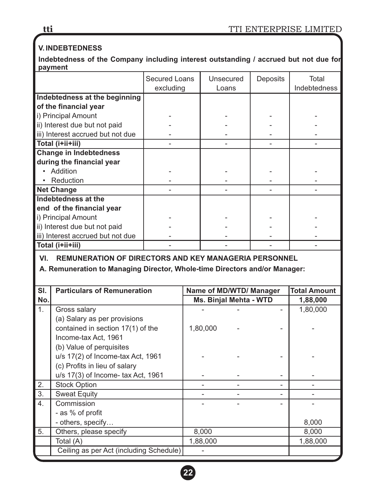# **V. INDEBTEDNESS**

**Indebtedness of the Company including interest outstanding / accrued but not due for payment**

|                                   | <b>Secured Loans</b> | Unsecured | <b>Deposits</b> | Total        |
|-----------------------------------|----------------------|-----------|-----------------|--------------|
|                                   | excluding            | Loans     |                 | Indebtedness |
| Indebtedness at the beginning     |                      |           |                 |              |
| of the financial year             |                      |           |                 |              |
| i) Principal Amount               |                      |           |                 |              |
| ii) Interest due but not paid     |                      |           |                 |              |
| iii) Interest accrued but not due |                      |           |                 |              |
| Total (i+ii+iii)                  |                      |           |                 |              |
| <b>Change in Indebtedness</b>     |                      |           |                 |              |
| during the financial year         |                      |           |                 |              |
| Addition                          |                      |           |                 |              |
| Reduction                         |                      |           |                 |              |
| <b>Net Change</b>                 |                      |           |                 |              |
| Indebtedness at the               |                      |           |                 |              |
| end of the financial year         |                      |           |                 |              |
| i) Principal Amount               |                      |           |                 |              |
| ii) Interest due but not paid     |                      |           |                 |              |
| iii) Interest accrued but not due |                      |           |                 |              |
| Total (i+ii+iii)                  |                      |           |                 |              |

# **VI. REMUNERATION OF DIRECTORS AND KEY MANAGERIA PERSONNEL**

#### **A. Remuneration to Managing Director, Whole-time Directors and/or Manager:**

| SI.              | <b>Particulars of Remuneration</b>      | Name of MD/WTD/ Manager |                        |   | <b>Total Amount</b> |
|------------------|-----------------------------------------|-------------------------|------------------------|---|---------------------|
| No.              |                                         |                         | Ms. Binjal Mehta - WTD |   |                     |
| 1.               | Gross salary                            |                         |                        |   | 1,80,000            |
|                  | (a) Salary as per provisions            |                         |                        |   |                     |
|                  | contained in section 17(1) of the       | 1,80,000                |                        |   |                     |
|                  | Income-tax Act, 1961                    |                         |                        |   |                     |
|                  | (b) Value of perquisites                |                         |                        |   |                     |
|                  | u/s 17(2) of Income-tax Act, 1961       |                         |                        |   |                     |
|                  | (c) Profits in lieu of salary           |                         |                        |   |                     |
|                  | u/s 17(3) of Income- tax Act, 1961      |                         |                        |   |                     |
| 2.               | <b>Stock Option</b>                     |                         |                        | - |                     |
| 3.               | <b>Sweat Equity</b>                     |                         |                        |   |                     |
| $\overline{4}$ . | Commission                              |                         |                        |   |                     |
|                  | - as % of profit                        |                         |                        |   |                     |
|                  | - others, specify                       |                         |                        |   | 8,000               |
| 5.               | Others, please specify                  | 8,000                   |                        |   | 8,000               |
|                  | Total (A)                               | 1,88,000                |                        |   | 1,88,000            |
|                  | Ceiling as per Act (including Schedule) |                         |                        |   |                     |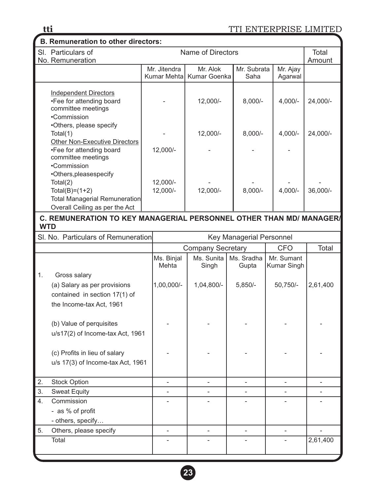# **B. Remuneration to other directors:**

| טוועווטועווט וויט טוווט שוויטנטוס                                                                                                 |                      |                                       |                     |                     |            |  |  |  |
|-----------------------------------------------------------------------------------------------------------------------------------|----------------------|---------------------------------------|---------------------|---------------------|------------|--|--|--|
| SI. Particulars of<br>No. Remuneration                                                                                            | Name of Directors    |                                       |                     |                     |            |  |  |  |
|                                                                                                                                   | Mr. Jitendra         | Mr. Alok<br>Kumar Mehtal Kumar Goenka | Mr. Subrata<br>Saha | Mr. Ajay<br>Agarwal |            |  |  |  |
| Independent Directors<br>•Fee for attending board<br>committee meetings<br>•Commission                                            |                      | 12,000/-                              | $8,000/-$           | $4.000/-$           | 24,000/-   |  |  |  |
| •Others, please specify<br>Total(1)<br><b>Other Non-Executive Directors</b>                                                       |                      | 12,000/-                              | $8,000/-$           | $4,000/-$           | 24,000/-   |  |  |  |
| •Fee for attending board<br>committee meetings<br>•Commission                                                                     | 12,000/-             |                                       |                     |                     |            |  |  |  |
| •Others, pleases pecify<br>Total(2)<br>$Total(B)=(1+2)$<br><b>Total Managerial Remuneration</b><br>Overall Ceiling as per the Act | 12,000/-<br>12,000/- | $12,000/-$                            | $8,000/-$           | $4,000/-$           | $36,000/-$ |  |  |  |

#### **C. REMUNERATION TO KEY MANAGERIAL PERSONNEL OTHER THAN MD/ MANAGER/ WTD**

|    | SI. No. Particulars of Remuneration                                                                       |                     |                          | Key Managerial Personnel |                           |          |
|----|-----------------------------------------------------------------------------------------------------------|---------------------|--------------------------|--------------------------|---------------------------|----------|
|    |                                                                                                           |                     | <b>Company Secretary</b> |                          | <b>CFO</b>                | Total    |
|    |                                                                                                           | Ms. Binjal<br>Mehta | Ms. Sunita<br>Singh      | Ms. Sradha<br>Gupta      | Mr. Sumant<br>Kumar Singh |          |
| 1. | Gross salary<br>(a) Salary as per provisions<br>contained in section 17(1) of<br>the Income-tax Act, 1961 | 1,00,000/-          | 1,04,800/-               | $5,850/-$                | 50,750/-                  | 2,61,400 |
|    | (b) Value of perquisites<br>u/s17(2) of Income-tax Act, 1961                                              |                     |                          |                          |                           |          |
|    | (c) Profits in lieu of salary<br>u/s 17(3) of Income-tax Act, 1961                                        |                     |                          |                          |                           |          |
| 2. | <b>Stock Option</b>                                                                                       |                     |                          |                          |                           |          |
| 3. | <b>Sweat Equity</b>                                                                                       | $\overline{a}$      |                          |                          |                           |          |
| 4. | Commission<br>- as % of profit<br>- others, specify                                                       |                     |                          |                          |                           |          |
| 5. | Others, please specify                                                                                    |                     |                          |                          |                           |          |
|    | Total                                                                                                     |                     |                          |                          |                           | 2,61,400 |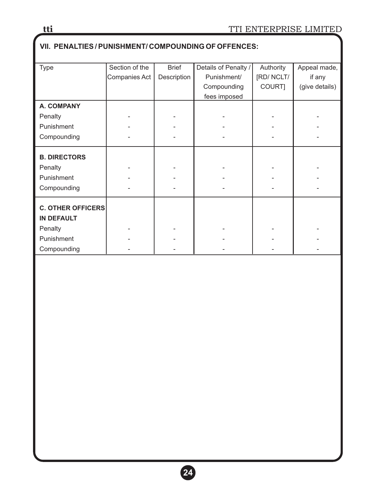# **VII. PENALTIES / PUNISHMENT/ COMPOUNDING OF OFFENCES:** Type Section of the Brief Details of Penalty / Authority Appeal made, Companies Act | Description | Punishment/ | [RD/ NCLT/ | if any Compounding COURT] (give details) fees imposed **A. COMPANY** Penalty | - | - | - | - | -Punishment Compounding **B. DIRECTORS** Penalty | - | - | - | - | -Punishment Compounding  $\begin{vmatrix} 1 & 1 & 1 \\ 1 & -1 & 1 \end{vmatrix}$  and  $\begin{vmatrix} 1 & 1 & 1 \\ 1 & -1 & 1 \end{vmatrix}$  and  $\begin{vmatrix} 1 & 1 & 1 \\ 1 & -1 & 1 \end{vmatrix}$  and  $\begin{vmatrix} 1 & 1 & 1 \\ 1 & -1 & 1 \end{vmatrix}$  and  $\begin{vmatrix} 1 & 1 & 1 \\ 1 & -1 & 1 \end{vmatrix}$  and  $\begin{vmatrix} 1 & 1 & 1 \\ 1 & -1 & 1 \end{vmatrix}$ **C. OTHER OFFICERS IN DEFAULT** Penalty | - | - | - | - | -Punishment

Compounding  $\begin{vmatrix} 1 & 1 & 1 \\ 1 & 1 & 1 \end{vmatrix}$  and  $\begin{vmatrix} 1 & 1 & 1 \\ 1 & 1 & 1 \end{vmatrix}$  and  $\begin{vmatrix} 1 & 1 & 1 \\ 1 & 1 & 1 \end{vmatrix}$  and  $\begin{vmatrix} 1 & 1 & 1 \\ 1 & 1 & 1 \end{vmatrix}$  and  $\begin{vmatrix} 1 & 1 & 1 \\ 1 & 1 & 1 \end{vmatrix}$  and  $\begin{vmatrix} 1 & 1 & 1 \\ 1 & 1 & 1 \end{vmatrix}$ 

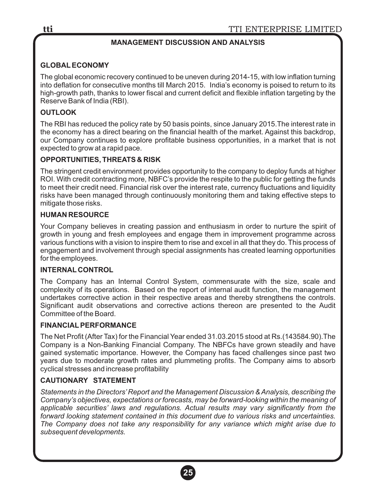# **MANAGEMENT DISCUSSION AND ANALYSIS**

# **GLOBALECONOMY**

The global economic recovery continued to be uneven during 2014-15, with low inflation turning into deflation for consecutive months till March 2015. India's economy is poised to return to its high-growth path, thanks to lower fiscal and current deficit and flexible inflation targeting by the Reserve Bank of India (RBI).

# **OUTLOOK**

The RBI has reduced the policy rate by 50 basis points, since January 2015.The interest rate in the economy has a direct bearing on the financial health of the market. Against this backdrop, our Company continues to explore profitable business opportunities, in a market that is not expected to grow at a rapid pace.

#### **OPPORTUNITIES, THREATS & RISK**

The stringent credit environment provides opportunity to the company to deploy funds at higher ROI. With credit contracting more, NBFC's provide the respite to the public for getting the funds to meet their credit need. Financial risk over the interest rate, currency fluctuations and liquidity risks have been managed through continuously monitoring them and taking effective steps to mitigate those risks.

#### **HUMAN RESOURCE**

Your Company believes in creating passion and enthusiasm in order to nurture the spirit of growth in young and fresh employees and engage them in improvement programme across various functions with a vision to inspire them to rise and excel in all that they do. This process of engagement and involvement through special assignments has created learning opportunities for the employees.

#### **INTERNAL CONTROL**

The Company has an Internal Control System, commensurate with the size, scale and complexity of its operations. Based on the report of internal audit function, the management undertakes corrective action in their respective areas and thereby strengthens the controls. Significant audit observations and corrective actions thereon are presented to the Audit Committee of the Board.

#### **FINANCIALPERFORMANCE**

The Net Profit (After Tax) for the Financial Year ended 31.03.2015 stood at Rs.(143584.90).The Company is a Non-Banking Financial Company. The NBFCs have grown steadily and have gained systematic importance. However, the Company has faced challenges since past two years due to moderate growth rates and plummeting profits. The Company aims to absorb cyclical stresses and increase profitability

# **CAUTIONARY STATEMENT**

*Statements in the Directors'Report and the Management Discussion & Analysis, describing the Company's objectives, expectations or forecasts, may be forward-looking within the meaning of applicable securities' laws and regulations. Actual results may vary significantly from the forward looking statement contained in this document due to various risks and uncertainties. The Company does not take any responsibility for any variance which might arise due to subsequent developments.*

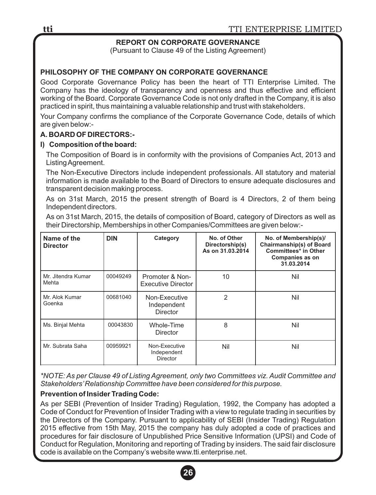# **REPORT ON CORPORATE GOVERNANCE**

(Pursuant to Clause 49 of the Listing Agreement)

## **PHILOSOPHY OF THE COMPANY ON CORPORATE GOVERNANCE**

Good Corporate Governance Policy has been the heart of TTI Enterprise Limited. The Company has the ideology of transparency and openness and thus effective and efficient working of the Board. Corporate Governance Code is not only drafted in the Company, it is also practiced in spirit, thus maintaining a valuable relationship and trust with stakeholders.

Your Company confirms the compliance of the Corporate Governance Code, details of which are given below:-

#### **A. BOARD OF DIRECTORS:-**

#### **I) Composition of the board:**

The Composition of Board is in conformity with the provisions of Companies Act, 2013 and Listing Agreement.

The Non-Executive Directors include independent professionals. All statutory and material information is made available to the Board of Directors to ensure adequate disclosures and transparent decision making process.

As on 31st March, 2015 the present strength of Board is 4 Directors, 2 of them being Independent directors.

As on 31st March, 2015, the details of composition of Board, category of Directors as well as their Directorship, Memberships in other Companies/Committees are given below:-

| Name of the<br><b>Director</b> | <b>DIN</b> | Category                                        | No. of Other<br>Directorship(s)<br>As on 31.03.2014 | No. of Membership(s)/<br><b>Chairmanship(s) of Board</b><br><b>Committees* in Other</b><br><b>Companies as on</b><br>31.03.2014 |
|--------------------------------|------------|-------------------------------------------------|-----------------------------------------------------|---------------------------------------------------------------------------------------------------------------------------------|
| Mr. Jitendra Kumar<br>Mehta    | 00049249   | Promoter & Non-<br>Executive Director           | 10                                                  | Nil                                                                                                                             |
| Mr. Alok Kumar<br>Goenka       | 00681040   | Non-Executive<br>Independent<br><b>Director</b> | 2                                                   | Nil                                                                                                                             |
| Ms. Binjal Mehta               | 00043830   | Whole-Time<br>Director                          | 8                                                   | Nil                                                                                                                             |
| Mr. Subrata Saha               | 00959921   | Non-Executive<br>Independent<br><b>Director</b> | Nil                                                 | Nil                                                                                                                             |

*\*NOTE: As per Clause 49 of Listing Agreement, only two Committees viz. Audit Committee and Stakeholders'Relationship Committee have been considered for this purpose.*

#### **Prevention of Insider Trading Code:**

As per SEBI (Prevention of Insider Trading) Regulation, 1992, the Company has adopted a Code of Conduct for Prevention of Insider Trading with a view to regulate trading in securities by the Directors of the Company. Pursuant to applicability of SEBI (Insider Trading) Regulation 2015 effective from 15th May, 2015 the company has duly adopted a code of practices and procedures for fair disclosure of Unpublished Price Sensitive Information (UPSI) and Code of Conduct for Regulation, Monitoring and reporting of Trading by insiders. The said fair disclosure code is available on the Company's website www.tti.enterprise.net.

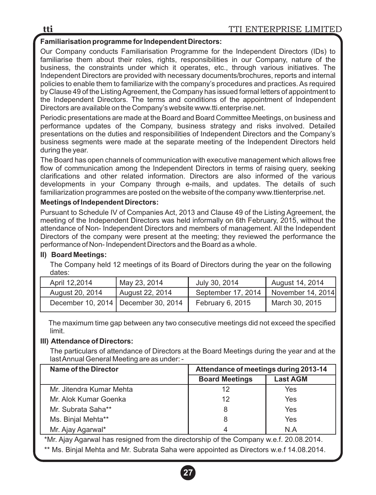# **Familiarisation programme for Independent Directors:**

Our Company conducts Familiarisation Programme for the Independent Directors (IDs) to familiarise them about their roles, rights, responsibilities in our Company, nature of the business, the constraints under which it operates, etc., through various initiatives. The Independent Directors are provided with necessary documents/brochures, reports and internal policies to enable them to familiarize with the company's procedures and practices. As required by Clause 49 of the Listing Agreement, the Company has issued formal letters of appointment to the Independent Directors. The terms and conditions of the appointment of Independent Directors are available on the Company's website www.tti.enterprise.net.

Periodic presentations are made at the Board and Board Committee Meetings, on business and performance updates of the Company, business strategy and risks involved. Detailed presentations on the duties and responsibilities of Independent Directors and the Company's business segments were made at the separate meeting of the Independent Directors held during the year.

The Board has open channels of communication with executive management which allows free flow of communication among the Independent Directors in terms of raising query, seeking clarifications and other related information. Directors are also informed of the various developments in your Company through e-mails, and updates. The details of such familiarization programmes are posted on the website of the company www.ttienterprise.net.

#### **Meetings of Independent Directors:**

Pursuant to Schedule IV of Companies Act, 2013 and Clause 49 of the Listing Agreement, the meeting of the Independent Directors was held informally on 6th February, 2015, without the attendance of Non- Independent Directors and members of management. All the Independent Directors of the company were present at the meeting; they reviewed the performance the performance of Non- Independent Directors and the Board as a whole.

#### **II) Board Meetings:**

The Company held 12 meetings of its Board of Directors during the year on the following dates:

| April 12.2014   | May 23, 2014                          | July 30, 2014      | August 14, 2014   |
|-----------------|---------------------------------------|--------------------|-------------------|
| August 20, 2014 | August 22, 2014                       | September 17, 2014 | November 14, 2014 |
|                 | December 10, 2014   December 30, 2014 | February 6, 2015   | March 30, 2015    |

The maximum time gap between any two consecutive meetings did not exceed the specified limit.

#### **III) Attendance of Directors:**

The particulars of attendance of Directors at the Board Meetings during the year and at the last Annual General Meeting are as under: -

| Name of the Director     | Attendance of meetings during 2013-14 |                 |
|--------------------------|---------------------------------------|-----------------|
|                          | <b>Board Meetings</b>                 | <b>Last AGM</b> |
| Mr. Jitendra Kumar Mehta | 12                                    | Yes             |
| Mr. Alok Kumar Goenka    | 12                                    | Yes             |
| Mr. Subrata Saha**       | 8                                     | Yes             |
| Ms. Binjal Mehta**       | 8                                     | Yes             |
| Mr. Ajay Agarwal*        | 4                                     | N A             |

 \*Mr. Ajay Agarwal has resigned from the directorship of the Company w.e.f. 20.08.2014. \*\* Ms. Binjal Mehta and Mr. Subrata Saha were appointed as Directors w.e.f 14.08.2014.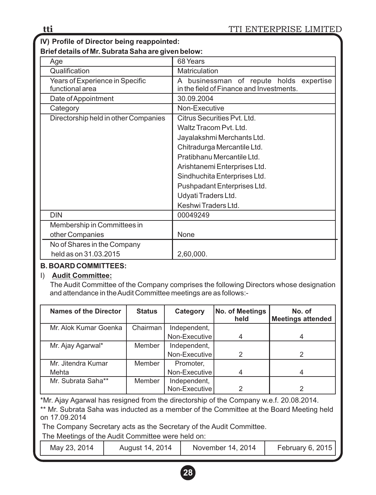**IV) Profile of Director being reappointed:**

**Brief details of Mr. Subrata Saha are given below:** 

| Age                                                | 68 Years                                                                               |  |
|----------------------------------------------------|----------------------------------------------------------------------------------------|--|
| Qualification                                      | Matriculation                                                                          |  |
| Years of Experience in Specific<br>functional area | businessman of repute holds expertise<br>A<br>in the field of Finance and Investments. |  |
| Date of Appointment                                | 30.09.2004                                                                             |  |
| Category                                           | Non-Executive                                                                          |  |
| Directorship held in other Companies               | Citrus Securities Pyt. Ltd.                                                            |  |
|                                                    | Waltz Tracom Pyt. Ltd.                                                                 |  |
|                                                    | Jayalakshmi Merchants Ltd.                                                             |  |
|                                                    | Chitradurga Mercantile Ltd.                                                            |  |
|                                                    | Pratibhanu Mercantile Ltd.                                                             |  |
|                                                    | Arishtanemi Enterprises Ltd.                                                           |  |
|                                                    | Sindhuchita Enterprises Ltd.                                                           |  |
|                                                    | Pushpadant Enterprises Ltd.                                                            |  |
|                                                    | Udyati Traders Ltd.                                                                    |  |
|                                                    | Keshwi Traders Ltd.                                                                    |  |
| <b>DIN</b>                                         | 00049249                                                                               |  |
| Membership in Committees in                        |                                                                                        |  |
| other Companies                                    | None                                                                                   |  |
| No of Shares in the Company                        |                                                                                        |  |
| held as on 31.03.2015                              | 2,60,000.                                                                              |  |

# **B. BOARD COMMITTEES:**

# I) **Audit Committee:**

The Audit Committee of the Company comprises the following Directors whose designation and attendance in the Audit Committee meetings are as follows:-

| <b>Names of the Director</b> | <b>Status</b> | Category                      | <b>No. of Meetings</b><br>held | No. of<br><b>Meetings attended</b> |
|------------------------------|---------------|-------------------------------|--------------------------------|------------------------------------|
| Mr. Alok Kumar Goenka        | Chairman      | Independent,                  |                                |                                    |
|                              |               | Non-Executive                 |                                |                                    |
| Mr. Ajay Agarwal*            | Member        | Independent,                  |                                |                                    |
|                              |               | Non-Executive                 | 2                              |                                    |
| Mr. Jitendra Kumar           | Member        | Promoter,                     |                                |                                    |
| Mehta                        |               | Non-Executive                 | 4                              |                                    |
| Mr. Subrata Saha**           | Member        | Independent,<br>Non-Executive | າ                              |                                    |

\*Mr. Ajay Agarwal has resigned from the directorship of the Company w.e.f. 20.08.2014.

\*\* Mr. Subrata Saha was inducted as a member of the Committee at the Board Meeting held on 17.09.2014

The Company Secretary acts as the Secretary of the Audit Committee.

The Meetings of the Audit Committee were held on:

May 23, 2014 | August 14, 2014 | November 14, 2014 | February 6, 2015

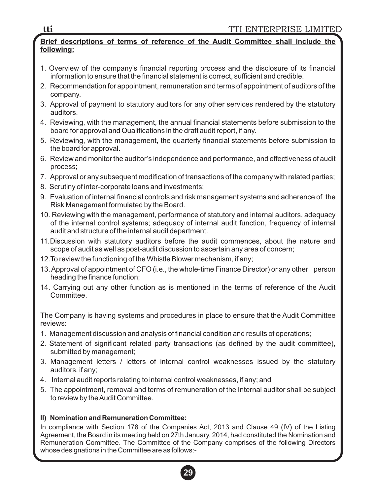#### **Brief descriptions of terms of reference of the Audit Committee shall include the following:**

- 1. Overview of the company's financial reporting process and the disclosure of its financial information to ensure that the financial statement is correct, sufficient and credible.
- 2. Recommendation for appointment, remuneration and terms of appointment of auditors of the company.
- 3. Approval of payment to statutory auditors for any other services rendered by the statutory auditors.
- 4. Reviewing, with the management, the annual financial statements before submission to the board for approval and Qualifications in the draft audit report, if any.
- 5. Reviewing, with the management, the quarterly financial statements before submission to the board for approval.
- 6. Review and monitor the auditor's independence and performance, and effectiveness of audit process;
- 7. Approval or any subsequent modification of transactions of the company with related parties;
- 8. Scrutiny of inter-corporate loans and investments;
- 9. Evaluation of internal financial controls and risk management systems and adherence of the Risk Management formulated by the Board.
- 10. Reviewing with the management, performance of statutory and internal auditors, adequacy of the internal control systems; adequacy of internal audit function, frequency of internal audit and structure of the internal audit department.
- 11.Discussion with statutory auditors before the audit commences, about the nature and scope of audit as well as post-audit discussion to ascertain any area of concern;
- 12.To review the functioning of the Whistle Blower mechanism, if any;
- 13. Approval of appointment of CFO (i.e., the whole-time Finance Director) or any other person heading the finance function;
- 14. Carrying out any other function as is mentioned in the terms of reference of the Audit Committee.

The Company is having systems and procedures in place to ensure that the Audit Committee reviews:

- 1. Management discussion and analysis of financial condition and results of operations;
- 2. Statement of significant related party transactions (as defined by the audit committee), submitted by management;
- 3. Management letters / letters of internal control weaknesses issued by the statutory auditors, if any;
- 4. Internal audit reports relating to internal control weaknesses, if any; and
- 5. The appointment, removal and terms of remuneration of the Internal auditor shall be subject to review by the Audit Committee.

# **II) Nomination and Remuneration Committee:**

In compliance with Section 178 of the Companies Act, 2013 and Clause 49 (IV) of the Listing Agreement, the Board in its meeting held on 27th January, 2014, had constituted the Nomination and Remuneration Committee. The Committee of the Company comprises of the following Directors whose designations in the Committee are as follows:-

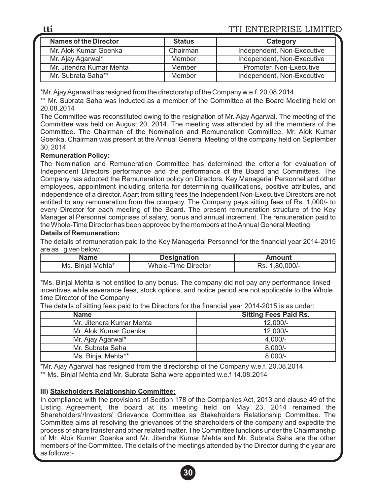| <b>Names of the Director</b> | <b>Status</b> | Category                   |
|------------------------------|---------------|----------------------------|
| Mr. Alok Kumar Goenka        | Chairman      | Independent, Non-Executive |
| Mr. Ajay Agarwal*            | Member        | Independent, Non-Executive |
| Mr. Jitendra Kumar Mehta     | Member        | Promoter, Non-Executive    |
| Mr. Subrata Saha**           | Member        | Independent, Non-Executive |

\*Mr. Ajay Agarwal has resigned from the directorship of the Company w.e.f. 20.08.2014.

\*\* Mr. Subrata Saha was inducted as a member of the Committee at the Board Meeting held on 20.08.2014

The Committee was reconstituted owing to the resignation of Mr. Ajay Agarwal. The meeting of the Committee was held on August 20, 2014. The meeting was attended by all the members of the Committee. The Chairman of the Nomination and Remuneration Committee, Mr. Alok Kumar Goenka, Chairman was present at the Annual General Meeting of the company held on September 30, 2014.

#### **Remuneration Policy:**

The Nomination and Remuneration Committee has determined the criteria for evaluation of Independent Directors performance and the performance of the Board and Committees. The Company has adopted the Remuneration policy on Directors, Key Managerial Personnel and other employees, appointment including criteria for determining qualifications, positive attributes, and independence of a director. Apart from sitting fees the Independent Non-Executive Directors are not entitled to any remuneration from the company. The Company pays sitting fees of Rs. 1,000/- to every Director for each meeting of the Board. The present remuneration structure of the Key Managerial Personnel comprises of salary, bonus and annual increment. The remuneration paid to the Whole-Time Director has been approved by the members at the Annual General Meeting.

#### **Details of Remuneration:**

The details of remuneration paid to the Key Managerial Personnel for the financial year 2014-2015 are as given below:

| Name              | <b>Designation</b>  | Amount         |
|-------------------|---------------------|----------------|
| Ms. Binjal Mehta* | Whole-Time Director | Rs. 1,80,000/- |

\*Ms. Binjal Mehta is not entitled to any bonus. The company did not pay any performance linked incentives while severance fees, stock options, and notice period are not applicable to the Whole time Director of the Company

**Name Sitting Fees Paid Rs.** Mr. Jitendra Kumar Mehta 12,000/-Mr. Alok Kumar Goenka 12.000/-Mr. Ajay Agarwal\* 4,000/-Mr. Subrata Saha 8,000/-Ms. Binjal Mehta\*\* 8,000/-

The details of sitting fees paid to the Directors for the financial year 2014-2015 is as under:

\*Mr. Ajay Agarwal has resigned from the directorship of the Company w.e.f. 20.08.2014.

\*\* Ms. Binjal Mehta and Mr. Subrata Saha were appointed w.e.f 14.08.2014

#### **III) Stakeholders Relationship Committee:**

In compliance with the provisions of Section 178 of the Companies Act, 2013 and clause 49 of the Listing Agreement, the board at its meeting held on May 23, 2014 renamed the Shareholders'/Investors' Grievance Committee as Stakeholders Relationship Committee. The Committee aims at resolving the grievances of the shareholders of the company and expedite the process of share transfer and other related matter. The Committee functions under the Chairmanship of Mr. Alok Kumar Goenka and Mr. Jitendra Kumar Mehta and Mr. Subrata Saha are the other members of the Committee. The details of the meetings attended by the Director during the year are as follows:-

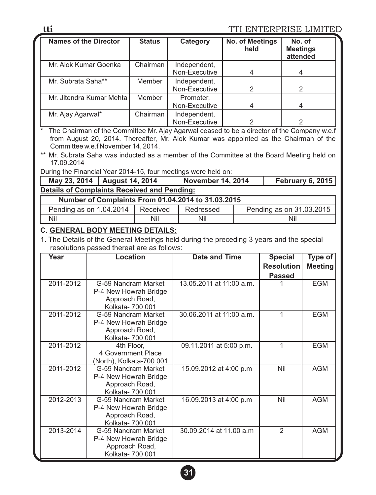| <b>Names of the Director</b>                                                                                                                                                                                                          | <b>Status</b> | Category                      | No. of Meetings<br>held  | No. of<br><b>Meetings</b><br>attended |
|---------------------------------------------------------------------------------------------------------------------------------------------------------------------------------------------------------------------------------------|---------------|-------------------------------|--------------------------|---------------------------------------|
| Mr. Alok Kumar Goenka                                                                                                                                                                                                                 | Chairman      | Independent,<br>Non-Executive | 4                        | 4                                     |
| Mr. Subrata Saha**                                                                                                                                                                                                                    | Member        | Independent,<br>Non-Executive | 2                        | 2                                     |
| Mr. Jitendra Kumar Mehta I                                                                                                                                                                                                            | Member        | Promoter,<br>Non-Executive    | 4                        | 4                                     |
| Mr. Ajay Agarwal*                                                                                                                                                                                                                     | Chairman      | Independent,<br>Non-Executive | $\mathcal{P}$            | $\mathcal{P}$                         |
| $\star$<br>The Chairman of the Committee Mr. Ajay Agarwal ceased to be a director of the Company w.e.f<br>from August 20, 2014. Thereafter, Mr. Alok Kumar was appointed as the Chairman of the<br>Committee w.e.f November 14, 2014. |               |                               |                          |                                       |
| ** Mr. Subrata Saha was inducted as a member of the Committee at the Board Meeting held on<br>17.09.2014                                                                                                                              |               |                               |                          |                                       |
| During the Financial Year 2014-15, four meetings were held on:                                                                                                                                                                        |               |                               |                          |                                       |
| August 14, 2014<br>May 23, 2014                                                                                                                                                                                                       |               | <b>November 14, 2014</b>      |                          | <b>February 6, 2015</b>               |
| <b>Details of Complaints Received and Pending:</b>                                                                                                                                                                                    |               |                               |                          |                                       |
| Number of Complaints From 01.04.2014 to 31.03.2015                                                                                                                                                                                    |               |                               |                          |                                       |
| Pending as on 1.04.2014                                                                                                                                                                                                               | Received      | Redressed                     | Pending as on 31.03.2015 |                                       |
| Nil                                                                                                                                                                                                                                   | Nil           | Nil                           | Nil                      |                                       |

# **C. GENERAL BODY MEETING DETAILS:**

1. The Details of the General Meetings held during the preceding 3 years and the special resolutions passed thereat are as follows:

| Year      | <b>Location</b>                         | Date and Time            | <b>Special</b>    | Type of        |
|-----------|-----------------------------------------|--------------------------|-------------------|----------------|
|           |                                         |                          | <b>Resolution</b> | <b>Meeting</b> |
|           |                                         |                          | <b>Passed</b>     |                |
| 2011-2012 | G-59 Nandram Market                     | 13.05.2011 at 11:00 a.m. |                   | <b>EGM</b>     |
|           | P-4 New Howrah Bridge                   |                          |                   |                |
|           | Approach Road,<br>Kolkata- 700 001      |                          |                   |                |
| 2011-2012 | G-59 Nandram Market                     | 30.06.2011 at 11:00 a.m. | 1                 | <b>EGM</b>     |
|           | P-4 New Howrah Bridge                   |                          |                   |                |
|           | Approach Road,                          |                          |                   |                |
|           | Kolkata- 700 001                        |                          |                   |                |
| 2011-2012 | 4th Floor,<br>4 Government Place        | 09.11.2011 at 5:00 p.m.  | 1                 | <b>EGM</b>     |
|           | (North), Kolkata-700 001                |                          |                   |                |
| 2011-2012 | G-59 Nandram Market                     | 15.09.2012 at 4:00 p.m   | Nil               | <b>AGM</b>     |
|           | P-4 New Howrah Bridge                   |                          |                   |                |
|           | Approach Road,                          |                          |                   |                |
|           | Kolkata- 700 001                        |                          |                   |                |
| 2012-2013 | G-59 Nandram Market                     | 16.09.2013 at 4:00 p.m   | Nil               | <b>AGM</b>     |
|           | P-4 New Howrah Bridge<br>Approach Road, |                          |                   |                |
|           | Kolkata- 700 001                        |                          |                   |                |
| 2013-2014 | G-59 Nandram Market                     | 30.09.2014 at 11.00 a.m  | $\mathfrak{p}$    | <b>AGM</b>     |
|           | P-4 New Howrah Bridge                   |                          |                   |                |
|           | Approach Road,                          |                          |                   |                |
|           | Kolkata- 700 001                        |                          |                   |                |

**tti**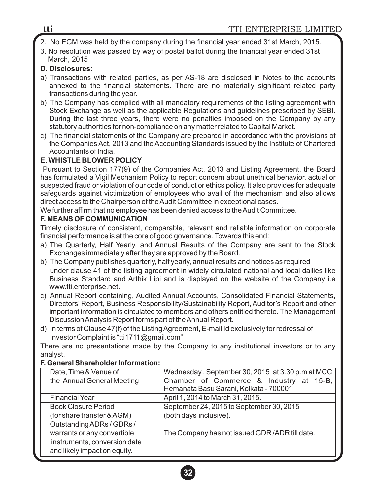- 2. No EGM was held by the company during the financial year ended 31st March, 2015.
- 3. No resolution was passed by way of postal ballot during the financial year ended 31st March, 2015

# **D. Disclosures:**

- a) Transactions with related parties, as per AS-18 are disclosed in Notes to the accounts annexed to the financial statements. There are no materially significant related party transactions during the year.
- b) The Company has complied with all mandatory requirements of the listing agreement with Stock Exchange as well as the applicable Regulations and guidelines prescribed by SEBI. During the last three years, there were no penalties imposed on the Company by any statutory authorities for non-compliance on any matter related to Capital Market.
- c) The financial statements of the Company are prepared in accordance with the provisions of the Companies Act, 2013 and the Accounting Standards issued by the Institute of Chartered Accountants of India.

# **E. WHISTLE BLOWER POLICY**

Pursuant to Section 177(9) of the Companies Act, 2013 and Listing Agreement, the Board has formulated a Vigil Mechanism Policy to report concern about unethical behavior, actual or suspected fraud or violation of our code of conduct or ethics policy. It also provides for adequate safeguards against victimization of employees who avail of the mechanism and also allows direct access to the Chairperson of the Audit Committee in exceptional cases.

We further affirm that no employee has been denied access to the Audit Committee.

# **F. MEANS OF COMMUNICATION**

Timely disclosure of consistent, comparable, relevant and reliable information on corporate financial performance is at the core of good governance. Towards this end:

- a) The Quarterly, Half Yearly, and Annual Results of the Company are sent to the Stock Exchanges immediately after they are approved by the Board.
- b) The Company publishes quarterly, half yearly, annual results and notices as required under clause 41 of the listing agreement in widely circulated national and local dailies like Business Standard and Arthik Lipi and is displayed on the website of the Company i.e www.tti.enterprise.net.
- c) Annual Report containing, Audited Annual Accounts, Consolidated Financial Statements, Directors' Report, Business Responsibility/Sustainability Report, Auditor's Report and other important information is circulated to members and others entitled thereto. The Management Discussion Analysis Report forms part of the Annual Report.
- d) In terms of Clause 47(f) of the Listing Agreement, E-mail Id exclusively for redressal of Investor Complaint is "tti1711@gmail.com"

There are no presentations made by the Company to any institutional investors or to any analyst.

# **F. General Shareholder Information:**

| Date, Time & Venue of        | Wednesday, September 30, 2015 at 3.30 p.m at MCC |
|------------------------------|--------------------------------------------------|
| the Annual General Meeting   | Chamber of Commerce & Industry at 15-B,          |
|                              | Hemanata Basu Sarani, Kolkata - 700001           |
| <b>Financial Year</b>        | April 1, 2014 to March 31, 2015.                 |
| <b>Book Closure Period</b>   | September 24, 2015 to September 30, 2015         |
| (for share transfer & AGM)   | (both days inclusive).                           |
| Outstanding ADRs / GDRs /    |                                                  |
| warrants or any convertible  | The Company has not issued GDR/ADR till date.    |
| instruments, conversion date |                                                  |
| and likely impact on equity. |                                                  |
|                              |                                                  |

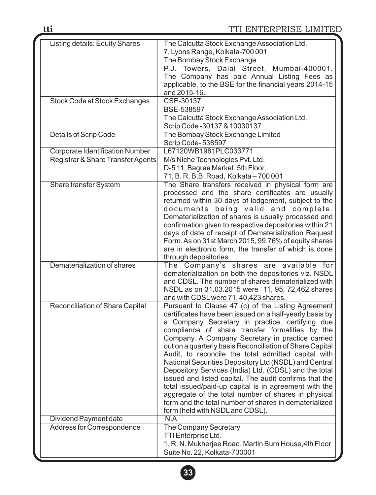| <b>Listing details: Equity Shares</b> | The Calcutta Stock Exchange Association Ltd.             |
|---------------------------------------|----------------------------------------------------------|
|                                       | 7, Lyons Range, Kolkata-700 001                          |
|                                       | The Bombay Stock Exchange                                |
|                                       | P.J. Towers, Dalal Street, Mumbai-400001.                |
|                                       | The Company has paid Annual Listing Fees as              |
|                                       | applicable, to the BSE for the financial years 2014-15   |
|                                       | and 2015-16.                                             |
| Stock Code at Stock Exchanges         | CSE-30137                                                |
|                                       | BSE-538597                                               |
|                                       |                                                          |
|                                       | The Calcutta Stock Exchange Association Ltd.             |
|                                       | Scrip Code - 30137 & 10030137                            |
| Details of Scrip Code                 | The Bombay Stock Exchange Limited                        |
|                                       | Scrip Code-538597                                        |
| Corporate Identification Number       | L67120WB1981PLC033771                                    |
| Registrar & Share Transfer Agents     | M/s Niche Technologies Pvt. Ltd.                         |
|                                       | D-511, Bagree Market, 5th Floor,                         |
|                                       | 71, B. R. B.B. Road, Kolkata - 700 001                   |
| Share transfer System                 | The Share transfers received in physical form are        |
|                                       | processed and the share certificates are usually         |
|                                       | returned within 30 days of lodgement, subject to the     |
|                                       | documents being valid and complete.                      |
|                                       | Dematerialization of shares is usually processed and     |
|                                       | confirmation given to respective depositories within 21  |
|                                       | days of date of receipt of Dematerialization Request     |
|                                       | Form. As on 31st March 2015, 99.76% of equity shares     |
|                                       | are in electronic form, the transfer of which is done    |
|                                       | through depositories.                                    |
| Dematerialization of shares           | The Company's shares are available for                   |
|                                       | dematerialization on both the depositories viz. NSDL     |
|                                       | and CDSL. The number of shares dematerialized with       |
|                                       | NSDL as on 31.03.2015 were 11, 95, 72,462 shares         |
|                                       | and with CDSL were 71, 40,423 shares.                    |
| Reconciliation of Share Capital       | Pursuant to Clause 47 (c) of the Listing Agreement       |
|                                       | certificates have been issued on a half-yearly basis by  |
|                                       | a Company Secretary in practice, certifying due          |
|                                       | compliance of share transfer formalities by the          |
|                                       | Company. A Company Secretary in practice carried         |
|                                       | out on a quarterly basis Reconciliation of Share Capital |
|                                       | Audit, to reconcile the total admitted capital with      |
|                                       | National Securities Depository Ltd (NSDL) and Central    |
|                                       | Depository Services (India) Ltd. (CDSL) and the total    |
|                                       | issued and listed capital. The audit confirms that the   |
|                                       | total issued/paid-up capital is in agreement with the    |
|                                       | aggregate of the total number of shares in physical      |
|                                       | form and the total number of shares in dematerialized    |
|                                       | form (held with NSDL and CDSL).                          |
| Dividend Payment date                 | N.A                                                      |
| Address for Correspondence            | The Company Secretary                                    |
|                                       | TTI Enterprise Ltd.                                      |
|                                       | 1, R. N. Mukherjee Road, Martin Burn House, 4th Floor    |
|                                       | Suite No. 22, Kolkata-700001                             |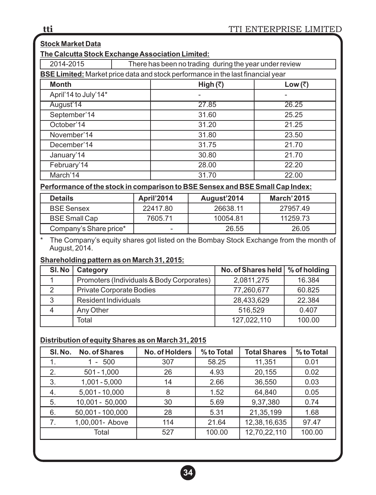| <b>Stock Market Data</b>                                            |  |                                                                                        |         |  |  |  |
|---------------------------------------------------------------------|--|----------------------------------------------------------------------------------------|---------|--|--|--|
| The Calcutta Stock Exchange Association Limited:                    |  |                                                                                        |         |  |  |  |
| 2014-2015<br>There has been no trading during the year under review |  |                                                                                        |         |  |  |  |
|                                                                     |  | <b>BSE Limited:</b> Market price data and stock performance in the last financial year |         |  |  |  |
| <b>Month</b>                                                        |  | High (₹)                                                                               | Low (₹) |  |  |  |
| April'14 to July'14*                                                |  |                                                                                        |         |  |  |  |
| August'14                                                           |  | 27.85                                                                                  | 26.25   |  |  |  |
| September'14                                                        |  | 31.60                                                                                  | 25.25   |  |  |  |
| October'14                                                          |  | 31.20                                                                                  | 21.25   |  |  |  |
| November'14                                                         |  | 31.80                                                                                  | 23.50   |  |  |  |
| December'14                                                         |  | 31.75                                                                                  | 21.70   |  |  |  |
| January'14                                                          |  | 30.80                                                                                  | 21.70   |  |  |  |
| February'14                                                         |  | 28.00                                                                                  | 22.20   |  |  |  |
| March'14                                                            |  | 31.70                                                                                  | 22.00   |  |  |  |
|                                                                     |  |                                                                                        |         |  |  |  |

## **Performance of the stock in comparison to BSE Sensex and BSE Small Cap Index:**

| <b>Details</b>         | <b>April'2014</b> | August'2014 | <b>March'2015</b> |
|------------------------|-------------------|-------------|-------------------|
| <b>BSE Sensex</b>      | 22417.80          | 26638.11    | 27957.49          |
| <b>BSE Small Cap</b>   | 7605.71           | 10054.81    | 11259.73          |
| Company's Share price* |                   | 26.55       | 26.05             |

\* The Company's equity shares got listed on the Bombay Stock Exchange from the month of August, 2014.

## **Shareholding pattern as on March 31, 2015:**

| SI. No | Category                                  | No. of Shares held   % of holding |        |
|--------|-------------------------------------------|-----------------------------------|--------|
|        | Promoters (Individuals & Body Corporates) | 2,0811,275                        | 16.384 |
| 2      | Private Corporate Bodies                  | 77,260,677                        | 60.825 |
| 3      | <b>Resident Individuals</b>               | 28,433,629                        | 22.384 |
|        | Any Other                                 | 516,529                           | 0.407  |
|        | Total                                     | 127,022,110                       | 100.00 |

## **Distribution of equity Shares as on March 31, 2015**

| SI. No. | <b>No. of Shares</b> | No. of Holders | % to Total | <b>Total Shares</b> | % to Total |
|---------|----------------------|----------------|------------|---------------------|------------|
| 1.      | $-500$               | 307            | 58.25      | 11,351              | 0.01       |
| 2.      | $501 - 1,000$        | 26             | 4.93       | 20,155              | 0.02       |
| 3.      | $1,001 - 5,000$      | 14             | 2.66       | 36,550              | 0.03       |
| 4.      | $5,001 - 10,000$     | 8              | 1.52       | 64,840              | 0.05       |
| 5.      | $10,001 - 50,000$    | 30             | 5.69       | 9,37,380            | 0.74       |
| 6.      | 50,001 - 100,000     | 28             | 5.31       | 21,35,199           | 1.68       |
| 7.      | 1,00,001- Above      | 114            | 21.64      | 12,38,16,635        | 97.47      |
|         | Total                | 527            | 100.00     | 12,70,22,110        | 100.00     |

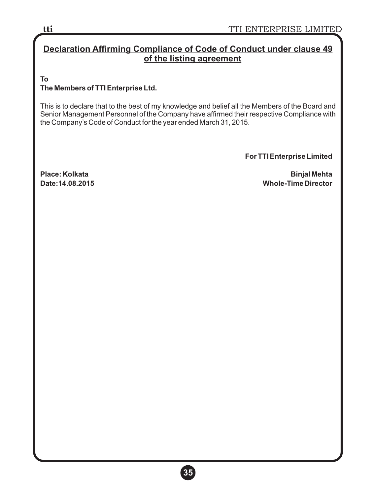# **Declaration Affirming Compliance of Code of Conduct under clause 49 of the listing agreement**

**To**

## **The Members of TTI Enterprise Ltd.**

This is to declare that to the best of my knowledge and belief all the Members of the Board and Senior Management Personnel of the Company have affirmed their respective Compliance with the Company's Code of Conduct for the year ended March 31, 2015.

**For TTI Enterprise Limited**

**Place: Kolkata Binjal Mehta Whole-Time Director** 

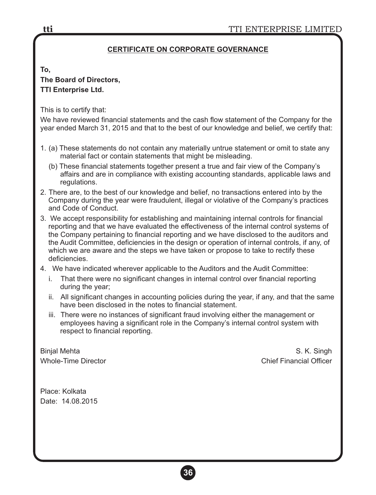## **CERTIFICATE ON CORPORATE GOVERNANCE**

#### **To,**

# **The Board of Directors, TTI Enterprise Ltd.**

This is to certify that:

We have reviewed financial statements and the cash flow statement of the Company for the year ended March 31, 2015 and that to the best of our knowledge and belief, we certify that:

- 1. (a) These statements do not contain any materially untrue statement or omit to state any material fact or contain statements that might be misleading.
	- (b) These financial statements together present a true and fair view of the Company's affairs and are in compliance with existing accounting standards, applicable laws and regulations.
- 2. There are, to the best of our knowledge and belief, no transactions entered into by the Company during the year were fraudulent, illegal or violative of the Company's practices and Code of Conduct.
- 3. We accept responsibility for establishing and maintaining internal controls for financial reporting and that we have evaluated the effectiveness of the internal control systems of the Company pertaining to financial reporting and we have disclosed to the auditors and the Audit Committee, deficiencies in the design or operation of internal controls, if any, of which we are aware and the steps we have taken or propose to take to rectify these deficiencies.
- 4. We have indicated wherever applicable to the Auditors and the Audit Committee:
	- i. That there were no significant changes in internal control over financial reporting during the year;
	- ii. All significant changes in accounting policies during the year, if any, and that the same have been disclosed in the notes to financial statement.
	- iii. There were no instances of significant fraud involving either the management or employees having a significant role in the Company's internal control system with respect to financial reporting.

Binjal Mehta S. K. Singh Whole-Time Director **Chief Financial Officer** Chief Financial Officer

Place: Kolkata Date: 14.08.2015

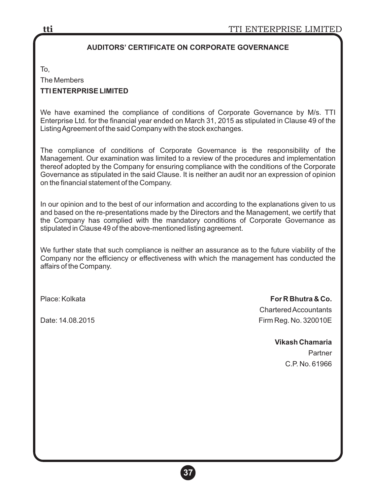### **AUDITORS' CERTIFICATE ON CORPORATE GOVERNANCE**

To,

The Members

### **TTI ENTERPRISE LIMITED**

We have examined the compliance of conditions of Corporate Governance by M/s. TTI Enterprise Ltd. for the financial year ended on March 31, 2015 as stipulated in Clause 49 of the Listing Agreement of the said Company with the stock exchanges.

The compliance of conditions of Corporate Governance is the responsibility of the Management. Our examination was limited to a review of the procedures and implementation thereof adopted by the Company for ensuring compliance with the conditions of the Corporate Governance as stipulated in the said Clause. It is neither an audit nor an expression of opinion on the financial statement of the Company.

In our opinion and to the best of our information and according to the explanations given to us and based on the re-presentations made by the Directors and the Management, we certify that the Company has complied with the mandatory conditions of Corporate Governance as stipulated in Clause 49 of the above-mentioned listing agreement.

We further state that such compliance is neither an assurance as to the future viability of the Company nor the efficiency or effectiveness with which the management has conducted the affairs of the Company.

Place: Kolkata **For R Bhutra & Co.** Chartered Accountants Date: 14.08.2015 Firm Reg. No. 320010E

> **Vikash Chamaria** Partner C.P. No. 61966

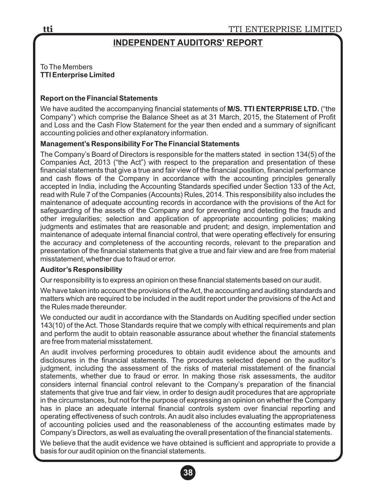# **INDEPENDENT AUDITORS' REPORT**

#### To The Members **TTI Enterprise Limited**

#### **Report on the Financial Statements**

We have audited the accompanying financial statements of **M/S. TTI ENTERPRISE LTD.** ("the Company") which comprise the Balance Sheet as at 31 March, 2015, the Statement of Profit and Loss and the Cash Flow Statement for the year then ended and a summary of significant accounting policies and other explanatory information.

#### **Management's Responsibility For The Financial Statements**

The Company's Board of Directors is responsible for the matters stated in section 134(5) of the Companies Act, 2013 ("the Act") with respect to the preparation and presentation of these financial statements that give a true and fair view of the financial position, financial performance and cash flows of the Company in accordance with the accounting principles generally accepted in India, including the Accounting Standards specified under Section 133 of the Act, read with Rule 7 of the Companies (Accounts) Rules, 2014. This responsibility also includes the maintenance of adequate accounting records in accordance with the provisions of the Act for safeguarding of the assets of the Company and for preventing and detecting the frauds and other irregularities; selection and application of appropriate accounting policies; making judgments and estimates that are reasonable and prudent; and design, implementation and maintenance of adequate internal financial control, that were operating effectively for ensuring the accuracy and completeness of the accounting records, relevant to the preparation and presentation of the financial statements that give a true and fair view and are free from material misstatement, whether due to fraud or error.

#### **Auditor's Responsibility**

Our responsibility is to express an opinion on these financial statements based on our audit.

We have taken into account the provisions of the Act, the accounting and auditing standards and matters which are required to be included in the audit report under the provisions of the Act and the Rules made thereunder.

We conducted our audit in accordance with the Standards on Auditing specified under section 143(10) of the Act. Those Standards require that we comply with ethical requirements and plan and perform the audit to obtain reasonable assurance about whether the financial statements are free from material misstatement.

An audit involves performing procedures to obtain audit evidence about the amounts and disclosures in the financial statements. The procedures selected depend on the auditor's judgment, including the assessment of the risks of material misstatement of the financial statements, whether due to fraud or error. In making those risk assessments, the auditor considers internal financial control relevant to the Company's preparation of the financial statements that give true and fair view, in order to design audit procedures that are appropriate in the circumstances, but not for the purpose of expressing an opinion on whether the Company has in place an adequate internal financial controls system over financial reporting and operating effectiveness of such controls. An audit also includes evaluating the appropriateness of accounting policies used and the reasonableness of the accounting estimates made by Company's Directors, as well as evaluating the overall presentation of the financial statements.

We believe that the audit evidence we have obtained is sufficient and appropriate to provide a basis for our audit opinion on the financial statements.

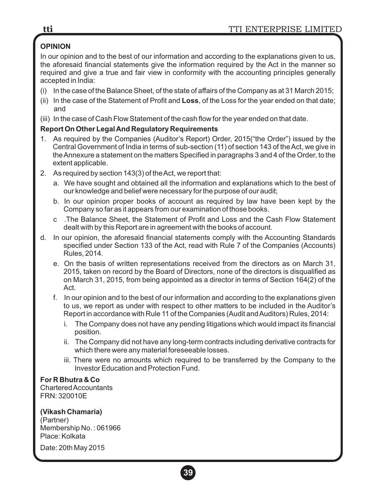# **OPINION**

In our opinion and to the best of our information and according to the explanations given to us, the aforesaid financial statements give the information required by the Act in the manner so required and give a true and fair view in conformity with the accounting principles generally accepted in India:

- (i) In the case of the Balance Sheet, of the state of affairs of the Company as at 31 March 2015;
- (ii) In the case of the Statement of Profit and **Loss**, of the Loss for the year ended on that date; and
- (iii) In the case of Cash Flow Statement of the cash flow for the year ended on that date.

## **Report On Other Legal And Regulatory Requirements**

- 1. As required by the Companies (Auditor's Report) Order, 2015("the Order") issued by the Central Government of India in terms of sub-section (11) of section 143 of the Act, we give in the Annexure a statement on the matters Specified in paragraphs 3 and 4 of the Order, to the extent applicable.
- 2. As required by section 143(3) of the Act, we report that:
	- a. We have sought and obtained all the information and explanations which to the best of our knowledge and belief were necessary for the purpose of our audit;
	- b. In our opinion proper books of account as required by law have been kept by the Company so far as it appears from our examination of those books.
	- c .The Balance Sheet, the Statement of Profit and Loss and the Cash Flow Statement dealt with by this Report are in agreement with the books of account.
- d. In our opinion, the aforesaid financial statements comply with the Accounting Standards specified under Section 133 of the Act, read with Rule 7 of the Companies (Accounts) Rules, 2014.
	- e. On the basis of written representations received from the directors as on March 31, 2015, taken on record by the Board of Directors, none of the directors is disqualified as on March 31, 2015, from being appointed as a director in terms of Section 164(2) of the Act.
	- f. In our opinion and to the best of our information and according to the explanations given to us, we report as under with respect to other matters to be included in the Auditor's Report in accordance with Rule 11 of the Companies (Audit and Auditors) Rules, 2014:
		- i. The Company does not have any pending litigations which would impact its financial position.
		- ii. The Company did not have any long-term contracts including derivative contracts for which there were any material foreseeable losses.
		- iii. There were no amounts which required to be transferred by the Company to the Investor Education and Protection Fund.

# **For R Bhutra & Co**

Chartered Accountants FRN: 320010E

# **(Vikash Chamaria)**

(Partner) Membership No. : 061966 Place: Kolkata

Date: 20th May 2015

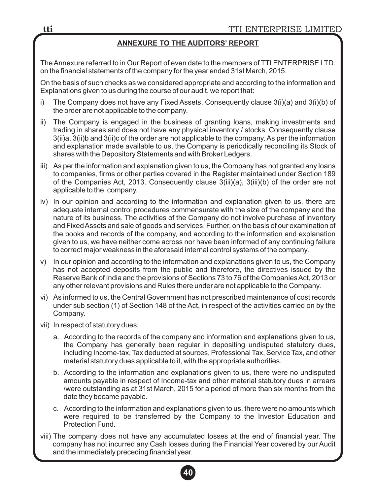## **ANNEXURE TO THE AUDITORS' REPORT**

The Annexure referred to in Our Report of even date to the members of TTI ENTERPRISE LTD. on the financial statements of the company for the year ended 31st March, 2015.

On the basis of such checks as we considered appropriate and according to the information and Explanations given to us during the course of our audit, we report that:

- i) The Company does not have any Fixed Assets. Consequently clause 3(i)(a) and 3(i)(b) of the order are not applicable to the company.
- ii) The Company is engaged in the business of granting loans, making investments and trading in shares and does not have any physical inventory / stocks. Consequently clause 3(ii)a, 3(ii)b and 3(ii)c of the order are not applicable to the company. As per the information and explanation made available to us, the Company is periodically reconciling its Stock of shares with the Depository Statements and with Broker Ledgers.
- iii) As per the information and explanation given to us, the Company has not granted any loans to companies, firms or other parties covered in the Register maintained under Section 189 of the Companies Act, 2013. Consequently clause 3(iii)(a), 3(iii)(b) of the order are not applicable to the company.
- iv) In our opinion and according to the information and explanation given to us, there are adequate internal control procedures commensurate with the size of the company and the nature of its business. The activities of the Company do not involve purchase of inventory and Fixed Assets and sale of goods and services. Further, on the basis of our examination of the books and records of the company, and according to the information and explanation given to us, we have neither come across nor have been informed of any continuing failure to correct major weakness in the aforesaid internal control systems of the company.
- v) In our opinion and according to the information and explanations given to us, the Company has not accepted deposits from the public and therefore, the directives issued by the Reserve Bank of India and the provisions of Sections 73 to 76 of the Companies Act, 2013 or any other relevant provisions and Rules there under are not applicable to the Company.
- vi) As informed to us, the Central Government has not prescribed maintenance of cost records under sub section (1) of Section 148 of the Act, in respect of the activities carried on by the Company.
- vii) In respect of statutory dues:
	- a. According to the records of the company and information and explanations given to us, the Company has generally been regular in depositing undisputed statutory dues, including Income-tax, Tax deducted at sources, Professional Tax, Service Tax, and other material statutory dues applicable to it, with the appropriate authorities.
	- b. According to the information and explanations given to us, there were no undisputed amounts payable in respect of Income-tax and other material statutory dues in arrears /were outstanding as at 31st March, 2015 for a period of more than six months from the date they became payable.
	- c. According to the information and explanations given to us, there were no amounts which were required to be transferred by the Company to the Investor Education and Protection Fund.
- viii) The company does not have any accumulated losses at the end of financial year. The company has not incurred any Cash losses during the Financial Year covered by our Audit and the immediately preceding financial year.

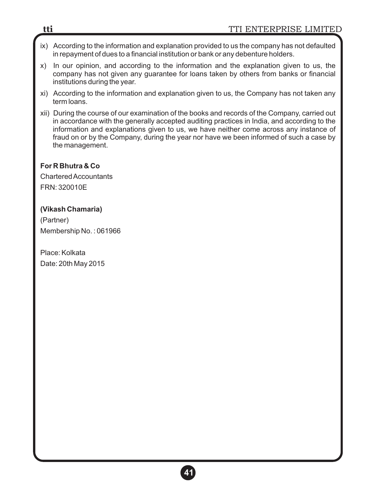- ix) According to the information and explanation provided to us the company has not defaulted in repayment of dues to a financial institution or bank or any debenture holders.
- x) In our opinion, and according to the information and the explanation given to us, the company has not given any guarantee for loans taken by others from banks or financial institutions during the year.
- xi) According to the information and explanation given to us, the Company has not taken any term loans.
- xii) During the course of our examination of the books and records of the Company, carried out in accordance with the generally accepted auditing practices in India, and according to the information and explanations given to us, we have neither come across any instance of fraud on or by the Company, during the year nor have we been informed of such a case by the management.

### **For R Bhutra & Co**

Chartered Accountants FRN: 320010E

### **(Vikash Chamaria)**

(Partner) Membership No. : 061966

Place: Kolkata Date: 20th May 2015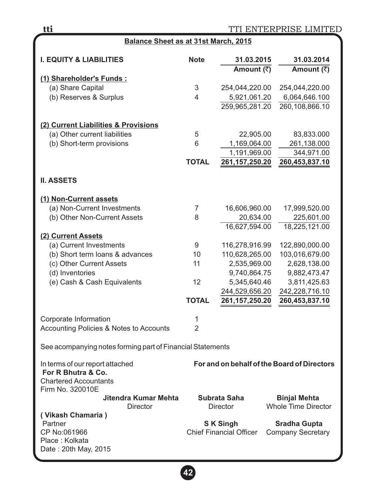| Balance Sheet as at 31st March, 2015                                                                      |                |                                |                                             |  |  |  |
|-----------------------------------------------------------------------------------------------------------|----------------|--------------------------------|---------------------------------------------|--|--|--|
| <b>I. EQUITY &amp; LIABILITIES</b>                                                                        | <b>Note</b>    | 31.03.2015<br>Amount (₹)       | 31.03.2014<br>Amount (₹)                    |  |  |  |
| (1) Shareholder's Funds:                                                                                  |                |                                |                                             |  |  |  |
| (a) Share Capital                                                                                         | 3              | 254,044,220.00                 | 254,044,220.00                              |  |  |  |
| (b) Reserves & Surplus                                                                                    | 4              | 5,921,061.20                   | 6,064,646.100                               |  |  |  |
|                                                                                                           |                | 259,965,281.20                 | 260,108,866.10                              |  |  |  |
| (2) Current Liabilities & Provisions                                                                      |                |                                |                                             |  |  |  |
| (a) Other current liabilities                                                                             | 5              | 22,905.00                      | 83,833.000                                  |  |  |  |
| (b) Short-term provisions                                                                                 | 6              | 1,169,064.00                   | 261,138.000                                 |  |  |  |
|                                                                                                           |                | 1,191,969.00                   | 344,971.00                                  |  |  |  |
|                                                                                                           | <b>TOTAL</b>   | 261, 157, 250. 20              | 260,453,837.10                              |  |  |  |
| <b>II. ASSETS</b>                                                                                         |                |                                |                                             |  |  |  |
| (1) Non-Current assets                                                                                    |                |                                |                                             |  |  |  |
| (a) Non-Current Investments                                                                               | 7              | 16,606,960.00                  | 17,999,520.00                               |  |  |  |
| (b) Other Non-Current Assets                                                                              | 8              | 20,634.00                      | 225,601.00                                  |  |  |  |
|                                                                                                           |                | 16,627,594.00                  | 18,225,121.00                               |  |  |  |
| (2) Current Assets                                                                                        |                |                                |                                             |  |  |  |
| (a) Current Investments                                                                                   | 9              | 116,278,916.99                 | 122,890,000.00                              |  |  |  |
| (b) Short term loans & advances                                                                           | 10             | 110,628,265.00                 | 103,016,679.00                              |  |  |  |
| (c) Other Current Assets                                                                                  | 11             | 2,535,969.00                   | 2,628,138.00                                |  |  |  |
| (d) Inventories                                                                                           |                | 9,740,864.75                   | 9,882,473.47                                |  |  |  |
| (e) Cash & Cash Equivalents                                                                               | 12             | 5,345,640.46                   | 3,811,425.63                                |  |  |  |
|                                                                                                           |                | 244,529,656.20                 | 242,228,716.10                              |  |  |  |
|                                                                                                           | <b>TOTAL</b>   | 261, 157, 250. 20              | 260,453,837.10                              |  |  |  |
| Corporate Information                                                                                     | 1              |                                |                                             |  |  |  |
| Accounting Policies & Notes to Accounts                                                                   | $\overline{2}$ |                                |                                             |  |  |  |
| See acompanying notes forming part of Financial Statements                                                |                |                                |                                             |  |  |  |
| In terms of our report attached<br>For R Bhutra & Co.<br><b>Chartered Accountants</b><br>Firm No. 320010E |                |                                | For and on behalf of the Board of Directors |  |  |  |
| Jitendra Kumar Mehta                                                                                      |                | Subrata Saha                   | <b>Binjal Mehta</b>                         |  |  |  |
| Director                                                                                                  |                | <b>Director</b>                | <b>Whole Time Director</b>                  |  |  |  |
| (Vikash Chamaria)                                                                                         |                |                                |                                             |  |  |  |
| Partner                                                                                                   |                | <b>SK Singh</b>                | <b>Sradha Gupta</b>                         |  |  |  |
| CP No:061966                                                                                              |                | <b>Chief Financial Officer</b> | <b>Company Secretary</b>                    |  |  |  |
| Place: Kolkata                                                                                            |                |                                |                                             |  |  |  |
| Date: 20th May, 2015                                                                                      |                |                                |                                             |  |  |  |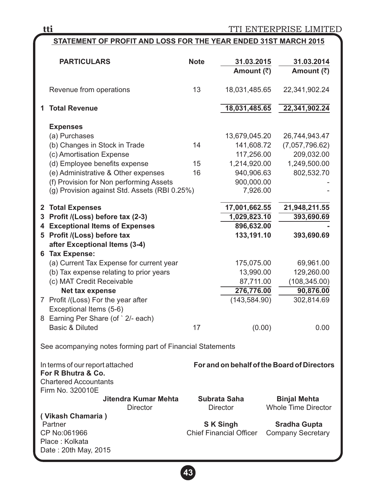TTI ENTERPRISE LIMITED

## **STATEMENT OF PROFIT AND LOSS FOR THE YEAR ENDED 31ST MARCH 2015**

| <b>PARTICULARS</b>                                                                                                                                                                                                                                                | <b>Note</b>    | 31.03.2015<br>Amount (₹)                                                                          | 31.03.2014<br>Amount (₹)                                                    |  |
|-------------------------------------------------------------------------------------------------------------------------------------------------------------------------------------------------------------------------------------------------------------------|----------------|---------------------------------------------------------------------------------------------------|-----------------------------------------------------------------------------|--|
| Revenue from operations                                                                                                                                                                                                                                           | 13             | 18,031,485.65                                                                                     | 22,341,902.24                                                               |  |
| 1 Total Revenue                                                                                                                                                                                                                                                   |                | 18,031,485.65                                                                                     | 22,341,902.24                                                               |  |
| <b>Expenses</b><br>(a) Purchases<br>(b) Changes in Stock in Trade<br>(c) Amortisation Expense<br>(d) Employee benefits expense<br>(e) Administrative & Other expenses<br>(f) Provision for Non performing Assets<br>(g) Provision against Std. Assets (RBI 0.25%) | 14<br>15<br>16 | 13,679,045.20<br>141,608.72<br>117,256.00<br>1,214,920.00<br>940,906.63<br>900,000.00<br>7,926.00 | 26,744,943.47<br>(7,057,796.62)<br>209,032.00<br>1,249,500.00<br>802,532.70 |  |
| 2 Total Expenses<br>3 Profit /(Loss) before tax (2-3)                                                                                                                                                                                                             |                | 17,001,662.55<br>1,029,823.10                                                                     | 21,948,211.55<br>393,690.69                                                 |  |
| 4 Exceptional Items of Expenses<br>5 Profit /(Loss) before tax<br>after Exceptional Items (3-4)                                                                                                                                                                   |                | 896,632.00<br>133,191.10                                                                          | 393,690.69                                                                  |  |
| 6 Tax Expense:<br>(a) Current Tax Expense for current year<br>(b) Tax expense relating to prior years<br>(c) MAT Credit Receivable<br>Net tax expense<br>7 Profit /(Loss) For the year after<br>Exceptional Items (5-6)                                           |                | 175,075.00<br>13,990.00<br>87,711.00<br>276,776.00<br>(143, 584.90)                               | 69,961.00<br>129,260.00<br>(108, 345.00)<br>90,876.00<br>302,814.69         |  |
| 8 Earning Per Share (of ` 2/- each)<br>Basic & Diluted                                                                                                                                                                                                            | 17             | (0.00)                                                                                            | 0.00                                                                        |  |
| See acompanying notes forming part of Financial Statements                                                                                                                                                                                                        |                |                                                                                                   |                                                                             |  |
| In terms of our report attached<br>For R Bhutra & Co.<br><b>Chartered Accountants</b><br>Firm No. 320010E                                                                                                                                                         |                |                                                                                                   | For and on behalf of the Board of Directors                                 |  |
| Jitendra Kumar Mehta<br><b>Director</b>                                                                                                                                                                                                                           |                | Subrata Saha<br><b>Director</b>                                                                   | <b>Binjal Mehta</b><br><b>Whole Time Director</b>                           |  |
| ( Vikash Chamaria )<br>Partner<br>CP No:061966<br>Place: Kolkata<br>Date : 20th May, 2015                                                                                                                                                                         |                | <b>SK Singh</b><br><b>Chief Financial Officer</b>                                                 | <b>Sradha Gupta</b><br><b>Company Secretary</b>                             |  |

**43**

**tti**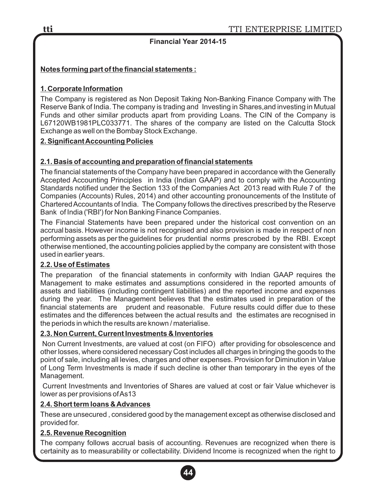## **Financial Year 2014-15**

## **Notes forming part of the financial statements :**

### **1. Corporate Information**

The Company is registered as Non Deposit Taking Non-Banking Finance Company with The Reserve Bank of India. The company is trading and Investing in Shares,and investing in Mutual Funds and other similar products apart from providing Loans. The CIN of the Company is L67120WB1981PLC033771. The shares of the company are listed on the Calcutta Stock Exchange as well on the Bombay Stock Exchange.

### **2. Significant Accounting Policies**

### **2.1. Basis of accounting and preparation of financial statements**

The financial statements of the Company have been prepared in accordance with the Generally Accepted Accounting Principles in India (Indian GAAP) and to comply with the Accounting Standards notified under the Section 133 of the Companies Act 2013 read with Rule 7 of the Companies (Accounts) Rules, 2014) and other accounting pronouncements of the Institute of Chartered Accountants of India. The Company follows the directives prescribed by the Reserve Bank of India ('RBI') for Non Banking Finance Companies.

The Financial Statements have been prepared under the historical cost convention on an accrual basis. However income is not recognised and also provision is made in respect of non performing assets as per the guidelines for prudential norms prescrobed by the RBI. Except otherwise mentioned, the accounting policies applied by the company are consistent with those used in earlier years.

### **2.2. Use of Estimates**

The preparation of the financial statements in conformity with Indian GAAP requires the Management to make estimates and assumptions considered in the reported amounts of assets and liabilities (including contingent liabilities) and the reported income and expenses during the year. The Management believes that the estimates used in preparation of the financial statements are prudent and reasonable. Future results could differ due to these estimates and the differences between the actual results and the estimates are recognised in the periods in which the results are known / materialise.

### **2.3. Non Current, Current Investments & Inventories**

Non Current Investments, are valued at cost (on FIFO) after providing for obsolescence and other losses, where considered necessary Cost includes all charges in bringing the goods to the point of sale, including all levies, charges and other expenses. Provision for Diminution in Value of Long Term Investments is made if such decline is other than temporary in the eyes of the Management.

Current Investments and Inventories of Shares are valued at cost or fair Value whichever is lower as per provisions of As13

### **2.4. Short term loans & Advances**

These are unsecured , considered good by the management except as otherwise disclosed and provided for.

### **2.5. Revenue Recognition**

The company follows accrual basis of accounting. Revenues are recognized when there is certainity as to measurability or collectability. Dividend Income is recognized when the right to

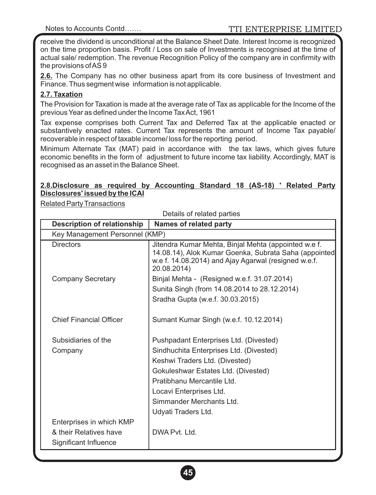receive the dividend is unconditional at the Balance Sheet Date. Interest Income is recognized on the time proportion basis. Profit / Loss on sale of Investments is recognised at the time of actual sale/ redemption. The revenue Recognition Policy of the company are in confirmity with the provisions of AS 9

**2.6.** The Company has no other business apart from its core business of Investment and Finance. Thus segment wise information is not applicable.

### **2.7. Taxation**

The Provision for Taxation is made at the average rate of Tax as applicable for the Income of the previous Year as defined under the Income Tax Act, 1961

Tax expense comprises both Current Tax and Deferred Tax at the applicable enacted or substantively enacted rates. Current Tax represents the amount of Income Tax payable/ recoverable in respect of taxable income/ loss for the reporting period.

Minimum Alternate Tax (MAT) paid in accordance with the tax laws, which gives future economic benefits in the form of adjustment to future income tax liability. Accordingly, MAT is recognised as an asset in the Balance Sheet.

#### **2.8.Disclosure as required by Accounting Standard 18 (AS-18) ' Related Party Disclosures' issued by the ICAI**

Related Party Transactions

| Details of related parties         |                                                                                                                                                                                      |  |  |  |
|------------------------------------|--------------------------------------------------------------------------------------------------------------------------------------------------------------------------------------|--|--|--|
| <b>Description of relationship</b> | <b>Names of related party</b>                                                                                                                                                        |  |  |  |
| Key Management Personnel (KMP)     |                                                                                                                                                                                      |  |  |  |
| <b>Directors</b>                   | Jitendra Kumar Mehta, Binjal Mehta (appointed w.e f.<br>14.08.14), Alok Kumar Goenka, Subrata Saha (appointed<br>w.e f. 14.08.2014) and Ajay Agarwal (resigned w.e.f.<br>20.08.2014) |  |  |  |
| <b>Company Secretary</b>           | Binjal Mehta - (Resigned w.e.f. 31.07.2014)                                                                                                                                          |  |  |  |
|                                    | Sunita Singh (from 14.08.2014 to 28.12.2014)                                                                                                                                         |  |  |  |
|                                    | Sradha Gupta (w.e.f. 30.03.2015)                                                                                                                                                     |  |  |  |
| <b>Chief Financial Officer</b>     | Sumant Kumar Singh (w.e.f. 10.12.2014)                                                                                                                                               |  |  |  |
| Subsidiaries of the                | Pushpadant Enterprises Ltd. (Divested)                                                                                                                                               |  |  |  |
| Company                            | Sindhuchita Enterprises Ltd. (Divested)                                                                                                                                              |  |  |  |
|                                    | Keshwi Traders Ltd. (Divested)                                                                                                                                                       |  |  |  |
|                                    | Gokuleshwar Estates Ltd. (Divested)                                                                                                                                                  |  |  |  |
|                                    | Pratibhanu Mercantile Ltd.                                                                                                                                                           |  |  |  |
|                                    | Locavi Enterprises Ltd.                                                                                                                                                              |  |  |  |
|                                    | Simmander Merchants Ltd.                                                                                                                                                             |  |  |  |
|                                    | Udyati Traders Ltd.                                                                                                                                                                  |  |  |  |
| Enterprises in which KMP           |                                                                                                                                                                                      |  |  |  |
| & their Relatives have             | DWA Pvt. Ltd.                                                                                                                                                                        |  |  |  |
| Significant Influence              |                                                                                                                                                                                      |  |  |  |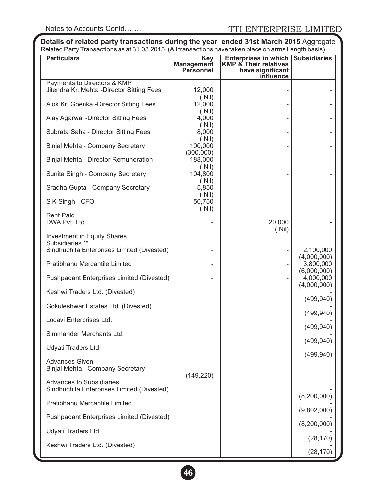**Details of related party transactions during the year ended 31st March 2015** Aggregate Related Party Transactions as at 31.03.2015. (All transactions have taken place on arms Length basis)

| <b>Particulars</b>                                                            | <b>Key</b><br><b>Management</b><br>Personnel | <b>Enterprises in which Subsidiaries</b><br><b>KMP &amp; Their relatives</b><br>have significant<br><b>influence</b> |                          |
|-------------------------------------------------------------------------------|----------------------------------------------|----------------------------------------------------------------------------------------------------------------------|--------------------------|
| Payments to Directors & KMP                                                   |                                              |                                                                                                                      |                          |
| Jitendra Kr. Mehta - Director Sitting Fees                                    | 12,000<br>(Nil)                              |                                                                                                                      |                          |
| Alok Kr. Goenka - Director Sitting Fees                                       | 12,000<br>(Nil)                              |                                                                                                                      |                          |
| Ajay Agarwal - Director Sitting Fees                                          | 4,000<br>(Nil)                               |                                                                                                                      |                          |
| Subrata Saha - Director Sitting Fees                                          | 8,000                                        |                                                                                                                      |                          |
| Binjal Mehta - Company Secretary                                              | (Nil)<br>100,000                             |                                                                                                                      |                          |
| Binjal Mehta - Director Remuneration                                          | (300,000)<br>188,000                         |                                                                                                                      |                          |
| Sunita Singh - Company Secretary                                              | (Nil)<br>104,800                             |                                                                                                                      |                          |
| Sradha Gupta - Company Secretary                                              | (Nil)<br>5,850                               |                                                                                                                      |                          |
| S K Singh - CFO                                                               | (Nil)<br>50,750                              |                                                                                                                      |                          |
| Rent Paid                                                                     | (Nil)                                        |                                                                                                                      |                          |
| DWA Pvt. Ltd.                                                                 |                                              | 20,000<br>(Nil)                                                                                                      |                          |
| Investment in Equity Shares<br>Subsidiaries **                                |                                              |                                                                                                                      |                          |
| Sindhuchita Enterprises Limited (Divested)                                    |                                              |                                                                                                                      | 2,100,000                |
| Pratibhanu Mercantile Limited                                                 |                                              |                                                                                                                      | (4,000,000)<br>3,800,000 |
| Pushpadant Enterprises Limited (Divested)                                     |                                              |                                                                                                                      | (6,000,000)<br>4,000,000 |
| Keshwi Traders Ltd. (Divested)                                                |                                              |                                                                                                                      | (4,000,000)              |
| Gokuleshwar Estates Ltd. (Divested)                                           |                                              |                                                                                                                      | (499, 940)               |
| Locavi Enterprises Ltd.                                                       |                                              |                                                                                                                      | (499, 940)               |
| Simmander Merchants Ltd.                                                      |                                              |                                                                                                                      | (499, 940)               |
| Udyati Traders Ltd.                                                           |                                              |                                                                                                                      | (499, 940)               |
| <b>Advances Given</b><br>Binjal Mehta - Company Secretary                     |                                              |                                                                                                                      | (499, 940)               |
| <b>Advances to Subsidiaries</b><br>Sindhuchita Enterprises Limited (Divested) | (149, 220)                                   |                                                                                                                      |                          |
| Pratibhanu Mercantile Limited                                                 |                                              |                                                                                                                      | (8,200,000)              |
| Pushpadant Enterprises Limited (Divested)                                     |                                              |                                                                                                                      | (9,802,000)              |
| Udyati Traders Ltd.                                                           |                                              |                                                                                                                      | (8,200,000)              |
| Keshwi Traders Ltd. (Divested)                                                |                                              |                                                                                                                      | (28, 170)                |
|                                                                               |                                              |                                                                                                                      | (28, 170)                |

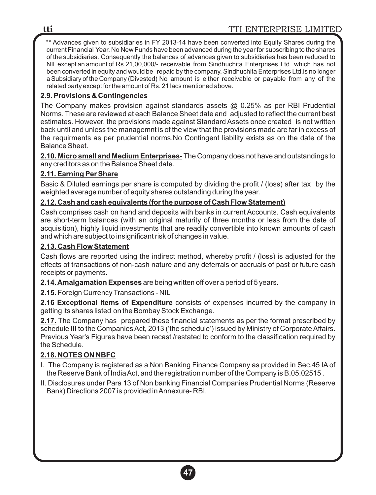\*\* Advances given to subsidiaries in FY 2013-14 have been converted into Equity Shares during the current Financial Year. No New Funds have been advanced during the year for subscribing to the shares of the subsidiaries. Consequently the balances of advances given to subsidiaries has been reduced to NILexcept an amount of Rs.21,00,000/- receivable from Sindhuchita Enterprises Ltd. which has not been converted in equity and would be repaid by the company. Sindhuchita Enterprises Ltd.is no longer a Subsidiary of the Company (Divested) No amount is either receivable or payable from any of the related party except for the amount of Rs. 21 lacs mentioned above.

## **2.9. Provisions & Contingencies**

The Company makes provision against standards assets @ 0.25% as per RBI Prudential Norms. These are reviewed at each Balance Sheet date and adjusted to reflect the current best estimates. However, the provisions made against Standard Assets once created is not written back until and unless the managemnt is of the view that the provisions made are far in excess of the requirments as per prudential norms.No Contingent liability exists as on the date of the Balance Sheet.

**2.10. Micro small and Medium Enterprises-** The Company does not have and outstandings to any creditors as on the Balance Sheet date.

## **2.11. Earning Per Share**

Basic & Diluted earnings per share is computed by dividing the profit / (loss) after tax by the weighted average number of equity shares outstanding during the year.

## **2.12. Cash and cash equivalents (for the purpose of Cash Flow Statement)**

Cash comprises cash on hand and deposits with banks in current Accounts. Cash equivalents are short-term balances (with an original maturity of three months or less from the date of acquisition), highly liquid investments that are readily convertible into known amounts of cash and which are subject to insignificant risk of changes in value.

### **2.13. Cash Flow Statement**

Cash flows are reported using the indirect method, whereby profit / (loss) is adjusted for the effects of transactions of non-cash nature and any deferrals or accruals of past or future cash receipts or payments.

**2.14. Amalgamation Expenses**are being written off over a period of 5 years.

**2.15.** Foreign Currency Transactions - NIL

**2.16 Exceptional items of Expenditure** consists of expenses incurred by the company in getting its shares listed on the Bombay Stock Exchange.

**2.17.** The Company has prepared these financial statements as per the format prescribed by schedule III to the Companies Act, 2013 ('the schedule') issued by Ministry of Corporate Affairs. Previous Year's Figures have been recast /restated to conform to the classification required by the Schedule.

## **2.18. NOTES ON NBFC**

- I. The Company is registered as a Non Banking Finance Company as provided in Sec.45 IAof the Reserve Bank of India Act, and the registration number of the Company is B.05.02515 .
- II. Disclosures under Para 13 of Non banking Financial Companies Prudential Norms (Reserve Bank) Directions 2007 is provided in Annexure- RBI.

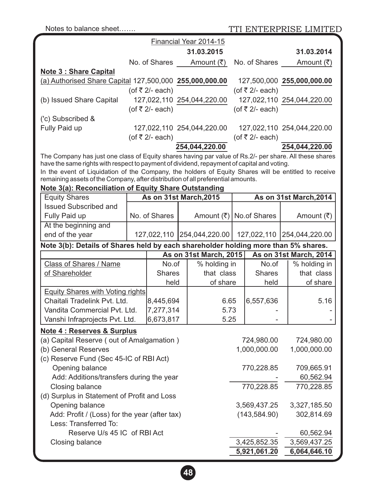Notes to balance sheet....... TTI ENTERPRISE LIMITED

|                                                                                                                                                                                                    |  |                        | Financial Year 2014-15     |                 |                              |  |
|----------------------------------------------------------------------------------------------------------------------------------------------------------------------------------------------------|--|------------------------|----------------------------|-----------------|------------------------------|--|
|                                                                                                                                                                                                    |  |                        | 31.03.2015                 |                 | 31.03.2014                   |  |
|                                                                                                                                                                                                    |  | No. of Shares          | Amount (₹)                 | No. of Shares   | Amount $(\overline{\tau})$   |  |
| <b>Note 3: Share Capital</b>                                                                                                                                                                       |  |                        |                            |                 |                              |  |
| (a) Authorised Share Capital 127,500,000 255,000,000.00                                                                                                                                            |  |                        |                            |                 | 127,500,000 255,000,000.00   |  |
|                                                                                                                                                                                                    |  | (of ₹ $2/-$ each)      |                            | (of ₹ 2/- each) |                              |  |
| (b) Issued Share Capital                                                                                                                                                                           |  |                        | 127,022,110 254,044,220.00 |                 | 127,022,110 254,044,220.00   |  |
|                                                                                                                                                                                                    |  | (of ₹ $2/-$ each)      |                            | (of ₹ 2/- each) |                              |  |
| ('c) Subscribed &                                                                                                                                                                                  |  |                        |                            |                 |                              |  |
| Fully Paid up                                                                                                                                                                                      |  |                        | 127,022,110 254,044,220.00 |                 | 127,022,110 254,044,220.00   |  |
|                                                                                                                                                                                                    |  | (of ₹ $2/-$ each)      |                            | (of ₹ 2/- each) |                              |  |
|                                                                                                                                                                                                    |  |                        | 254,044,220.00             |                 | 254,044,220.00               |  |
| The Company has just one class of Equity shares having par value of Rs.2/- per share. All these shares                                                                                             |  |                        |                            |                 |                              |  |
| have the same rights with respect to payment of dividend, repayment of capital and voting.<br>In the event of Liquidation of the Company, the holders of Equity Shares will be entitled to receive |  |                        |                            |                 |                              |  |
| remaining assets of the Company, after distribution of all preferential amounts.                                                                                                                   |  |                        |                            |                 |                              |  |
| Note 3(a): Reconciliation of Equity Share Outstanding                                                                                                                                              |  |                        |                            |                 |                              |  |
| <b>Equity Shares</b>                                                                                                                                                                               |  | As on 31st March, 2015 |                            |                 | As on 31st March, 2014       |  |
| <b>Issued Subscribed and</b>                                                                                                                                                                       |  |                        |                            |                 |                              |  |
| Fully Paid up                                                                                                                                                                                      |  | No. of Shares          | Amount (₹)   No.of Shares  |                 | Amount (₹)                   |  |
| At the beginning and                                                                                                                                                                               |  |                        |                            |                 |                              |  |
| end of the year                                                                                                                                                                                    |  |                        | 127,022,110 254,044,220.00 |                 | 127,022,110   254,044,220.00 |  |
| Note 3(b): Details of Shares held by each shareholder holding more than 5% shares.                                                                                                                 |  |                        |                            |                 |                              |  |
|                                                                                                                                                                                                    |  |                        | As on 31st March, 2015     |                 | As on 31st March, 2014       |  |
| Class of Shares / Name                                                                                                                                                                             |  | No.of                  | % holding in               | No.of           | % holding in                 |  |
| of Shareholder                                                                                                                                                                                     |  | <b>Shares</b>          | that class                 | <b>Shares</b>   | that class                   |  |
|                                                                                                                                                                                                    |  | held                   | of share                   | held            | of share                     |  |
| <b>Equity Shares with Voting rights</b>                                                                                                                                                            |  |                        |                            |                 |                              |  |
| Chaitali Tradelink Pvt. Ltd.                                                                                                                                                                       |  | 8,445,694              | 6.65                       | 6,557,636       | 5.16                         |  |
| Vandita Commercial Pvt. Ltd.                                                                                                                                                                       |  | 7,277,314              | 5.73                       |                 |                              |  |
| Vanshi Infraprojects Pvt. Ltd.                                                                                                                                                                     |  | 6,673,817              | 5.25                       |                 |                              |  |
| <b>Note 4: Reserves &amp; Surplus</b>                                                                                                                                                              |  |                        |                            |                 |                              |  |
| (a) Capital Reserve (out of Amalgamation)                                                                                                                                                          |  |                        |                            | 724,980.00      | 724,980.00                   |  |
| (b) General Reserves                                                                                                                                                                               |  |                        |                            | 1,000,000.00    | 1,000,000.00                 |  |
| (c) Reserve Fund (Sec 45-IC of RBI Act)                                                                                                                                                            |  |                        |                            |                 |                              |  |
| Opening balance                                                                                                                                                                                    |  |                        |                            | 770,228.85      | 709,665.91                   |  |
| Add: Additions/transfers during the year                                                                                                                                                           |  |                        |                            |                 | 60,562.94                    |  |
| Closing balance                                                                                                                                                                                    |  |                        |                            | 770,228.85      | 770,228.85                   |  |
| (d) Surplus in Statement of Profit and Loss                                                                                                                                                        |  |                        |                            |                 |                              |  |
| Opening balance                                                                                                                                                                                    |  |                        |                            | 3,569,437.25    | 3,327,185.50                 |  |
| Add: Profit / (Loss) for the year (after tax)                                                                                                                                                      |  |                        |                            | (143, 584.90)   | 302,814.69                   |  |
| Less: Transferred To:<br>Reserve U/s 45 IC of RBI Act                                                                                                                                              |  |                        |                            |                 |                              |  |
|                                                                                                                                                                                                    |  |                        |                            | 3,425,852.35    | 60,562.94<br>3,569,437.25    |  |
| Closing balance                                                                                                                                                                                    |  |                        |                            | 5,921,061.20    | 6,064,646.10                 |  |
|                                                                                                                                                                                                    |  |                        |                            |                 |                              |  |

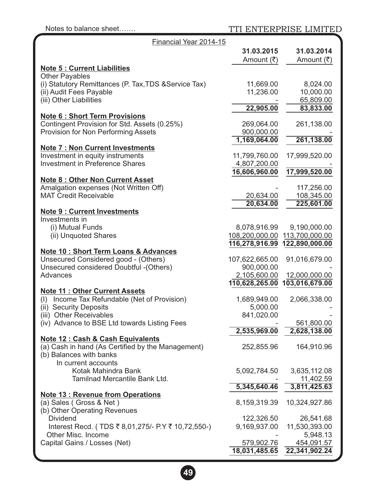Notes to balance sheet....... TTI ENTERPRISE LIMITED

| Financial Year 2014-15                                |                |                |
|-------------------------------------------------------|----------------|----------------|
|                                                       | 31.03.2015     | 31.03.2014     |
|                                                       | Amount (₹)     | Amount (₹)     |
| <b>Note 5: Current Liabilities</b>                    |                |                |
| <b>Other Payables</b>                                 |                |                |
| (i) Statutory Remittances (P. Tax, TDS & Service Tax) | 11,669.00      | 8,024.00       |
| (ii) Audit Fees Payable                               | 11,236.00      | 10,000.00      |
| (iii) Other Liabilities                               |                | 65,809.00      |
|                                                       | 22,905.00      | 83,833.00      |
| <b>Note 6: Short Term Provisions</b>                  |                |                |
| Contingent Provision for Std. Assets (0.25%)          | 269,064.00     | 261,138.00     |
| Provision for Non Performing Assets                   | 900,000.00     |                |
|                                                       | 1,169,064.00   | 261,138.00     |
| <b>Note 7: Non Current Investments</b>                |                |                |
| Investment in equity instruments                      | 11,799,760.00  | 17,999,520.00  |
| <b>Investment in Preference Shares</b>                | 4,807,200.00   |                |
|                                                       | 16,606,960.00  | 17,999,520.00  |
| <b>Note 8: Other Non Current Asset</b>                |                |                |
| Amalgation expenses (Not Written Off)                 |                | 117,256.00     |
| <b>MAT Credit Receivable</b>                          | 20,634.00      | 108,345.00     |
|                                                       | 20,634.00      | 225,601.00     |
| <b>Note 9 : Current Investments</b>                   |                |                |
| Investments in                                        |                |                |
| (i) Mutual Funds                                      | 8,078,916.99   | 9,190,000.00   |
| (ii) Unquoted Shares                                  | 108,200,000.00 | 113,700,000.00 |
|                                                       | 116,278,916.99 | 122,890,000.00 |
| <b>Note 10: Short Term Loans &amp; Advances</b>       |                |                |
| Unsecured Considered good - (Others)                  | 107,622,665.00 | 91,016,679.00  |
| Unsecured considered Doubtful - (Others)              | 900,000.00     |                |
| Advances                                              | 2,105,600.00   | 12,000,000.00  |
|                                                       | 110,628,265.00 | 103,016,679.00 |
| <b>Note 11: Other Current Assets</b>                  |                |                |
| (I) Income Tax Refundable (Net of Provision)          | 1,689,949.00   | 2,066,338.00   |
| (ii) Security Deposits                                | 5,000.00       |                |
| (iii) Other Receivables                               | 841,020.00     |                |
| (iv) Advance to BSE Ltd towards Listing Fees          |                | 561,800.00     |
|                                                       | 2,535,969.00   | 2,628,138.00   |
| Note 12 : Cash & Cash Equivalents                     |                |                |
| (a) Cash in hand (As Certified by the Management)     | 252,855.96     | 164,910.96     |
| (b) Balances with banks                               |                |                |
| In current accounts                                   |                |                |
| Kotak Mahindra Bank                                   | 5,092,784.50   | 3,635,112.08   |
| Tamilnad Mercantile Bank Ltd.                         |                | 11,402.59      |
|                                                       | 5,345,640.46   | 3,811,425.63   |
| <b>Note 13: Revenue from Operations</b>               |                |                |
| (a) Sales (Gross & Net)                               | 8,159,319.39   | 10,324,927.86  |
| (b) Other Operating Revenues                          |                |                |
| <b>Dividend</b>                                       | 122,326.50     | 26,541.68      |
| Interest Recd. (TDS ₹8,01,275/- P.Y ₹10,72,550-)      | 9,169,937.00   | 11,530,393.00  |
| Other Misc. Income                                    |                | 5,948.13       |
| Capital Gains / Losses (Net)                          | 579,902.76     | 454,091.57     |
|                                                       | 18,031,485.65  | 22,341,902.24  |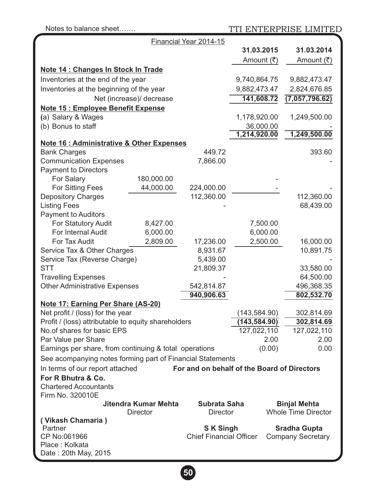| Notes to balance sheet                                                        |                                                   |                                             | TTI ENTERPRISE LIMITED                          |
|-------------------------------------------------------------------------------|---------------------------------------------------|---------------------------------------------|-------------------------------------------------|
|                                                                               | Financial Year 2014-15                            |                                             |                                                 |
|                                                                               |                                                   | 31.03.2015                                  | 31.03.2014                                      |
|                                                                               |                                                   | Amount (₹)                                  | Amount (₹)                                      |
| Note 14 : Changes In Stock In Trade                                           |                                                   |                                             |                                                 |
| Inventories at the end of the year                                            |                                                   | 9,740,864.75                                | 9,882,473.47                                    |
| Inventories at the beginning of the year                                      |                                                   | 9,882,473.47                                | 2,824,676.85                                    |
| Net (increase)/ decrease                                                      |                                                   | 141,608.72                                  | (7,057,796.62)                                  |
| <b>Note 15: Employee Benefit Expense</b>                                      |                                                   |                                             |                                                 |
| (a) Salary & Wages                                                            |                                                   | 1,178,920.00                                | 1,249,500.00                                    |
| (b) Bonus to staff                                                            |                                                   | 36,000.00                                   |                                                 |
|                                                                               |                                                   | 1,214,920.00                                | 1,249,500.00                                    |
| Note 16 : Administrative & Other Expenses                                     |                                                   |                                             |                                                 |
| <b>Bank Charges</b>                                                           | 449.72                                            |                                             | 393.60                                          |
| <b>Communication Expenses</b>                                                 | 7,866.00                                          |                                             |                                                 |
| <b>Payment to Directors</b><br>For Salary<br>180,000.00                       |                                                   |                                             |                                                 |
| For Sitting Fees<br>44,000.00                                                 | 224,000.00                                        |                                             |                                                 |
| <b>Depository Charges</b>                                                     | 112,360.00                                        |                                             | 112,360.00                                      |
| <b>Listing Fees</b>                                                           |                                                   |                                             | 68,439.00                                       |
| <b>Payment to Auditors</b>                                                    |                                                   |                                             |                                                 |
| For Statutory Audit<br>8,427.00                                               |                                                   | 7,500.00                                    |                                                 |
| For Internal Audit<br>6,000.00                                                |                                                   | 6,000.00                                    |                                                 |
| For Tax Audit<br>2,809.00                                                     | 17,236.00                                         | 2,500.00                                    | 16,000.00                                       |
| Service Tax & Other Charges                                                   | 8,931.67                                          |                                             | 10,891.75                                       |
| Service Tax (Reverse Charge)                                                  | 5,439.00                                          |                                             |                                                 |
| <b>STT</b>                                                                    | 21,809.37                                         |                                             | 33,580.00                                       |
| <b>Travelling Expenses</b>                                                    |                                                   |                                             | 64,500.00                                       |
| <b>Other Administrative Expenses</b>                                          | 542,814.87                                        |                                             | 496,368.35                                      |
|                                                                               | 940,906.63                                        |                                             | 802,532.70                                      |
| <b>Note 17: Earning Per Share (AS-20)</b><br>Net profit / (loss) for the year |                                                   |                                             | 302,814.69                                      |
| Profit / (loss) attributable to equity shareholders                           |                                                   | (143, 584.90)<br>(143, 584.90)              | 302,814.69                                      |
| No.of shares for basic EPS                                                    |                                                   | 127,022,110                                 | 127,022,110                                     |
| Par Value per Share                                                           |                                                   | 2.00                                        | 2.00                                            |
| Earnings per share, from continuing & total operations                        |                                                   | (0.00)                                      | 0.00                                            |
| See acompanying notes forming part of Financial Statements                    |                                                   |                                             |                                                 |
| In terms of our report attached                                               |                                                   | For and on behalf of the Board of Directors |                                                 |
| For R Bhutra & Co.                                                            |                                                   |                                             |                                                 |
| <b>Chartered Accountants</b>                                                  |                                                   |                                             |                                                 |
| Firm No. 320010E                                                              |                                                   |                                             |                                                 |
| Jitendra Kumar Mehta                                                          | Subrata Saha                                      |                                             | <b>Binjal Mehta</b>                             |
| Director                                                                      | <b>Director</b>                                   |                                             | <b>Whole Time Director</b>                      |
| (Vikash Chamaria)                                                             |                                                   |                                             |                                                 |
| Partner<br>CP No:061966                                                       | <b>SK Singh</b><br><b>Chief Financial Officer</b> |                                             | <b>Sradha Gupta</b><br><b>Company Secretary</b> |
| Place: Kolkata                                                                |                                                   |                                             |                                                 |
| Date: 20th May, 2015                                                          |                                                   |                                             |                                                 |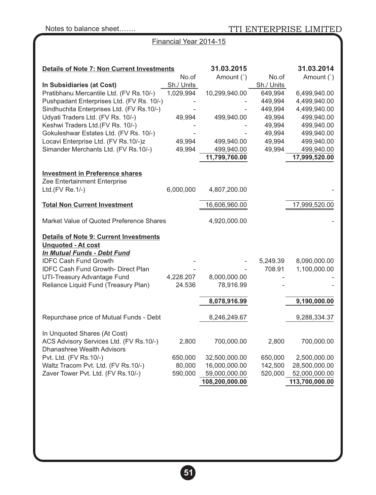# Financial Year 2014-15

| <b>Details of Note 7: Non Current Investments</b>                  |                     | 31.03.2015     |                     | 31.03.2014                   |
|--------------------------------------------------------------------|---------------------|----------------|---------------------|------------------------------|
| In Subsidiaries (at Cost)                                          | No.of<br>Sh./ Units | Amount (`)     | No.of<br>Sh./ Units | Amount (`)                   |
| Pratibhanu Mercantile Ltd. (FV Rs.10/-)                            | 1,029,994           | 10,299,940.00  | 649,994             | 6,499,940.00                 |
| Pushpadant Enterprises Ltd. (FV Rs. 10/-)                          |                     |                | 449,994             | 4,499,940.00                 |
| Sindhuchita Enterprises Ltd. (FV Rs.10/-)                          |                     |                | 449,994             | 4,499,940.00                 |
| Udyati Traders Ltd. (FV Rs. 10/-)                                  | 49,994              | 499,940.00     | 49,994              | 499,940.00                   |
| Keshwi Traders Ltd.(FV Rs. 10/-)                                   |                     |                | 49,994              | 499,940.00                   |
| Gokuleshwar Estates Ltd. (FV Rs. 10/-)                             |                     |                | 49,994              | 499,940.00                   |
| Locavi Enterprise Ltd. (FV Rs.10/-)z                               | 49,994              | 499,940.00     | 49,994              | 499,940.00                   |
| Simander Merchants Ltd. (FV Rs.10/-)                               | 49,994              | 499,940.00     | 49,994              | 499,940.00                   |
|                                                                    |                     | 11,799,760.00  |                     | 17,999,520.00                |
| <b>Investment in Preference shares</b>                             |                     |                |                     |                              |
| Zee Entertainment Enterprise                                       |                     |                |                     |                              |
| Ltd.(FV Re.1/-)                                                    | 6,000,000           | 4,807,200.00   |                     |                              |
| <b>Total Non Current Investment</b>                                |                     | 16,606,960.00  |                     | 17,999,520.00                |
|                                                                    |                     |                |                     |                              |
| Market Value of Quoted Preference Shares                           |                     | 4,920,000.00   |                     |                              |
| <b>Details of Note 9: Current Investments</b>                      |                     |                |                     |                              |
| <b>Unquoted - At cost</b>                                          |                     |                |                     |                              |
| In Mutual Funds - Debt Fund                                        |                     |                |                     |                              |
| <b>IDFC Cash Fund Growth</b><br>IDFC Cash Fund Growth- Direct Plan |                     |                | 5,249.39<br>708.91  | 8,090,000.00<br>1,100,000.00 |
| UTI-Treasury Advantage Fund                                        | 4,228.207           | 8,000,000.00   |                     |                              |
| Reliance Liquid Fund (Treasury Plan)                               | 24.536              | 78,916.99      |                     |                              |
|                                                                    |                     |                |                     |                              |
|                                                                    |                     | 8,078,916.99   |                     | 9,190,000.00                 |
| Repurchase price of Mutual Funds - Debt                            |                     | 8,246,249.67   |                     | 9,288,334.37                 |
| In Unquoted Shares (At Cost)                                       |                     |                |                     |                              |
| ACS Advisory Services Ltd. (FV Rs.10/-)                            | 2,800               | 700,000.00     | 2,800               | 700,000.00                   |
| Dhanashree Wealth Advisors                                         |                     |                |                     |                              |
| Pvt. Ltd. (FV Rs.10/-)                                             | 650,000             | 32,500,000.00  | 650,000             | 2,500,000.00                 |
| Waltz Tracom Pvt. Ltd. (FV Rs.10/-)                                | 80,000              | 16,000,000.00  | 142,500             | 28,500,000.00                |
| Zaver Tower Pvt. Ltd. (FV Rs.10/-)                                 | 590,000             | 59,000,000.00  | 520,000             | 52,000,000.00                |
|                                                                    |                     | 108,200,000.00 |                     | 113,700,000.00               |

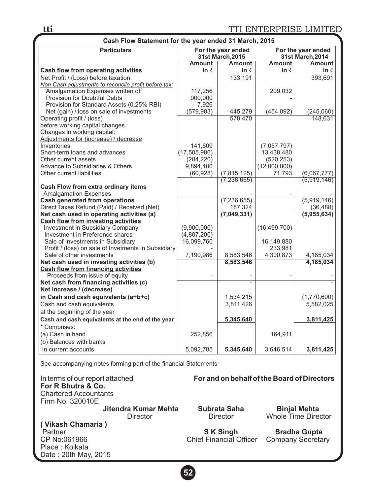| Cash Flow Statement for the year ended 31 March, 2015                   |                         |                                        |                            |                                        |  |  |
|-------------------------------------------------------------------------|-------------------------|----------------------------------------|----------------------------|----------------------------------------|--|--|
| <b>Particulars</b>                                                      |                         | For the year ended<br>31st March, 2015 |                            | For the year ended<br>31st March, 2014 |  |  |
|                                                                         | <b>Amount</b>           | <b>Amount</b>                          | <b>Amount</b>              | <b>Amount</b>                          |  |  |
| <b>Cash flow from operating activities</b>                              | in $\bar{z}$            | in $\bar{z}$                           | in ₹                       | in $\bar{z}$                           |  |  |
| Net Profit / (Loss) before taxation                                     |                         | 133,191                                |                            | 393.691                                |  |  |
| Non Cash adjustments to reconcile profit before tax:                    |                         |                                        |                            |                                        |  |  |
| Amalgamation Expenses written off                                       | 117,256                 |                                        | 209,032                    |                                        |  |  |
| Provision for Doubtful Debts                                            | 900,000                 |                                        |                            |                                        |  |  |
| Provision for Standard Assets (0.25% RBI)                               | 7,926                   |                                        |                            |                                        |  |  |
| Net (gain) / loss on sale of investments                                | (579, 903)              | 445,279                                | (454, 092)                 | (245,060)                              |  |  |
| Operating profit / (loss)                                               |                         | 578,470                                |                            | 148,631                                |  |  |
| before working capital changes                                          |                         |                                        |                            |                                        |  |  |
| Changes in working capital:                                             |                         |                                        |                            |                                        |  |  |
| Adjustments for (increase) / decrease                                   |                         |                                        |                            |                                        |  |  |
| Inventories                                                             | 141,609                 |                                        | (7,057,797)                |                                        |  |  |
| Short-term loans and advances                                           | (17, 505, 986)          |                                        | 13,438,480                 |                                        |  |  |
| Other current assets<br>Advance to Subsidiaries & Others                | (284, 220)<br>9,894,400 |                                        | (520, 253)<br>(12,000,000) |                                        |  |  |
| Other current liabilities                                               | (60, 928)               | (7, 815, 125)                          | 71,793                     | (6,067,777)                            |  |  |
|                                                                         |                         | (7, 236, 655)                          |                            | (5,919,146)                            |  |  |
| Cash Flow from extra ordinary items                                     |                         |                                        |                            |                                        |  |  |
| <b>Amalgamation Expenses</b>                                            |                         |                                        |                            |                                        |  |  |
| <b>Cash generated from operations</b>                                   |                         | (7, 236, 655)                          |                            | (5,919,146)                            |  |  |
| Direct Taxes Refund (Paid) / Received (Net)                             |                         | 187,324                                |                            | (36, 488)                              |  |  |
| Net cash used in operating activities (a)                               |                         | (7,049,331)                            |                            | (5,955,634)                            |  |  |
| <b>Cash flow from investing activities</b>                              |                         |                                        |                            |                                        |  |  |
| Investment in Subsidiary Company                                        | (9,900,000)             |                                        | (16, 499, 700)             |                                        |  |  |
| Investment in Preference shares                                         | (4,807,200)             |                                        |                            |                                        |  |  |
| Sale of Investments in Subsidiary                                       | 16,099,760              |                                        | 16,149,880                 |                                        |  |  |
| Profit / (loss) on sale of Invetments in Subsidiary                     |                         |                                        | 233,981                    |                                        |  |  |
| Sale of other investments                                               | 7,190,986               | 8,583,546                              | 4,300,873                  | 4,185,034                              |  |  |
| Net cash used in investing activities (b)                               |                         | 8,583,546                              |                            | 4,185,034                              |  |  |
| <b>Cash flow from financing activities</b>                              |                         |                                        |                            |                                        |  |  |
| Proceeds from issue of equity<br>Net cash from financing activities (c) |                         |                                        |                            |                                        |  |  |
| Net increase / (decrease)                                               |                         |                                        |                            |                                        |  |  |
| in Cash and cash equivalents (a+b+c)                                    |                         | 1,534,215                              |                            | (1,770,600)                            |  |  |
| Cash and cash equivalents                                               |                         | 3,811,426                              |                            | 5,582,025                              |  |  |
| at the beginning of the year                                            |                         |                                        |                            |                                        |  |  |
| Cash and cash equivalents at the end of the year                        |                         | 5,345,640                              |                            | 3,811,425                              |  |  |
| * Comprises:                                                            |                         |                                        |                            |                                        |  |  |
| (a) Cash in hand                                                        | 252,856                 |                                        | 164,911                    |                                        |  |  |
| (b) Balances with banks                                                 |                         |                                        |                            |                                        |  |  |
| In current accounts                                                     | 5,092,785               | 5,345,640                              | 3,646,514                  | 3,811,425                              |  |  |

See accompanying notes forming part of the financial Statements

In terms of our report attached **For and on behalf of the Board of Directors For R Bhutra & Co.**  Chartered Accountants Firm No. 320010E  **Jitendra Kumar Mehta Subrata Saha Director Concerned Augment** Director **Binjal Mehta**<br>Whole Time Director **( Vikash Chamaria )** Partner **Simph Simph Sradha Gupta**<br>CP No:061966 CP No:061966 CP No:061966 CP No:061966 Chief Financial Officer Company Secretary Place : Kolkata Date : 20th May, 2015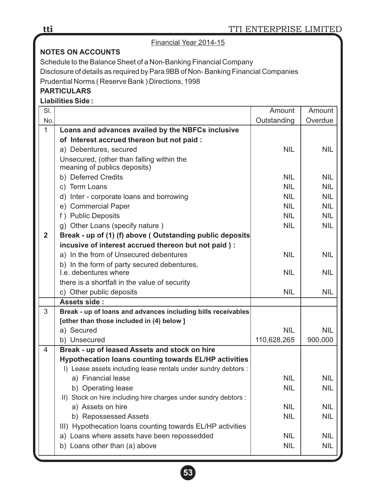## Financial Year 2014-15

# **NOTES ON ACCOUNTS**

Schedule to the Balance Sheet of a Non-Banking Financial Company Disclosure of details as required by Para 9BB of Non- Banking Financial Companies

Prudential Norms ( Reserve Bank ) Directions, 1998

# **PARTICULARS**

**Liabilities Side :**

| SI.            |                                                                      | Amount      | Amount     |
|----------------|----------------------------------------------------------------------|-------------|------------|
| No.            |                                                                      | Outstanding | Overdue    |
| $\mathbf{1}$   | Loans and advances availed by the NBFCs inclusive                    |             |            |
|                | of Interest accrued thereon but not paid :                           |             |            |
|                | a) Debentures, secured                                               | <b>NIL</b>  | <b>NIL</b> |
|                | Unsecured, (other than falling within the                            |             |            |
|                | meaning of publics deposits)                                         |             |            |
|                | b) Deferred Credits                                                  | <b>NIL</b>  | NIL        |
|                | c) Term Loans                                                        | <b>NIL</b>  | <b>NIL</b> |
|                | d) Inter - corporate loans and borrowing                             | <b>NIL</b>  | NIL        |
|                | e) Commercial Paper                                                  | NIL.        | NIL        |
|                | f) Public Deposits                                                   | <b>NIL</b>  | <b>NIL</b> |
|                | g) Other Loans (specify nature)                                      | <b>NIL</b>  | <b>NIL</b> |
| $\overline{2}$ | Break - up of (1) (f) above (Outstanding public deposits             |             |            |
|                | incusive of interest accrued thereon but not paid) :                 |             |            |
|                | a) In the from of Unsecured debentures                               | <b>NIL</b>  | NIL        |
|                | b) In the form of party secured debentures,<br>I.e. debentures where | <b>NIL</b>  | NIL        |
|                | there is a shortfall in the value of security                        |             |            |
|                | c) Other public deposits                                             | <b>NIL</b>  | <b>NIL</b> |
|                | Assets side:                                                         |             |            |
| 3              | Break - up of loans and advances including bills receivables         |             |            |
|                | [other than those included in (4) below ]                            |             |            |
|                | a) Secured                                                           | <b>NIL</b>  | <b>NIL</b> |
|                | b) Unsecured                                                         | 110,628,265 | 900,000    |
| 4              | Break - up of leased Assets and stock on hire                        |             |            |
|                | <b>Hypothecation loans counting towards EL/HP activities</b>         |             |            |
|                | I) Lease assets including lease rentals under sundry debtors :       |             |            |
|                | a) Financial lease                                                   | <b>NIL</b>  | NIL        |
|                | b) Operating lease                                                   | <b>NIL</b>  | <b>NIL</b> |
|                | II) Stock on hire including hire charges under sundry debtors :      |             |            |
|                | a) Assets on hire                                                    | <b>NIL</b>  | NIL        |
|                | b) Repossessed Assets                                                | <b>NIL</b>  | <b>NIL</b> |
|                | III) Hypothecation loans counting towards EL/HP activities           |             |            |
|                | a) Loans where assets have been repossedded                          | <b>NIL</b>  | NIL        |
|                | b) Loans other than (a) above                                        | <b>NIL</b>  | <b>NIL</b> |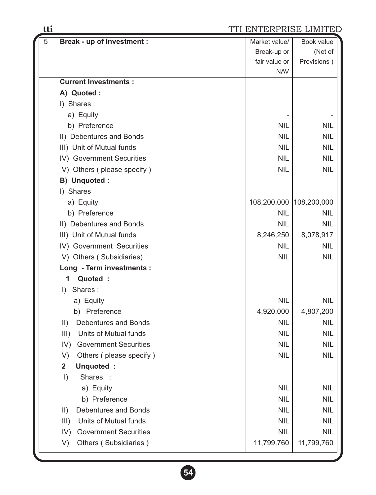# **tti** TTI ENTERPRISE LIMITED

| $\overline{5}$ | <b>Break - up of Investment:</b>             | Market value/           | Book value  |
|----------------|----------------------------------------------|-------------------------|-------------|
|                |                                              | Break-up or             | (Net of     |
|                |                                              | fair value or           | Provisions) |
|                |                                              | <b>NAV</b>              |             |
|                | <b>Current Investments:</b>                  |                         |             |
|                | A) Quoted :                                  |                         |             |
|                | I) Shares:                                   |                         |             |
|                | a) Equity                                    |                         |             |
|                | b) Preference                                | <b>NIL</b>              | <b>NIL</b>  |
|                | II) Debentures and Bonds                     | <b>NIL</b>              | <b>NIL</b>  |
|                | III) Unit of Mutual funds                    | <b>NIL</b>              | <b>NIL</b>  |
|                | IV) Government Securities                    | <b>NIL</b>              | <b>NIL</b>  |
|                | V) Others (please specify)                   | <b>NIL</b>              | <b>NIL</b>  |
|                | B) Unquoted :                                |                         |             |
|                | I) Shares                                    |                         |             |
|                | a) Equity                                    | 108,200,000 108,200,000 |             |
|                | b) Preference                                | <b>NIL</b>              | <b>NIL</b>  |
|                | II) Debentures and Bonds                     | <b>NIL</b>              | <b>NIL</b>  |
|                | III) Unit of Mutual funds                    | 8,246,250               | 8,078,917   |
|                | IV) Government Securities                    | <b>NIL</b>              | <b>NIL</b>  |
|                | V) Others (Subsidiaries)                     | <b>NIL</b>              | <b>NIL</b>  |
|                | Long - Term investments :                    |                         |             |
|                | Quoted :<br>1                                |                         |             |
|                | Shares:<br>$\mathsf{D}$                      |                         |             |
|                | a) Equity                                    | <b>NIL</b>              | <b>NIL</b>  |
|                | b) Preference                                | 4,920,000               | 4,807,200   |
|                | <b>Debentures and Bonds</b><br>$\parallel$ ) | <b>NIL</b>              | <b>NIL</b>  |
|                | Units of Mutual funds<br>III)                | <b>NIL</b>              | <b>NIL</b>  |
|                | IV) Government Securities                    | <b>NIL</b>              | <b>NIL</b>  |
|                | Others (please specify)<br>V)                | NIL                     | <b>NIL</b>  |
|                | $\overline{2}$<br>Unquoted:                  |                         |             |
|                | Shares :<br>$\vert$                          |                         |             |
|                | a) Equity                                    | <b>NIL</b>              | <b>NIL</b>  |
|                | b) Preference                                | <b>NIL</b>              | <b>NIL</b>  |
|                | Debentures and Bonds<br>$\parallel$ )        | <b>NIL</b>              | <b>NIL</b>  |
|                | Units of Mutual funds<br>III)                | <b>NIL</b>              | <b>NIL</b>  |
|                | <b>Government Securities</b><br>IV)          | <b>NIL</b>              | <b>NIL</b>  |
|                | Others (Subsidiaries)<br>V)                  | 11,799,760              | 11,799,760  |

**54**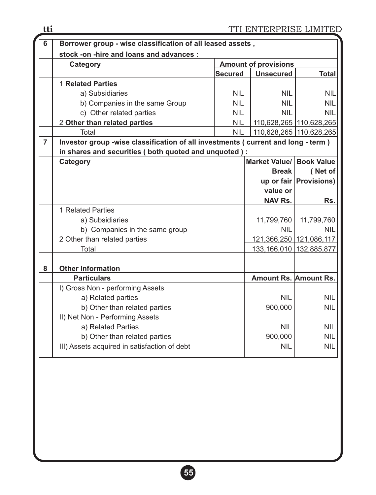| 6              | Borrower group - wise classification of all leased assets,                         |                             |                              |                         |  |  |  |
|----------------|------------------------------------------------------------------------------------|-----------------------------|------------------------------|-------------------------|--|--|--|
|                | stock -on -hire and loans and advances :                                           |                             |                              |                         |  |  |  |
|                | <b>Category</b>                                                                    | <b>Amount of provisions</b> |                              |                         |  |  |  |
|                |                                                                                    | <b>Secured</b>              | <b>Unsecured</b>             | <b>Total</b>            |  |  |  |
|                | 1 Related Parties                                                                  |                             |                              |                         |  |  |  |
|                | a) Subsidiaries                                                                    | <b>NIL</b>                  | <b>NIL</b>                   | <b>NIL</b>              |  |  |  |
|                | b) Companies in the same Group                                                     | <b>NIL</b>                  | <b>NIL</b>                   | <b>NIL</b>              |  |  |  |
|                | c) Other related parties                                                           | <b>NIL</b>                  | <b>NIL</b>                   | <b>NIL</b>              |  |  |  |
|                | 2 Other than related parties                                                       | <b>NIL</b>                  |                              | 110,628,265 110,628,265 |  |  |  |
|                | Total                                                                              | <b>NIL</b>                  |                              | 110,628,265 110,628,265 |  |  |  |
| $\overline{7}$ | Investor group -wise classification of all investments ( current and long - term ) |                             |                              |                         |  |  |  |
|                | in shares and securities (both quoted and unquoted) :                              |                             |                              |                         |  |  |  |
|                | <b>Category</b>                                                                    |                             | Market Value/ Book Value     |                         |  |  |  |
|                |                                                                                    |                             | <b>Break</b>                 | (Net of                 |  |  |  |
|                |                                                                                    |                             |                              | up or fair Provisions)  |  |  |  |
|                |                                                                                    |                             | value or                     |                         |  |  |  |
|                |                                                                                    |                             | <b>NAV Rs.</b>               | Rs.                     |  |  |  |
|                | 1 Related Parties                                                                  |                             |                              |                         |  |  |  |
|                | a) Subsidiaries                                                                    |                             | 11,799,760                   | 11,799,760              |  |  |  |
|                | b) Companies in the same group                                                     |                             | <b>NIL</b>                   | <b>NIL</b>              |  |  |  |
|                | 2 Other than related parties                                                       |                             | 121,366,250 121,086,117      |                         |  |  |  |
|                | Total                                                                              |                             | 133,166,010 132,885,877      |                         |  |  |  |
|                |                                                                                    |                             |                              |                         |  |  |  |
| 8              | <b>Other Information</b>                                                           |                             |                              |                         |  |  |  |
|                | <b>Particulars</b>                                                                 |                             | <b>Amount Rs. Amount Rs.</b> |                         |  |  |  |
|                | I) Gross Non - performing Assets                                                   |                             |                              |                         |  |  |  |
|                | a) Related parties                                                                 |                             | <b>NIL</b>                   | <b>NIL</b>              |  |  |  |
|                | b) Other than related parties                                                      |                             | 900,000                      | <b>NIL</b>              |  |  |  |
|                | II) Net Non - Performing Assets                                                    |                             |                              |                         |  |  |  |
|                | a) Related Parties                                                                 |                             | <b>NIL</b>                   | <b>NIL</b>              |  |  |  |
|                | b) Other than related parties                                                      |                             | 900,000                      | <b>NIL</b>              |  |  |  |
|                | III) Assets acquired in satisfaction of debt                                       |                             | <b>NIL</b>                   | <b>NIL</b>              |  |  |  |
|                |                                                                                    |                             |                              |                         |  |  |  |
|                |                                                                                    |                             |                              |                         |  |  |  |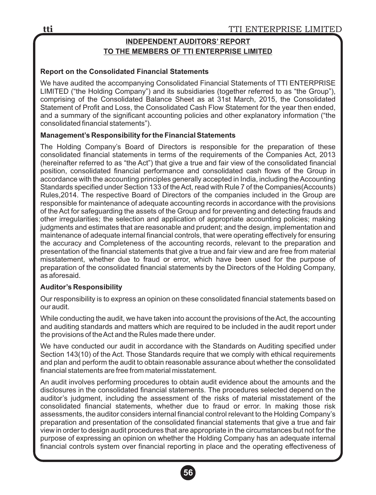# **INDEPENDENT AUDITORS' REPORT TO THE MEMBERS OF TTI ENTERPRISE LIMITED**

### **Report on the Consolidated Financial Statements**

We have audited the accompanying Consolidated Financial Statements of TTI ENTERPRISE LIMITED ("the Holding Company") and its subsidiaries (together referred to as "the Group"), comprising of the Consolidated Balance Sheet as at 31st March, 2015, the Consolidated Statement of Profit and Loss, the Consolidated Cash Flow Statement for the year then ended, and a summary of the significant accounting policies and other explanatory information ("the consolidated financial statements").

### **Management's Responsibility for the Financial Statements**

The Holding Company's Board of Directors is responsible for the preparation of these consolidated financial statements in terms of the requirements of the Companies Act, 2013 (hereinafter referred to as "the Act") that give a true and fair view of the consolidated financial position, consolidated financial performance and consolidated cash flows of the Group in accordance with the accounting principles generally accepted in India, including the Accounting Standards specified under Section 133 of the Act, read with Rule 7 of the Companies(Accounts) Rules,2014. The respective Board of Directors of the companies included in the Group are responsible for maintenance of adequate accounting records in accordance with the provisions of the Act for safeguarding the assets of the Group and for preventing and detecting frauds and other irregularities; the selection and application of appropriate accounting policies; making judgments and estimates that are reasonable and prudent; and the design, implementation and maintenance of adequate internal financial controls, that were operating effectively for ensuring the accuracy and Completeness of the accounting records, relevant to the preparation and presentation of the financial statements that give a true and fair view and are free from material misstatement, whether due to fraud or error, which have been used for the purpose of preparation of the consolidated financial statements by the Directors of the Holding Company, as aforesaid.

### **Auditor's Responsibility**

Our responsibility is to express an opinion on these consolidated financial statements based on our audit.

While conducting the audit, we have taken into account the provisions of the Act, the accounting and auditing standards and matters which are required to be included in the audit report under the provisions of the Act and the Rules made there under.

We have conducted our audit in accordance with the Standards on Auditing specified under Section 143(10) of the Act. Those Standards require that we comply with ethical requirements and plan and perform the audit to obtain reasonable assurance about whether the consolidated financial statements are free from material misstatement.

An audit involves performing procedures to obtain audit evidence about the amounts and the disclosures in the consolidated financial statements. The procedures selected depend on the auditor's judgment, including the assessment of the risks of material misstatement of the consolidated financial statements, whether due to fraud or error. In making those risk assessments, the auditor considers internal financial control relevant to the Holding Company's preparation and presentation of the consolidated financial statements that give a true and fair view in order to design audit procedures that are appropriate in the circumstances but not for the purpose of expressing an opinion on whether the Holding Company has an adequate internal financial controls system over financial reporting in place and the operating effectiveness of

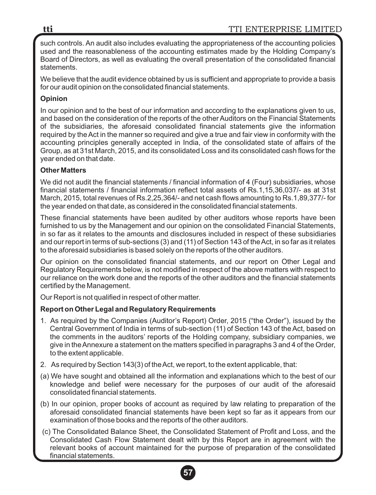such controls. An audit also includes evaluating the appropriateness of the accounting policies used and the reasonableness of the accounting estimates made by the Holding Company's Board of Directors, as well as evaluating the overall presentation of the consolidated financial statements.

We believe that the audit evidence obtained by us is sufficient and appropriate to provide a basis for our audit opinion on the consolidated financial statements.

## **Opinion**

In our opinion and to the best of our information and according to the explanations given to us, and based on the consideration of the reports of the other Auditors on the Financial Statements of the subsidiaries, the aforesaid consolidated financial statements give the information required by the Act in the manner so required and give a true and fair view in conformity with the accounting principles generally accepted in India, of the consolidated state of affairs of the Group, as at 31st March, 2015, and its consolidated Loss and its consolidated cash flows for the year ended on that date.

## **Other Matters**

We did not audit the financial statements / financial information of 4 (Four) subsidiaries, whose financial statements / financial information reflect total assets of Rs.1,15,36,037/- as at 31st March, 2015, total revenues of Rs.2,25,364/- and net cash flows amounting to Rs.1,89,377/- for the year ended on that date, as considered in the consolidated financial statements.

These financial statements have been audited by other auditors whose reports have been furnished to us by the Management and our opinion on the consolidated Financial Statements, in so far as it relates to the amounts and disclosures included in respect of these subsidiaries and our report in terms of sub-sections (3) and (11) of Section 143 of the Act, in so far as it relates to the aforesaid subsidiaries is based solely on the reports of the other auditors.

Our opinion on the consolidated financial statements, and our report on Other Legal and Regulatory Requirements below, is not modified in respect of the above matters with respect to our reliance on the work done and the reports of the other auditors and the financial statements certified by the Management.

Our Report is not qualified in respect of other matter.

## **Report on Other Legal and Regulatory Requirements**

- 1. As required by the Companies (Auditor's Report) Order, 2015 ("the Order"), issued by the Central Government of India in terms of sub-section (11) of Section 143 of the Act, based on the comments in the auditors' reports of the Holding company, subsidiary companies, we give in the Annexure a statement on the matters specified in paragraphs 3 and 4 of the Order, to the extent applicable.
- 2. As required by Section 143(3) of the Act, we report, to the extent applicable, that:
- (a) We have sought and obtained all the information and explanations which to the best of our knowledge and belief were necessary for the purposes of our audit of the aforesaid consolidated financial statements.
- (b) In our opinion, proper books of account as required by law relating to preparation of the aforesaid consolidated financial statements have been kept so far as it appears from our examination of those books and the reports of the other auditors.
- (c) The Consolidated Balance Sheet, the Consolidated Statement of Profit and Loss, and the Consolidated Cash Flow Statement dealt with by this Report are in agreement with the relevant books of account maintained for the purpose of preparation of the consolidated financial statements.

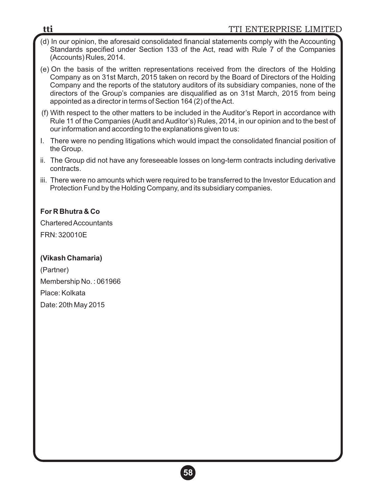## **tti** TTI ENTERPRISE LIMITED

- (d) In our opinion, the aforesaid consolidated financial statements comply with the Accounting Standards specified under Section 133 of the Act, read with Rule 7 of the Companies (Accounts) Rules, 2014.
- (e) On the basis of the written representations received from the directors of the Holding Company as on 31st March, 2015 taken on record by the Board of Directors of the Holding Company and the reports of the statutory auditors of its subsidiary companies, none of the directors of the Group's companies are disqualified as on 31st March, 2015 from being appointed as a director in terms of Section 164 (2) of the Act.
- (f) With respect to the other matters to be included in the Auditor's Report in accordance with Rule 11 of the Companies (Audit and Auditor's) Rules, 2014, in our opinion and to the best of our information and according to the explanations given to us:
- I. There were no pending litigations which would impact the consolidated financial position of the Group.
- ii. The Group did not have any foreseeable losses on long-term contracts including derivative contracts.
- iii. There were no amounts which were required to be transferred to the Investor Education and Protection Fund by the Holding Company, and its subsidiary companies.

## **For R Bhutra & Co**

Chartered Accountants FRN: 320010E

## **(Vikash Chamaria)**

(Partner) Membership No. : 061966 Place: Kolkata Date: 20th May 2015

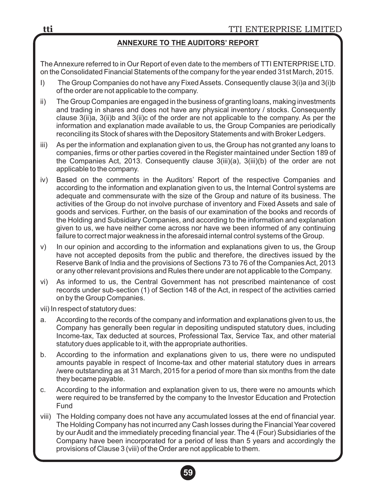### **ANNEXURE TO THE AUDITORS' REPORT**

The Annexure referred to in Our Report of even date to the members of TTI ENTERPRISE LTD. on the Consolidated Financial Statements of the company for the year ended 31st March, 2015.

- I) The Group Companies do not have any Fixed Assets. Consequently clause 3(i)a and 3(i)b of the order are not applicable to the company.
- ii) The Group Companies are engaged in the business of granting loans, making investments and trading in shares and does not have any physical inventory / stocks. Consequently clause 3(ii)a, 3(ii)b and 3(ii)c of the order are not applicable to the company. As per the information and explanation made available to us, the Group Companies are periodically reconciling its Stock of shares with the Depository Statements and with Broker Ledgers.
- iii) As per the information and explanation given to us, the Group has not granted any loans to companies, firms or other parties covered in the Register maintained under Section 189 of the Companies Act, 2013. Consequently clause 3(iii)(a), 3(iii)(b) of the order are not applicable to the company.
- iv) Based on the comments in the Auditors' Report of the respective Companies and according to the information and explanation given to us, the Internal Control systems are adequate and commensurate with the size of the Group and nature of its business. The activities of the Group do not involve purchase of inventory and Fixed Assets and sale of goods and services. Further, on the basis of our examination of the books and records of the Holding and Subsidiary Companies, and according to the information and explanation given to us, we have neither come across nor have we been informed of any continuing failure to correct major weakness in the aforesaid internal control systems of the Group.
- v) In our opinion and according to the information and explanations given to us, the Group have not accepted deposits from the public and therefore, the directives issued by the Reserve Bank of India and the provisions of Sections 73 to 76 of the Companies Act, 2013 or any other relevant provisions and Rules there under are not applicable to the Company.
- vi) As informed to us, the Central Government has not prescribed maintenance of cost records under sub-section (1) of Section 148 of the Act, in respect of the activities carried on by the Group Companies.

vii) In respect of statutory dues:

- a. According to the records of the company and information and explanations given to us, the Company has generally been regular in depositing undisputed statutory dues, including Income-tax, Tax deducted at sources, Professional Tax, Service Tax, and other material statutory dues applicable to it, with the appropriate authorities.
- b. According to the information and explanations given to us, there were no undisputed amounts payable in respect of Income-tax and other material statutory dues in arrears /were outstanding as at 31 March, 2015 for a period of more than six months from the date they became payable.
- c. According to the information and explanation given to us, there were no amounts which were required to be transferred by the company to the Investor Education and Protection Fund
- viii) The Holding company does not have any accumulated losses at the end of financial year. The Holding Company has not incurred any Cash losses during the Financial Year covered by our Audit and the immediately preceding financial year. The 4 (Four) Subsidiaries of the Company have been incorporated for a period of less than 5 years and accordingly the provisions of Clause 3 (viii) of the Order are not applicable to them.

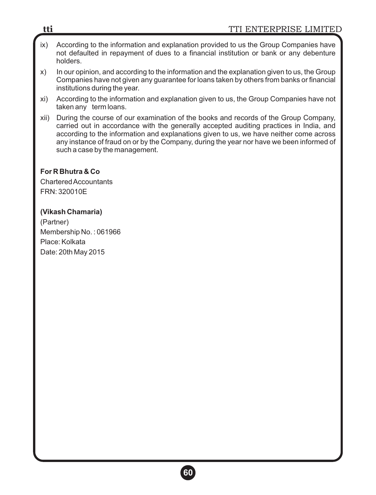- ix) According to the information and explanation provided to us the Group Companies have not defaulted in repayment of dues to a financial institution or bank or any debenture holders.
- x) In our opinion, and according to the information and the explanation given to us, the Group Companies have not given any guarantee for loans taken by others from banks or financial institutions during the year.
- xi) According to the information and explanation given to us, the Group Companies have not taken any term loans.
- xii) During the course of our examination of the books and records of the Group Company, carried out in accordance with the generally accepted auditing practices in India, and according to the information and explanations given to us, we have neither come across any instance of fraud on or by the Company, during the year nor have we been informed of such a case by the management.

**For R Bhutra & Co** Chartered Accountants FRN: 320010E

## **(Vikash Chamaria)**

(Partner) Membership No. : 061966 Place: Kolkata Date: 20th May 2015

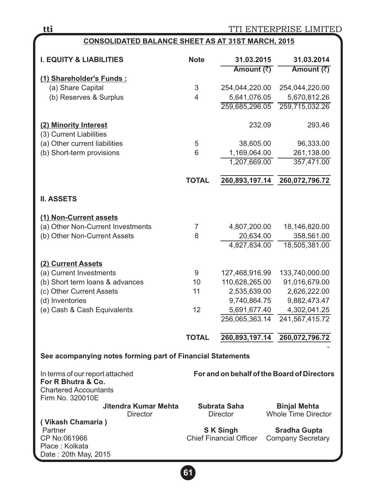## **CONSOLIDATED BALANCE SHEET AS AT 31ST MARCH, 2015**

| <b>I. EQUITY &amp; LIABILITIES</b>                         | <b>Note</b>  | 31.03.2015<br>Amount (₹)       | 31.03.2014<br>Amount (₹)                          |
|------------------------------------------------------------|--------------|--------------------------------|---------------------------------------------------|
| (1) Shareholder's Funds:                                   |              |                                |                                                   |
| (a) Share Capital                                          | 3            | 254,044,220.00                 | 254,044,220.00                                    |
| (b) Reserves & Surplus                                     | 4            | 5,641,076.05                   | 5,670,812.26                                      |
|                                                            |              | 259,685,296.05                 | 259,715,032.26                                    |
|                                                            |              |                                |                                                   |
| (2) Minority Interest                                      |              | 232.09                         | 293.46                                            |
| (3) Current Liabilities                                    |              |                                |                                                   |
| (a) Other current liabilities                              | 5            | 38,605.00                      | 96,333.00                                         |
| (b) Short-term provisions                                  | 6            | 1,169,064.00                   | 261,138.00                                        |
|                                                            |              | 1,207,669.00                   | 357,471.00                                        |
|                                                            |              |                                |                                                   |
|                                                            | <b>TOTAL</b> | 260,893,197.14                 | 260,072,796.72                                    |
|                                                            |              |                                |                                                   |
| <b>II. ASSETS</b>                                          |              |                                |                                                   |
|                                                            |              |                                |                                                   |
| (1) Non-Current assets                                     |              |                                |                                                   |
| (a) Other Non-Current Investments                          | 7            | 4,807,200.00                   | 18,146,820.00                                     |
| (b) Other Non-Current Assets                               | 8            | 20,634.00                      | 358,561.00                                        |
|                                                            |              | 4,827,834.00                   | 18,505,381.00                                     |
|                                                            |              |                                |                                                   |
| (2) Current Assets                                         |              |                                |                                                   |
| (a) Current Investments                                    | 9            | 127,468,916.99                 | 133,740,000.00                                    |
| (b) Short term loans & advances                            | 10           | 110,628,265.00                 | 91,016,679.00                                     |
| (c) Other Current Assets                                   | 11           | 2,535,639.00                   | 2,626,222.00                                      |
| (d) Inventories                                            |              | 9,740,864.75                   | 9,882,473.47                                      |
| (e) Cash & Cash Equivalents                                | 12           | 5,691,677.40                   | 4,302,041.25                                      |
|                                                            |              | 256,065,363.14                 | 241,567,415.72                                    |
|                                                            |              |                                |                                                   |
|                                                            | <b>TOTAL</b> | 260,893,197.14                 | 260,072,796.72                                    |
| See acompanying notes forming part of Financial Statements |              |                                |                                                   |
|                                                            |              |                                |                                                   |
| In terms of our report attached                            |              |                                | For and on behalf of the Board of Directors       |
| For R Bhutra & Co.                                         |              |                                |                                                   |
| <b>Chartered Accountants</b>                               |              |                                |                                                   |
| Firm No. 320010E                                           |              |                                |                                                   |
| Jitendra Kumar Mehta<br><b>Director</b>                    |              | Subrata Saha<br>Director       | <b>Binjal Mehta</b><br><b>Whole Time Director</b> |
| (Vikash Chamaria)                                          |              |                                |                                                   |
| Partner                                                    |              | <b>SK Singh</b>                | <b>Sradha Gupta</b>                               |
| CP No:061966                                               |              | <b>Chief Financial Officer</b> | <b>Company Secretary</b>                          |
| Place: Kolkata                                             |              |                                |                                                   |
| Date: 20th May, 2015                                       |              |                                |                                                   |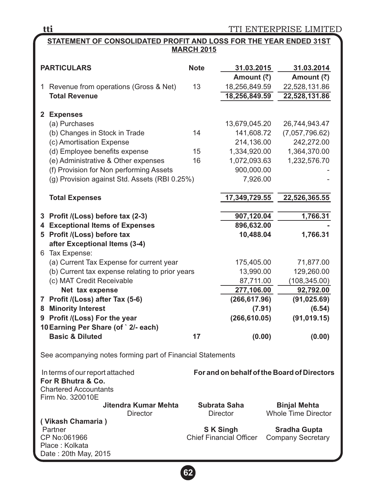TTI ENTERPRISE LIMITED

### **STATEMENT OF CONSOLIDATED PROFIT AND LOSS FOR THE YEAR ENDED 31ST MARCH 2015**

|   | <b>PARTICULARS</b>                                              | <b>Note</b> | 31.03.2015                     | 31.03.2014                                  |
|---|-----------------------------------------------------------------|-------------|--------------------------------|---------------------------------------------|
|   |                                                                 | 13          | Amount (₹)                     | Amount (₹)                                  |
|   | 1 Revenue from operations (Gross & Net)<br><b>Total Revenue</b> |             | 18,256,849.59<br>18,256,849.59 | 22,528,131.86<br>22,528,131.86              |
|   |                                                                 |             |                                |                                             |
|   | 2 Expenses                                                      |             |                                |                                             |
|   | (a) Purchases                                                   |             | 13,679,045.20                  | 26,744,943.47                               |
|   | (b) Changes in Stock in Trade                                   | 14          | 141,608.72                     | (7,057,796.62)                              |
|   | (c) Amortisation Expense                                        |             | 214,136.00                     | 242,272.00                                  |
|   | (d) Employee benefits expense                                   | 15          | 1,334,920.00                   | 1,364,370.00                                |
|   | (e) Administrative & Other expenses                             | 16          | 1,072,093.63                   | 1,232,576.70                                |
|   | (f) Provision for Non performing Assets                         |             | 900,000.00                     |                                             |
|   | (g) Provision against Std. Assets (RBI 0.25%)                   |             | 7,926.00                       |                                             |
|   |                                                                 |             |                                |                                             |
|   | <b>Total Expenses</b>                                           |             | 17,349,729.55                  | 22,526,365.55                               |
|   | 3 Profit /(Loss) before tax (2-3)                               |             | 907,120.04                     | 1,766.31                                    |
|   | <b>4 Exceptional Items of Expenses</b>                          |             | 896,632.00                     |                                             |
|   | 5 Profit /(Loss) before tax                                     |             | 10,488.04                      | 1,766.31                                    |
|   | after Exceptional Items (3-4)                                   |             |                                |                                             |
|   | 6 Tax Expense:                                                  |             |                                |                                             |
|   | (a) Current Tax Expense for current year                        |             | 175,405.00                     | 71,877.00                                   |
|   | (b) Current tax expense relating to prior years                 |             | 13,990.00                      | 129,260.00                                  |
|   | (c) MAT Credit Receivable                                       |             | 87,711.00                      | (108, 345.00)                               |
|   | Net tax expense                                                 |             | 277,106.00                     | 92,792.00                                   |
|   | 7 Profit /(Loss) after Tax (5-6)                                |             | (266, 617.96)                  | (91, 025.69)                                |
| 8 | <b>Minority Interest</b>                                        |             | (7.91)                         | (6.54)                                      |
|   | 9 Profit /(Loss) For the year                                   |             | (266, 610.05)                  | (91, 019.15)                                |
|   | 10 Earning Per Share (of `2/- each)                             |             |                                |                                             |
|   | <b>Basic &amp; Diluted</b>                                      | 17          | (0.00)                         | (0.00)                                      |
|   | See acompanying notes forming part of Financial Statements      |             |                                |                                             |
|   | In terms of our report attached                                 |             |                                | For and on behalf of the Board of Directors |
|   | For R Bhutra & Co.                                              |             |                                |                                             |
|   | <b>Chartered Accountants</b>                                    |             |                                |                                             |
|   | Firm No. 320010E                                                |             |                                |                                             |
|   | Jitendra Kumar Mehta                                            |             | Subrata Saha                   | <b>Binjal Mehta</b>                         |
|   | <b>Director</b><br>(Vikash Chamaria)                            |             | <b>Director</b>                | <b>Whole Time Director</b>                  |
|   | Partner                                                         |             | <b>SK Singh</b>                | <b>Sradha Gupta</b>                         |
|   | CP No:061966                                                    |             | <b>Chief Financial Officer</b> | <b>Company Secretary</b>                    |
|   | Place: Kolkata                                                  |             |                                |                                             |
|   | Date: 20th May, 2015                                            |             |                                |                                             |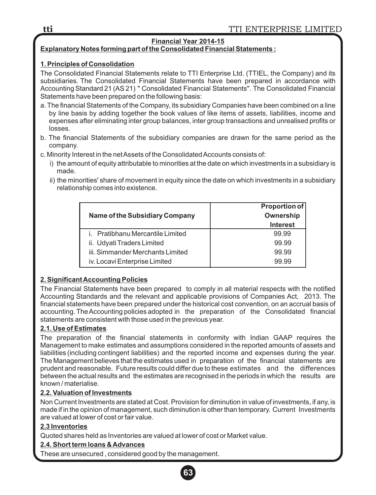## **Financial Year 2014-15**

### **Explanatory Notes forming part of the Consolidated Financial Statements :**

### **1. Principles of Consolidation**

The Consolidated Financial Statements relate to TTI Enterprise Ltd. (TTIEL, the Company) and its subsidiaries. The Consolidated Financial Statements have been prepared in accordance with Accounting Standard 21 (AS 21) " Consolidated Financial Statements". The Consolidated Financial Statements have been prepared on the following basis:

- a. The financial Statements of the Company, its subsidiary Companies have been combined on a line by line basis by adding together the book values of like items of assets, liabilities, income and expenses after eliminating inter group balances, inter group transactions and unrealised profits or losses.
- b. The financial Statements of the subsidiary companies are drawn for the same period as the company.
- c. Minority Interest in the net Assets of the Consolidated Accounts consists of:
	- i) the amount of equity attributable to minorities at the date on which investments in a subsidiary is made.
	- ii) the minorities' share of movement in equity since the date on which investments in a subsidiary relationship comes into existence.

|                                  | <b>Proportion of</b> |
|----------------------------------|----------------------|
| Name of the Subsidiary Company   | Ownership            |
|                                  | <b>Interest</b>      |
| i. Pratibhanu Mercantile Limited | 99.99                |
| ii. Udyati Traders Limited       | 99.99                |
| iii. Simmander Merchants Limited | 99.99                |
| iv. Locavi Enterprise Limited    | 99.99                |

## **2. Significant Accounting Policies**

The Financial Statements have been prepared to comply in all material respects with the notified Accounting Standards and the relevant and applicable provisions of Companies Act, 2013. The financial statements have been prepared under the historical cost convention, on an accrual basis of accounting. The Accounting policies adopted in the preparation of the Consolidated financial statements are consistent with those used in the previous year.

### **2.1. Use of Estimates**

The preparation of the financial statements in conformity with Indian GAAP requires the Management to make estimates and assumptions considered in the reported amounts of assets and liabilities (including contingent liabilities) and the reported income and expenses during the year. The Management believes that the estimates used in preparation of the financial statements are prudent and reasonable. Future results could differ due to these estimates and the differences between the actual results and the estimates are recognised in the periods in which the results are known / materialise.

### **2.2. Valuation of Investments**

Non Current Investments are stated at Cost. Provision for diminution in value of investments, if any, is made if in the opinion of management, such diminution is other than temporary. Current Investments are valued at lower of cost or fair value.

### **2.3 Inventories**

Quoted shares held as Inventories are valued at lower of cost or Market value.

## **2.4. Short term loans & Advances**

These are unsecured , considered good by the management.

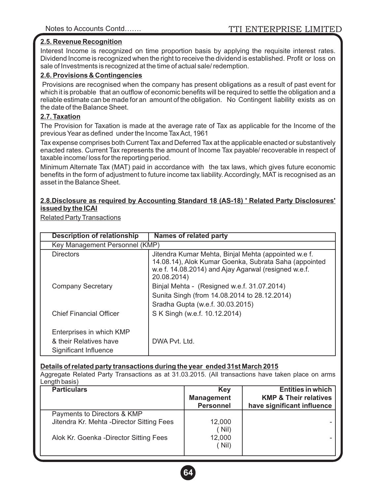#### **2.5. Revenue Recognition**

Interest Income is recognized on time proportion basis by applying the requisite interest rates. Dividend Income is recognized when the right to receive the dividend is established. Profit or loss on sale of Investments is recognized at the time of actual sale/ redemption.

#### **2.6. Provisions & Contingencies**

Provisions are recognised when the company has present obligations as a result of past event for which it is probable that an outflow of economic benefits will be required to settle the obligation and a reliable estimate can be made for an amount of the obligation. No Contingent liability exists as on the date of the Balance Sheet.

#### **2.7. Taxation**

The Provision for Taxation is made at the average rate of Tax as applicable for the Income of the previous Year as defined under the Income Tax Act, 1961

Tax expense comprises both Current Tax and Deferred Tax at the applicable enacted or substantively enacted rates. Current Tax represents the amount of Income Tax payable/ recoverable in respect of taxable income/ loss for the reporting period.

Minimum Alternate Tax (MAT) paid in accordance with the tax laws, which gives future economic benefits in the form of adjustment to future income tax liability. Accordingly, MAT is recognised as an asset in the Balance Sheet.

#### **2.8.Disclosure as required by Accounting Standard 18 (AS-18) ' Related Party Disclosures' issued by the ICAI**

Related Party Transactions

| <b>Description of relationship</b>                                          | Names of related party                                                                                                                                                               |
|-----------------------------------------------------------------------------|--------------------------------------------------------------------------------------------------------------------------------------------------------------------------------------|
| Key Management Personnel (KMP)                                              |                                                                                                                                                                                      |
| <b>Directors</b>                                                            | Jitendra Kumar Mehta, Binjal Mehta (appointed w.e f.<br>14.08.14), Alok Kumar Goenka, Subrata Saha (appointed<br>w.e f. 14.08.2014) and Ajay Agarwal (resigned w.e.f.<br>20.08.2014) |
| Company Secretary                                                           | Binjal Mehta - (Resigned w.e.f. 31.07.2014)<br>Sunita Singh (from 14.08.2014 to 28.12.2014)<br>Sradha Gupta (w.e.f. 30.03.2015)                                                      |
| Chief Financial Officer                                                     | S K Singh (w.e.f. 10.12.2014)                                                                                                                                                        |
| Enterprises in which KMP<br>& their Relatives have<br>Significant Influence | DWA Pyt. Ltd.                                                                                                                                                                        |

#### **Details of related party transactions during the year ended 31st March 2015**

Aggregate Related Party Transactions as at 31.03.2015. (All transactions have taken place on arms Length basis)

| <b>Particulars</b>                                                        | Key<br><b>Management</b><br><b>Personnel</b> | <b>Entities in which</b><br><b>KMP &amp; Their relatives</b><br>have significant influence |
|---------------------------------------------------------------------------|----------------------------------------------|--------------------------------------------------------------------------------------------|
| Payments to Directors & KMP<br>Jitendra Kr. Mehta - Director Sitting Fees | 12.000<br>(Nil)                              |                                                                                            |
| Alok Kr. Goenka - Director Sitting Fees                                   | 12,000<br>( Nil)                             |                                                                                            |

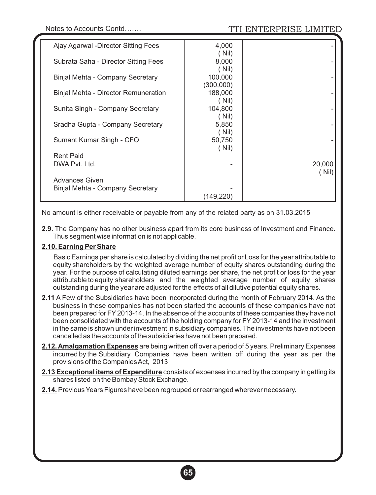| Ajay Agarwal -Director Sitting Fees  | 4,000<br>(Nil)   |        |
|--------------------------------------|------------------|--------|
| Subrata Saha - Director Sitting Fees | 8,000            |        |
| Binjal Mehta - Company Secretary     | (Nil)<br>100,000 |        |
|                                      | (300,000)        |        |
| Binjal Mehta - Director Remuneration | 188,000<br>(Nil) |        |
| Sunita Singh - Company Secretary     | 104,800<br>(Nil) |        |
| Sradha Gupta - Company Secretary     | 5,850            |        |
| Sumant Kumar Singh - CFO             | (Nil)<br>50,750  |        |
| <b>Rent Paid</b>                     | (Nil)            |        |
| DWA Pyt. Ltd.                        |                  | 20,000 |
| Advances Given                       |                  | ์ Nil) |
| Binjal Mehta - Company Secretary     |                  |        |
|                                      | (149,220)        |        |

No amount is either receivable or payable from any of the related party as on 31.03.2015

**2.9.** The Company has no other business apart from its core business of Investment and Finance. Thus segment wise information is not applicable.

#### **2.10. Earning Per Share**

Basic Earnings per share is calculated by dividing the net profit or Loss for the year attributable to equity shareholders by the weighted average number of equity shares outstanding during the year. For the purpose of calculating diluted earnings per share, the net profit or loss for the year attributable to equity shareholders and the weighted average number of equity shares outstanding during the year are adjusted for the effects of all dilutive potential equity shares.

- **2.11** A Few of the Subsidiaries have been incorporated during the month of February 2014. As the business in these companies has not been started the accounts of these companies have not been prepared for FY2013-14. In the absence of the accounts of these companies they have not been consolidated with the accounts of the holding company for FY 2013-14 and the investment in the same is shown under investment in subsidiary companies. The investments have not been cancelled as the accounts of the subsidiaries have not been prepared.
- **2.12. Amalgamation Expenses** are being written off over a period of 5 years. Preliminary Expenses incurred by the Subsidiary Companies have been written off during the year as per the provisions of the Companies Act, 2013
- **2.13 Exceptional items of Expenditure** consists of expenses incurred by the company in getting its shares listed on the Bombay Stock Exchange.
- **2.14.** Previous Years Figures have been regrouped or rearranged wherever necessary.

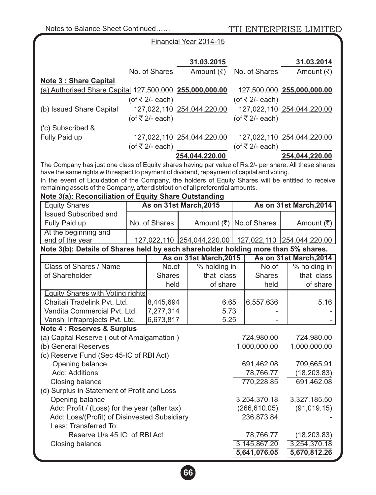TTI ENTERPRISE LIMITED

|                                                                                                                                                                                                      |  |                   | Financial Year 2014-15     |               |                              |                                                       |
|------------------------------------------------------------------------------------------------------------------------------------------------------------------------------------------------------|--|-------------------|----------------------------|---------------|------------------------------|-------------------------------------------------------|
|                                                                                                                                                                                                      |  |                   | 31.03.2015                 |               |                              | 31.03.2014                                            |
|                                                                                                                                                                                                      |  | No. of Shares     | Amount $(\overline{\tau})$ |               | No. of Shares                | Amount (₹)                                            |
| <b>Note 3: Share Capital</b>                                                                                                                                                                         |  |                   |                            |               |                              |                                                       |
| (a) Authorised Share Capital 127,500,000 255,000,000.00                                                                                                                                              |  |                   |                            |               |                              | 127,500,000 255,000,000.00                            |
|                                                                                                                                                                                                      |  | (of ₹ $2/-$ each) |                            |               | (of ₹ $2/-$ each)            |                                                       |
| (b) Issued Share Capital                                                                                                                                                                             |  |                   | 127,022,110 254,044,220.00 |               |                              | 127,022,110 254,044,220.00                            |
|                                                                                                                                                                                                      |  | (of ₹ $2/-$ each) |                            |               | (of $\overline{5}$ 2/- each) |                                                       |
| ('c) Subscribed &                                                                                                                                                                                    |  |                   |                            |               |                              |                                                       |
| Fully Paid up                                                                                                                                                                                        |  |                   | 127,022,110 254,044,220.00 |               |                              | 127,022,110 254,044,220.00                            |
|                                                                                                                                                                                                      |  | (of ₹ $2/-$ each) |                            |               | (of $\overline{5}$ 2/- each) |                                                       |
|                                                                                                                                                                                                      |  |                   | 254,044,220.00             |               |                              | 254,044,220.00                                        |
| The Company has just one class of Equity shares having par value of Rs.2/- per share. All these shares<br>have the same rights with respect to payment of dividend, repayment of capital and voting. |  |                   |                            |               |                              |                                                       |
| In the event of Liquidation of the Company, the holders of Equity Shares will be entitled to receive                                                                                                 |  |                   |                            |               |                              |                                                       |
| remaining assets of the Company, after distribution of all preferential amounts.                                                                                                                     |  |                   |                            |               |                              |                                                       |
| Note 3(a): Reconciliation of Equity Share Outstanding<br><b>Equity Shares</b>                                                                                                                        |  |                   | As on 31st March, 2015     |               |                              | As on 31st March, 2014                                |
| <b>Issued Subscribed and</b>                                                                                                                                                                         |  |                   |                            |               |                              |                                                       |
| Fully Paid up                                                                                                                                                                                        |  | No. of Shares     | Amount (₹)   No.of Shares  |               |                              | Amount (₹)                                            |
| At the beginning and                                                                                                                                                                                 |  |                   |                            |               |                              |                                                       |
| end of the year                                                                                                                                                                                      |  |                   |                            |               |                              | 127,022,110 254,044,220.00 127,022,110 254,044,220.00 |
| Note 3(b): Details of Shares held by each shareholder holding more than 5% shares.                                                                                                                   |  |                   |                            |               |                              |                                                       |
|                                                                                                                                                                                                      |  |                   | As on 31st March, 2015     |               |                              | As on 31st March, 2014                                |
| Class of Shares / Name                                                                                                                                                                               |  | No.of             | % holding in               |               | No.of                        | % holding in                                          |
| of Shareholder                                                                                                                                                                                       |  | <b>Shares</b>     | that class                 | <b>Shares</b> |                              | that class                                            |
|                                                                                                                                                                                                      |  | held              | of share                   |               | held                         | of share                                              |
| Equity Shares with Voting rights                                                                                                                                                                     |  |                   |                            |               |                              |                                                       |
| Chaitali Tradelink Pvt. Ltd.                                                                                                                                                                         |  | 8,445,694         | 6.65                       |               | 6,557,636                    | 5.16                                                  |
| Vandita Commercial Pvt. Ltd.                                                                                                                                                                         |  | 7,277,314         | 5.73                       |               |                              |                                                       |
| Vanshi Infraprojects Pvt. Ltd.                                                                                                                                                                       |  | 6,673,817         | 5.25                       |               |                              |                                                       |
| <b>Note 4: Reserves &amp; Surplus</b><br>(a) Capital Reserve (out of Amalgamation)                                                                                                                   |  |                   |                            |               |                              |                                                       |
| (b) General Reserves                                                                                                                                                                                 |  |                   |                            |               | 724,980.00<br>1,000,000.00   | 724,980.00<br>1,000,000.00                            |
| (c) Reserve Fund (Sec 45-IC of RBI Act)                                                                                                                                                              |  |                   |                            |               |                              |                                                       |
| Opening balance                                                                                                                                                                                      |  |                   |                            |               | 691,462.08                   | 709,665.91                                            |
| Add: Additions                                                                                                                                                                                       |  |                   | 78,766.77                  |               | (18, 203.83)                 |                                                       |
| Closing balance                                                                                                                                                                                      |  |                   | 770,228.85                 |               | 691,462.08                   |                                                       |
| (d) Surplus in Statement of Profit and Loss                                                                                                                                                          |  |                   |                            |               |                              |                                                       |
| Opening balance                                                                                                                                                                                      |  |                   |                            |               | 3,254,370.18                 | 3,327,185.50                                          |
| Add: Profit / (Loss) for the year (after tax)                                                                                                                                                        |  | (266, 610.05)     |                            |               | (91, 019.15)                 |                                                       |
| Add: Loss/(Profit) of Disinvested Subsidiary                                                                                                                                                         |  |                   |                            |               | 236,873.84                   |                                                       |
| Less: Transferred To:                                                                                                                                                                                |  |                   |                            |               |                              |                                                       |
| Reserve U/s 45 IC of RBI Act                                                                                                                                                                         |  |                   |                            |               | 78,766.77                    | (18, 203.83)                                          |
| Closing balance                                                                                                                                                                                      |  |                   |                            |               | 3,145,867.20                 | 3,254,370.18                                          |
|                                                                                                                                                                                                      |  |                   |                            |               | 5,641,076.05                 | 5,670,812.26                                          |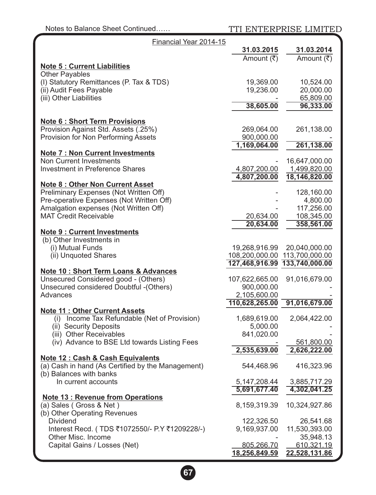| Financial Year 2014-15                                                           |                 |                               |  |
|----------------------------------------------------------------------------------|-----------------|-------------------------------|--|
|                                                                                  | 31.03.2015      | 31.03.2014                    |  |
|                                                                                  | Amount (₹)      | Amount (₹)                    |  |
| <b>Note 5: Current Liabilities</b>                                               |                 |                               |  |
| <b>Other Payables</b>                                                            |                 |                               |  |
| (I) Statutory Remittances (P. Tax & TDS)                                         | 19,369.00       | 10,524.00                     |  |
| (ii) Audit Fees Payable                                                          | 19,236.00       | 20,000.00                     |  |
| (iii) Other Liabilities                                                          |                 | 65,809.00                     |  |
|                                                                                  | 38,605.00       | 96,333.00                     |  |
|                                                                                  |                 |                               |  |
| <b>Note 6: Short Term Provisions</b>                                             |                 |                               |  |
| Provision Against Std. Assets (.25%)                                             | 269,064.00      | 261,138.00                    |  |
| Provision for Non Performing Assets                                              | 900,000.00      |                               |  |
|                                                                                  | 1,169,064.00    | 261,138.00                    |  |
| <b>Note 7: Non Current Investments</b>                                           |                 |                               |  |
| <b>Non Current Investments</b>                                                   |                 | 16,647,000.00                 |  |
| <b>Investment in Preference Shares</b>                                           | 4,807,200.00    | 1,499,820.00                  |  |
|                                                                                  | 4,807,200.00    | 18,146,820.00                 |  |
| <b>Note 8: Other Non Current Asset</b><br>Preliminary Expenses (Not Written Off) |                 |                               |  |
| Pre-operative Expenses (Not Written Off)                                         |                 | 128,160.00<br>4,800.00        |  |
| Amalgation expenses (Not Written Off)                                            |                 | 117,256.00                    |  |
| <b>MAT Credit Receivable</b>                                                     | 20,634.00       | 108,345.00                    |  |
|                                                                                  | 20,634.00       | 358,561.00                    |  |
| <b>Note 9: Current Investments</b>                                               |                 |                               |  |
| (b) Other Investments in                                                         |                 |                               |  |
| (i) Mutual Funds                                                                 | 19,268,916.99   | 20,040,000.00                 |  |
| (ii) Unquoted Shares                                                             | 108,200,000.00  | 113,700,000.00                |  |
|                                                                                  |                 | 127,468,916.99 133,740,000.00 |  |
| <b>Note 10: Short Term Loans &amp; Advances</b>                                  |                 |                               |  |
| Unsecured Considered good - (Others)                                             | 107,622,665.00  | 91,016,679.00                 |  |
| Unsecured considered Doubtful - (Others)                                         | 900,000.00      |                               |  |
| Advances                                                                         | 2,105,600.00    |                               |  |
|                                                                                  | 110,628,265.00  | 91,016,679.00                 |  |
| <b>Note 11: Other Current Assets</b>                                             |                 |                               |  |
| (i) Income Tax Refundable (Net of Provision)                                     | 1,689,619.00    | 2,064,422.00                  |  |
| (ii) Security Deposits                                                           | 5,000.00        |                               |  |
| (iii) Other Receivables                                                          | 841,020.00      |                               |  |
| (iv) Advance to BSE Ltd towards Listing Fees                                     |                 | 561,800.00                    |  |
|                                                                                  | 2,535,639.00    | 2,626,222.00                  |  |
| Note 12 : Cash & Cash Equivalents                                                |                 |                               |  |
| (a) Cash in hand (As Certified by the Management)                                | 544,468.96      | 416,323.96                    |  |
| (b) Balances with banks                                                          |                 |                               |  |
| In current accounts                                                              | 5, 147, 208. 44 | 3,885,717.29                  |  |
|                                                                                  | 5,691,677.40    | 4,302,041.25                  |  |
| <b>Note 13: Revenue from Operations</b>                                          | 8,159,319.39    | 10,324,927.86                 |  |
| (a) Sales (Gross & Net)<br>(b) Other Operating Revenues                          |                 |                               |  |
| <b>Dividend</b>                                                                  | 122,326.50      | 26,541.68                     |  |
| Interest Recd. (TDS ₹1072550/- P.Y ₹1209228/-)                                   | 9,169,937.00    | 11,530,393.00                 |  |
| Other Misc. Income                                                               |                 | 35,948.13                     |  |
| Capital Gains / Losses (Net)                                                     | 805,266.70      | 610,321.19                    |  |
|                                                                                  | 18,256,849.59   | 22,528,131.86                 |  |
|                                                                                  |                 |                               |  |

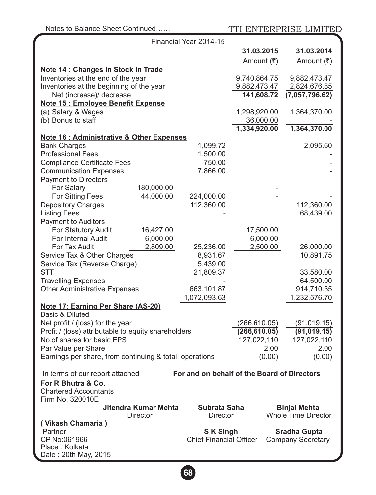| Notes to Balance Sheet Continued                                               |                                        |                | TTI ENTERPRISE LIMITED     |  |
|--------------------------------------------------------------------------------|----------------------------------------|----------------|----------------------------|--|
| Financial Year 2014-15                                                         |                                        |                |                            |  |
|                                                                                |                                        | 31.03.2015     | 31.03.2014                 |  |
|                                                                                |                                        | Amount (₹)     | Amount (₹)                 |  |
| Note 14 : Changes In Stock In Trade                                            |                                        |                |                            |  |
| Inventories at the end of the year                                             |                                        | 9,740,864.75   | 9,882,473.47               |  |
| Inventories at the beginning of the year                                       |                                        | 9,882,473.47   | 2,824,676.85               |  |
| Net (increase)/ decrease                                                       |                                        | 141,608.72     | (7,057,796.62)             |  |
| Note 15 : Employee Benefit Expense                                             |                                        |                |                            |  |
| (a) Salary & Wages                                                             |                                        | 1,298,920.00   | 1,364,370.00               |  |
| (b) Bonus to staff                                                             |                                        | 36,000.00      |                            |  |
|                                                                                |                                        | 1,334,920.00   | 1,364,370.00               |  |
| Note 16 : Administrative & Other Expenses                                      |                                        |                |                            |  |
| <b>Bank Charges</b>                                                            | 1,099.72                               |                | 2,095.60                   |  |
| <b>Professional Fees</b>                                                       | 1,500.00                               |                |                            |  |
| <b>Compliance Certificate Fees</b>                                             | 750.00                                 |                |                            |  |
| <b>Communication Expenses</b>                                                  | 7,866.00                               |                |                            |  |
| <b>Payment to Directors</b>                                                    |                                        |                |                            |  |
| For Salary<br>180,000.00                                                       |                                        |                |                            |  |
| For Sitting Fees<br>44,000.00<br><b>Depository Charges</b>                     | 224,000.00<br>112,360.00               |                | 112,360.00                 |  |
| <b>Listing Fees</b>                                                            |                                        |                | 68,439.00                  |  |
| <b>Payment to Auditors</b>                                                     |                                        |                |                            |  |
| For Statutory Audit<br>16,427.00                                               |                                        | 17,500.00      |                            |  |
| For Internal Audit<br>6,000.00                                                 |                                        | 6,000.00       |                            |  |
| For Tax Audit<br>2,809.00                                                      | 25,236.00                              | 2,500.00       | 26,000.00                  |  |
| Service Tax & Other Charges                                                    | 8,931.67                               |                | 10,891.75                  |  |
| Service Tax (Reverse Charge)                                                   | 5,439.00                               |                |                            |  |
| <b>STT</b>                                                                     | 21,809.37                              |                | 33,580.00                  |  |
| <b>Travelling Expenses</b>                                                     |                                        |                | 64,500.00                  |  |
| <b>Other Administrative Expenses</b>                                           | 663,101.87                             |                | 914,710.35                 |  |
|                                                                                | 1,072,093.63                           |                | 1,232,576.70               |  |
| Note 17: Earning Per Share (AS-20)                                             |                                        |                |                            |  |
| <b>Basic &amp; Diluted</b>                                                     |                                        |                |                            |  |
| Net profit / (loss) for the year                                               |                                        | (266,610.05)   | (91, 019.15)               |  |
| Profit / (loss) attributable to equity shareholders                            |                                        | (266, 610.05)  | (91, 019.15)               |  |
| No.of shares for basic EPS                                                     |                                        | 127,022,110    | 127,022,110                |  |
| Par Value per Share<br>Earnings per share, from continuing & total operations  |                                        | 2.00<br>(0.00) | 2.00<br>(0.00)             |  |
|                                                                                |                                        |                |                            |  |
| For and on behalf of the Board of Directors<br>In terms of our report attached |                                        |                |                            |  |
| For R Bhutra & Co.                                                             |                                        |                |                            |  |
| <b>Chartered Accountants</b>                                                   |                                        |                |                            |  |
| Firm No. 320010E                                                               |                                        |                |                            |  |
| Jitendra Kumar Mehta                                                           | Subrata Saha                           |                | <b>Binjal Mehta</b>        |  |
| <b>Director</b>                                                                | <b>Director</b>                        |                | <b>Whole Time Director</b> |  |
| (Vikash Chamaria)                                                              |                                        |                |                            |  |
| Partner                                                                        | <b>SK Singh</b><br><b>Sradha Gupta</b> |                |                            |  |
| CP No:061966                                                                   | <b>Chief Financial Officer</b>         |                | <b>Company Secretary</b>   |  |
| Place: Kolkata<br>Date: 20th May, 2015                                         |                                        |                |                            |  |
|                                                                                |                                        |                |                            |  |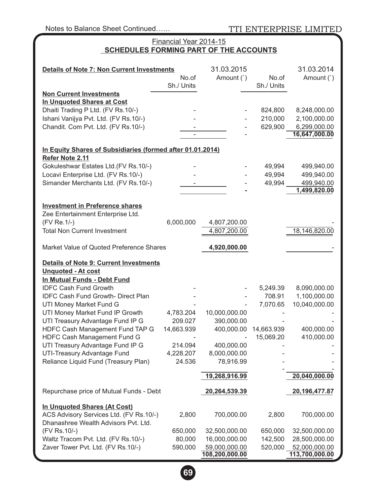TTI ENTERPRISE LIMITED

## Financial Year 2014-15 **SCHEDULES FORMING PART OF THE ACCOUNTS**

| <b>Details of Note 7: Non Current Investments</b><br>No.of                      |                   | 31.03.2015<br>Amount (`)       | No.of              | 31.03.2014<br>Amount (`)       |  |  |  |  |
|---------------------------------------------------------------------------------|-------------------|--------------------------------|--------------------|--------------------------------|--|--|--|--|
|                                                                                 | Sh./ Units        |                                | Sh./ Units         |                                |  |  |  |  |
| <b>Non Current Investments</b>                                                  |                   |                                |                    |                                |  |  |  |  |
| In Unquoted Shares at Cost                                                      |                   |                                |                    |                                |  |  |  |  |
| Dhaiti Trading P Ltd. (FV Rs.10/-)                                              |                   |                                | 824,800            | 8,248,000.00                   |  |  |  |  |
| Ishani Vanijya Pvt. Ltd. (FV Rs.10/-)                                           |                   |                                | 210,000            | 2,100,000.00                   |  |  |  |  |
| Chandit. Com Pvt. Ltd. (FV Rs.10/-)                                             |                   |                                | 629,900            | 6,299,000.00                   |  |  |  |  |
|                                                                                 | ÷,                |                                |                    | 16,647,000.00                  |  |  |  |  |
| In Equity Shares of Subsidiaries (formed after 01.01.2014)                      |                   |                                |                    |                                |  |  |  |  |
| Refer Note 2.11                                                                 |                   |                                |                    |                                |  |  |  |  |
| Gokuleshwar Estates Ltd.(FV Rs.10/-)                                            |                   |                                | 49,994             | 499,940.00                     |  |  |  |  |
| Locavi Enterprise Ltd. (FV Rs.10/-)                                             |                   |                                | 49,994             | 499,940.00                     |  |  |  |  |
| Simander Merchants Ltd. (FV Rs.10/-)                                            |                   |                                | 49,994             | 499,940.00                     |  |  |  |  |
|                                                                                 |                   |                                |                    | 1,499,820.00                   |  |  |  |  |
| <b>Investment in Preference shares</b>                                          |                   |                                |                    |                                |  |  |  |  |
| Zee Entertainment Enterprise Ltd.                                               |                   |                                |                    |                                |  |  |  |  |
| (FV Re.1/-)                                                                     | 6,000,000         | 4,807,200.00                   |                    |                                |  |  |  |  |
| <b>Total Non Current Investment</b>                                             |                   | 4,807,200.00                   |                    | 18,146,820.00                  |  |  |  |  |
|                                                                                 |                   |                                |                    |                                |  |  |  |  |
| Market Value of Quoted Preference Shares                                        |                   | 4,920,000.00                   |                    |                                |  |  |  |  |
| <b>Details of Note 9: Current Investments</b>                                   |                   |                                |                    |                                |  |  |  |  |
| <b>Unquoted - At cost</b>                                                       |                   |                                |                    |                                |  |  |  |  |
| In Mutual Funds - Debt Fund                                                     |                   |                                |                    |                                |  |  |  |  |
| <b>IDFC Cash Fund Growth</b>                                                    |                   |                                | 5,249.39           | 8,090,000.00                   |  |  |  |  |
| IDFC Cash Fund Growth- Direct Plan                                              |                   |                                | 708.91             | 1,100,000.00                   |  |  |  |  |
| UTI Money Market Fund G                                                         |                   |                                | 7,070.65           | 10,040,000.00                  |  |  |  |  |
| UTI Money Market Fund IP Growth                                                 | 4,783.204         | 10,000,000.00                  |                    |                                |  |  |  |  |
| UTI Treasury Advantage Fund IP G                                                | 209.027           | 390,000.00                     |                    |                                |  |  |  |  |
| HDFC Cash Management Fund TAP G                                                 | 14,663.939        | 400,000.00                     | 14,663.939         | 400,000.00                     |  |  |  |  |
| HDFC Cash Management Fund G                                                     |                   |                                | 15,069.20          | 410,000.00                     |  |  |  |  |
| UTI Treasury Advantage Fund IP G                                                | 214.094           | 400,000.00                     |                    |                                |  |  |  |  |
| UTI-Treasury Advantage Fund                                                     | 4,228.207         | 8,000,000.00                   |                    |                                |  |  |  |  |
| Reliance Liquid Fund (Treasury Plan)                                            | 24.536            | 78,916.99                      |                    |                                |  |  |  |  |
|                                                                                 |                   | 19,268,916.99                  |                    | 20,040,000.00                  |  |  |  |  |
| Repurchase price of Mutual Funds - Debt                                         |                   | 20,264,539.39                  |                    | 20,196,477.87                  |  |  |  |  |
|                                                                                 |                   |                                |                    |                                |  |  |  |  |
| In Unquoted Shares (At Cost)                                                    |                   |                                |                    |                                |  |  |  |  |
| ACS Advisory Services Ltd. (FV Rs.10/-)<br>Dhanashree Wealth Advisors Pvt. Ltd. | 2,800             | 700,000.00                     | 2,800              | 700,000.00                     |  |  |  |  |
|                                                                                 |                   |                                |                    |                                |  |  |  |  |
| (FV Rs.10/-)<br>Waltz Tracom Pvt. Ltd. (FV Rs.10/-)                             | 650,000<br>80,000 | 32,500,000.00<br>16,000,000.00 | 650,000<br>142,500 | 32,500,000.00<br>28,500,000.00 |  |  |  |  |
| Zaver Tower Pvt. Ltd. (FV Rs.10/-)                                              | 590,000           | 59,000,000.00                  | 520,000            | 52,000,000.00                  |  |  |  |  |
|                                                                                 |                   | 108,200,000.00                 |                    | 113,700,000.00                 |  |  |  |  |

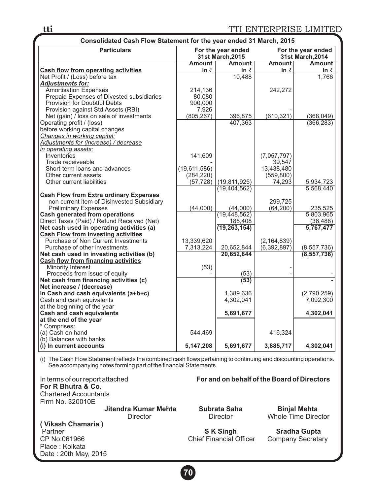**tti** TTI ENTERPRISE LIMITED

| Consolidated Cash Flow Statement for the year ended 31 March, 2015 |               |                                                                                       |               |                         |  |  |  |
|--------------------------------------------------------------------|---------------|---------------------------------------------------------------------------------------|---------------|-------------------------|--|--|--|
| <b>Particulars</b>                                                 |               | For the year ended<br>For the year ended<br>31st March.2015<br><b>31st March.2014</b> |               |                         |  |  |  |
|                                                                    | <b>Amount</b> | <b>Amount</b>                                                                         | <b>Amount</b> | <b>Amount</b>           |  |  |  |
| Cash flow from operating activities                                | in $\bar{z}$  | in $\bar{z}$                                                                          | in $\bar{z}$  | $\underline{\text{in}}$ |  |  |  |
| Net Profit / (Loss) before tax                                     |               | 10,488                                                                                |               | 1,766                   |  |  |  |
| <b>Adjustments for:</b>                                            |               |                                                                                       |               |                         |  |  |  |
| Amortisation Expenses                                              | 214,136       |                                                                                       | 242,272       |                         |  |  |  |
| Prepaid Expenses of Divested subsidiaries                          | 80,080        |                                                                                       |               |                         |  |  |  |
| Provision for Doubtful Debts                                       | 900,000       |                                                                                       |               |                         |  |  |  |
| Provision against Std.Assets (RBI)                                 | 7,926         |                                                                                       |               |                         |  |  |  |
| Net (gain) / loss on sale of investments                           | (805, 267)    | 396,875                                                                               | (610, 321)    | (368, 049)              |  |  |  |
| Operating profit / (loss)                                          |               | 407,363                                                                               |               | (366, 283)              |  |  |  |
| before working capital changes                                     |               |                                                                                       |               |                         |  |  |  |
| Changes in working capital:                                        |               |                                                                                       |               |                         |  |  |  |
| Adjustments for (increase) / decrease                              |               |                                                                                       |               |                         |  |  |  |
| in operating assets:                                               |               |                                                                                       |               |                         |  |  |  |
| Inventories                                                        | 141,609       |                                                                                       | (7,057,797)   |                         |  |  |  |
| Trade receiveable                                                  |               |                                                                                       | 39,547        |                         |  |  |  |
| Short-term loans and advances                                      | (19,611,586)  |                                                                                       | 13.438.480    |                         |  |  |  |
| Other current assets                                               | (284, 220)    |                                                                                       | (559, 800)    |                         |  |  |  |
| Other current liabilities                                          | (57, 728)     | (19, 811, 925)                                                                        | 74,293        | 5,934,723               |  |  |  |
|                                                                    |               | (19, 404, 562)                                                                        |               | 5,568,440               |  |  |  |
| <b>Cash Flow from Extra ordinary Expenses</b>                      |               |                                                                                       |               |                         |  |  |  |
| non current item of Disinvested Subsidiary                         |               |                                                                                       | 299,725       |                         |  |  |  |
| <b>Preliminary Expenses</b>                                        | (44,000)      | (44,000)                                                                              | (64, 200)     | 235,525                 |  |  |  |
| <b>Cash generated from operations</b>                              |               | (19, 448, 562)                                                                        |               | 5.803.965               |  |  |  |
| Direct Taxes (Paid) / Refund Received (Net)                        |               | 185,408                                                                               |               | (36, 488)               |  |  |  |
| Net cash used in operating activities (a)                          |               | (19, 263, 154)                                                                        |               | 5,767,477               |  |  |  |
| <b>Cash Flow from investing activities</b>                         |               |                                                                                       |               |                         |  |  |  |
| Purchase of Non Current Investments                                | 13,339,620    |                                                                                       | (2, 164, 839) |                         |  |  |  |
| Purchase of other investments                                      | 7,313,224     | 20,652,844                                                                            | (6,392,897)   | (8,557,736)             |  |  |  |
| Net cash used in investing activities (b)                          |               | 20,652,844                                                                            |               | (8, 557, 736)           |  |  |  |
| <b>Cash flow from financing activities</b>                         |               |                                                                                       |               |                         |  |  |  |
| Minority Interest                                                  | (53)          |                                                                                       |               |                         |  |  |  |
| Proceeds from issue of equity                                      |               | (53)                                                                                  |               |                         |  |  |  |
| Net cash from financing activities (c)                             |               | (53)                                                                                  |               |                         |  |  |  |
| Net increase / (decrease)                                          |               |                                                                                       |               |                         |  |  |  |
| in Cash and cash equivalents (a+b+c)                               |               | 1,389,636                                                                             |               | (2,790,259)             |  |  |  |
| Cash and cash equivalents                                          |               | 4,302,041                                                                             |               | 7,092,300               |  |  |  |
| at the beginning of the year                                       |               |                                                                                       |               |                         |  |  |  |
| <b>Cash and cash equivalents</b>                                   |               | 5,691,677                                                                             |               | 4,302,041               |  |  |  |
| at the end of the year                                             |               |                                                                                       |               |                         |  |  |  |
| * Comprises:                                                       |               |                                                                                       |               |                         |  |  |  |
| (a) Cash on hand                                                   | 544,469       |                                                                                       | 416,324       |                         |  |  |  |
| (b) Balances with banks                                            |               |                                                                                       |               |                         |  |  |  |
| (i) In current accounts                                            | 5,147,208     | 5,691,677                                                                             | 3,885,717     | 4,302,041               |  |  |  |

(i) The Cash Flow Statement reflects the combined cash flows pertaining to continuing and discounting operations. See accompanying notes forming part of the financial Statements

In terms of our report attached **For and on behalf of the Board of Directors For R Bhutra & Co.**  Chartered Accountants Firm No. 320010E

**( Vikash Chamaria )**

Place : Kolkata Date : 20th May, 2015

 **Jitendra Kumar Mehta Subrata Saha Binjal Mehta** 

Whole Time Director

Partner **Simple Strip Strip Sradha Gupta**<br>CP No:061966 **Simple Strip Strip Strip Strip Strip Strip Strip Strip Strip Strip Strip Strip Strip Strip Strip Strip Strip Strip Strip Strip Strip Strip Strip Strip Strip Strip Str** Chief Financial Officer

**70**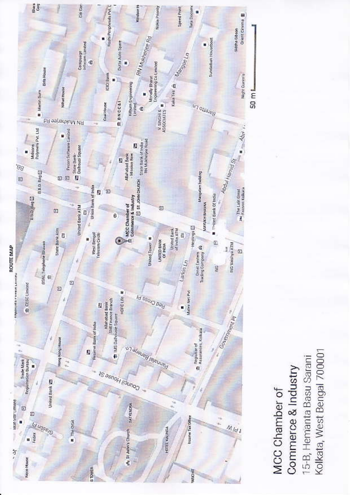

Kolkata, West Bengal 700001 15-B, Hemanta Basu Sarani Commerce & Industry MCC Chamber of